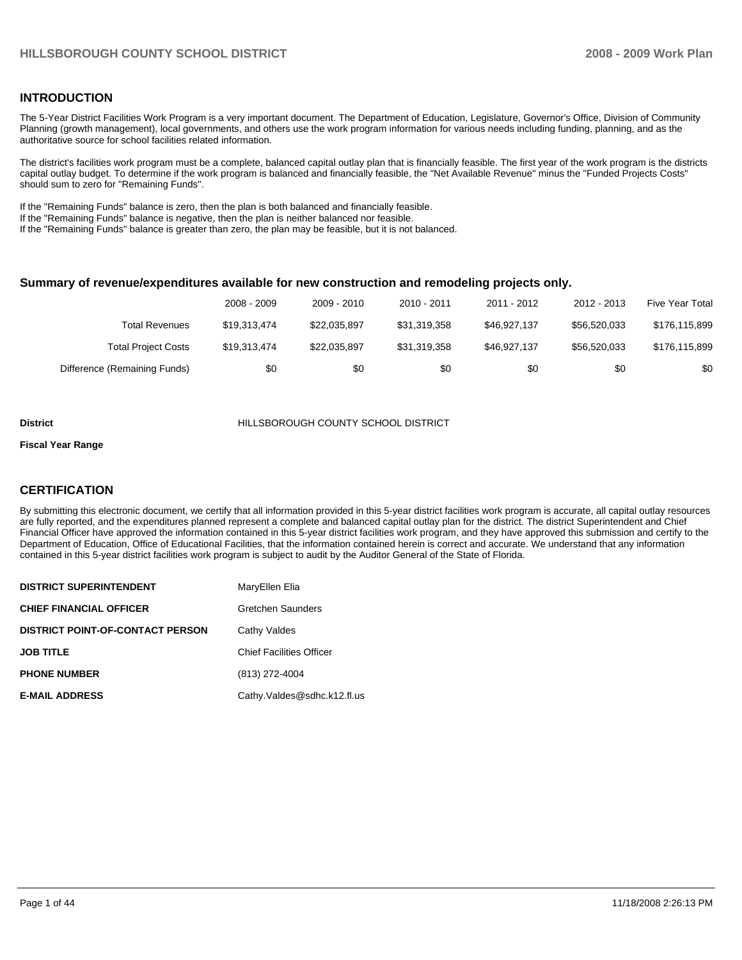#### **INTRODUCTION**

The 5-Year District Facilities Work Program is a very important document. The Department of Education, Legislature, Governor's Office, Division of Community Planning (growth management), local governments, and others use the work program information for various needs including funding, planning, and as the authoritative source for school facilities related information.

The district's facilities work program must be a complete, balanced capital outlay plan that is financially feasible. The first year of the work program is the districts capital outlay budget. To determine if the work program is balanced and financially feasible, the "Net Available Revenue" minus the "Funded Projects Costs" should sum to zero for "Remaining Funds".

If the "Remaining Funds" balance is zero, then the plan is both balanced and financially feasible.

If the "Remaining Funds" balance is negative, then the plan is neither balanced nor feasible.

If the "Remaining Funds" balance is greater than zero, the plan may be feasible, but it is not balanced.

#### **Summary of revenue/expenditures available for new construction and remodeling projects only.**

|                              | 2008 - 2009  | 2009 - 2010  | $2010 - 2011$ | 2011 - 2012  | 2012 - 2013  | <b>Five Year Total</b> |
|------------------------------|--------------|--------------|---------------|--------------|--------------|------------------------|
| <b>Total Revenues</b>        | \$19,313,474 | \$22.035.897 | \$31.319.358  | \$46.927.137 | \$56,520,033 | \$176,115,899          |
| <b>Total Project Costs</b>   | \$19,313,474 | \$22.035.897 | \$31.319.358  | \$46.927.137 | \$56,520,033 | \$176,115,899          |
| Difference (Remaining Funds) | \$0          | \$0          | \$0           | \$0          | \$0          | \$0                    |

#### **District** HILLSBOROUGH COUNTY SCHOOL DISTRICT

#### **Fiscal Year Range**

#### **CERTIFICATION**

By submitting this electronic document, we certify that all information provided in this 5-year district facilities work program is accurate, all capital outlay resources are fully reported, and the expenditures planned represent a complete and balanced capital outlay plan for the district. The district Superintendent and Chief Financial Officer have approved the information contained in this 5-year district facilities work program, and they have approved this submission and certify to the Department of Education, Office of Educational Facilities, that the information contained herein is correct and accurate. We understand that any information contained in this 5-year district facilities work program is subject to audit by the Auditor General of the State of Florida.

| <b>DISTRICT SUPERINTENDENT</b>          | MaryEllen Elia                  |
|-----------------------------------------|---------------------------------|
| <b>CHIEF FINANCIAL OFFICER</b>          | Gretchen Saunders               |
| <b>DISTRICT POINT-OF-CONTACT PERSON</b> | Cathy Valdes                    |
| <b>JOB TITLE</b>                        | <b>Chief Facilities Officer</b> |
| <b>PHONE NUMBER</b>                     | (813) 272-4004                  |
| <b>E-MAIL ADDRESS</b>                   | Cathy.Valdes@sdhc.k12.fl.us     |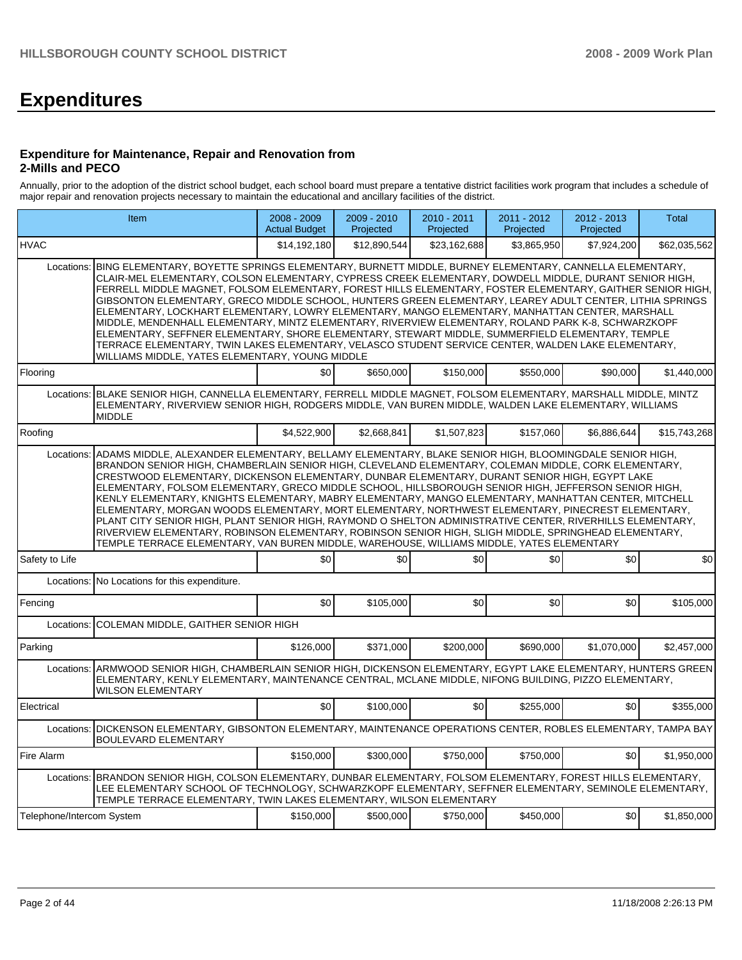# **Expenditures**

#### **Expenditure for Maintenance, Repair and Renovation from 2-Mills and PECO**

Annually, prior to the adoption of the district school budget, each school board must prepare a tentative district facilities work program that includes a schedule of major repair and renovation projects necessary to maintain the educational and ancillary facilities of the district.

|                           | Item                                                                                                                                                                                                                                                                                                                                                                                                                                                                                                                                                                                                                                                                                                                                                                                                                                                                                                                                                              |              | 2009 - 2010<br>Projected | 2010 - 2011<br>Projected | 2011 - 2012<br>Projected | 2012 - 2013<br>Projected | <b>Total</b> |  |  |  |  |
|---------------------------|-------------------------------------------------------------------------------------------------------------------------------------------------------------------------------------------------------------------------------------------------------------------------------------------------------------------------------------------------------------------------------------------------------------------------------------------------------------------------------------------------------------------------------------------------------------------------------------------------------------------------------------------------------------------------------------------------------------------------------------------------------------------------------------------------------------------------------------------------------------------------------------------------------------------------------------------------------------------|--------------|--------------------------|--------------------------|--------------------------|--------------------------|--------------|--|--|--|--|
| <b>HVAC</b>               |                                                                                                                                                                                                                                                                                                                                                                                                                                                                                                                                                                                                                                                                                                                                                                                                                                                                                                                                                                   | \$14,192,180 | \$12,890,544             | \$23,162,688             | \$3,865,950              | \$7,924,200              | \$62,035,562 |  |  |  |  |
| Locations:                | BING ELEMENTARY, BOYETTE SPRINGS ELEMENTARY, BURNETT MIDDLE, BURNEY ELEMENTARY, CANNELLA ELEMENTARY,<br>CLAIR-MEL ELEMENTARY, COLSON ELEMENTARY, CYPRESS CREEK ELEMENTARY, DOWDELL MIDDLE, DURANT SENIOR HIGH.<br>FERRELL MIDDLE MAGNET, FOLSOM ELEMENTARY, FOREST HILLS ELEMENTARY, FOSTER ELEMENTARY, GAITHER SENIOR HIGH,<br>GIBSONTON ELEMENTARY, GRECO MIDDLE SCHOOL, HUNTERS GREEN ELEMENTARY, LEAREY ADULT CENTER, LITHIA SPRINGS<br>ELEMENTARY, LOCKHART ELEMENTARY, LOWRY ELEMENTARY, MANGO ELEMENTARY, MANHATTAN CENTER, MARSHALL<br>MIDDLE, MENDENHALL ELEMENTARY, MINTZ ELEMENTARY, RIVERVIEW ELEMENTARY, ROLAND PARK K-8, SCHWARZKOPF<br>ELEMENTARY, SEFFNER ELEMENTARY, SHORE ELEMENTARY, STEWART MIDDLE, SUMMERFIELD ELEMENTARY, TEMPLE<br>TERRACE ELEMENTARY, TWIN LAKES ELEMENTARY, VELASCO STUDENT SERVICE CENTER, WALDEN LAKE ELEMENTARY,<br>WILLIAMS MIDDLE, YATES ELEMENTARY, YOUNG MIDDLE                                                   |              |                          |                          |                          |                          |              |  |  |  |  |
| Flooring                  |                                                                                                                                                                                                                                                                                                                                                                                                                                                                                                                                                                                                                                                                                                                                                                                                                                                                                                                                                                   | \$0          | \$650,000                | \$150,000                | \$550,000                | \$90,000                 | \$1,440,000  |  |  |  |  |
|                           | Locations: BLAKE SENIOR HIGH, CANNELLA ELEMENTARY, FERRELL MIDDLE MAGNET, FOLSOM ELEMENTARY, MARSHALL MIDDLE, MINTZ<br>ELEMENTARY, RIVERVIEW SENIOR HIGH, RODGERS MIDDLE, VAN BUREN MIDDLE, WALDEN LAKE ELEMENTARY, WILLIAMS<br><b>MIDDLE</b>                                                                                                                                                                                                                                                                                                                                                                                                                                                                                                                                                                                                                                                                                                                     |              |                          |                          |                          |                          |              |  |  |  |  |
| Roofing                   |                                                                                                                                                                                                                                                                                                                                                                                                                                                                                                                                                                                                                                                                                                                                                                                                                                                                                                                                                                   | \$4,522,900  | \$2,668,841              | \$1,507,823              | \$157,060                | \$6,886,644              | \$15,743,268 |  |  |  |  |
|                           | Locations: ADAMS MIDDLE, ALEXANDER ELEMENTARY, BELLAMY ELEMENTARY, BLAKE SENIOR HIGH, BLOOMINGDALE SENIOR HIGH,<br>BRANDON SENIOR HIGH, CHAMBERLAIN SENIOR HIGH, CLEVELAND ELEMENTARY, COLEMAN MIDDLE, CORK ELEMENTARY,<br>CRESTWOOD ELEMENTARY, DICKENSON ELEMENTARY, DUNBAR ELEMENTARY, DURANT SENIOR HIGH, EGYPT LAKE<br>ELEMENTARY, FOLSOM ELEMENTARY, GRECO MIDDLE SCHOOL, HILLSBOROUGH SENIOR HIGH, JEFFERSON SENIOR HIGH,<br>KENLY ELEMENTARY, KNIGHTS ELEMENTARY, MABRY ELEMENTARY, MANGO ELEMENTARY, MANHATTAN CENTER, MITCHELL<br>ELEMENTARY, MORGAN WOODS ELEMENTARY, MORT ELEMENTARY, NORTHWEST ELEMENTARY, PINECREST ELEMENTARY,<br>PLANT CITY SENIOR HIGH, PLANT SENIOR HIGH, RAYMOND O SHELTON ADMINISTRATIVE CENTER, RIVERHILLS ELEMENTARY,<br>RIVERVIEW ELEMENTARY, ROBINSON ELEMENTARY, ROBINSON SENIOR HIGH, SLIGH MIDDLE, SPRINGHEAD ELEMENTARY,<br>TEMPLE TERRACE ELEMENTARY, VAN BUREN MIDDLE, WAREHOUSE, WILLIAMS MIDDLE, YATES ELEMENTARY |              |                          |                          |                          |                          |              |  |  |  |  |
| Safety to Life            |                                                                                                                                                                                                                                                                                                                                                                                                                                                                                                                                                                                                                                                                                                                                                                                                                                                                                                                                                                   | \$0          | \$0                      | \$0                      | \$0                      | \$0                      | \$0          |  |  |  |  |
|                           | Locations: No Locations for this expenditure.                                                                                                                                                                                                                                                                                                                                                                                                                                                                                                                                                                                                                                                                                                                                                                                                                                                                                                                     |              |                          |                          |                          |                          |              |  |  |  |  |
| Fencing                   |                                                                                                                                                                                                                                                                                                                                                                                                                                                                                                                                                                                                                                                                                                                                                                                                                                                                                                                                                                   | \$0          | \$105,000                | \$0                      | \$0                      | \$0                      | \$105,000    |  |  |  |  |
| Locations:                | COLEMAN MIDDLE, GAITHER SENIOR HIGH                                                                                                                                                                                                                                                                                                                                                                                                                                                                                                                                                                                                                                                                                                                                                                                                                                                                                                                               |              |                          |                          |                          |                          |              |  |  |  |  |
| Parking                   |                                                                                                                                                                                                                                                                                                                                                                                                                                                                                                                                                                                                                                                                                                                                                                                                                                                                                                                                                                   | \$126,000    | \$371.000                | \$200,000                | \$690,000                | \$1,070,000              | \$2,457,000  |  |  |  |  |
|                           | Locations: ARMWOOD SENIOR HIGH, CHAMBERLAIN SENIOR HIGH, DICKENSON ELEMENTARY, EGYPT LAKE ELEMENTARY, HUNTERS GREEN<br>ELEMENTARY, KENLY ELEMENTARY, MAINTENANCE CENTRAL, MCLANE MIDDLE, NIFONG BUILDING, PIZZO ELEMENTARY,<br><b>WILSON ELEMENTARY</b>                                                                                                                                                                                                                                                                                                                                                                                                                                                                                                                                                                                                                                                                                                           |              |                          |                          |                          |                          |              |  |  |  |  |
| Electrical                |                                                                                                                                                                                                                                                                                                                                                                                                                                                                                                                                                                                                                                                                                                                                                                                                                                                                                                                                                                   | \$0          | \$100,000                | \$0                      | \$255,000                | \$0                      | \$355,000    |  |  |  |  |
|                           | Locations: DICKENSON ELEMENTARY, GIBSONTON ELEMENTARY, MAINTENANCE OPERATIONS CENTER, ROBLES ELEMENTARY, TAMPA BAY<br><b>BOULEVARD ELEMENTARY</b>                                                                                                                                                                                                                                                                                                                                                                                                                                                                                                                                                                                                                                                                                                                                                                                                                 |              |                          |                          |                          |                          |              |  |  |  |  |
| Fire Alarm                |                                                                                                                                                                                                                                                                                                                                                                                                                                                                                                                                                                                                                                                                                                                                                                                                                                                                                                                                                                   | \$150,000    | \$300,000                | \$750.000                | \$750,000                | \$0                      | \$1.950.000  |  |  |  |  |
|                           | Locations: BRANDON SENIOR HIGH, COLSON ELEMENTARY, DUNBAR ELEMENTARY, FOLSOM ELEMENTARY, FOREST HILLS ELEMENTARY,<br>LEE ELEMENTARY SCHOOL OF TECHNOLOGY, SCHWARZKOPF ELEMENTARY, SEFFNER ELEMENTARY, SEMINOLE ELEMENTARY,<br>TEMPLE TERRACE ELEMENTARY, TWIN LAKES ELEMENTARY, WILSON ELEMENTARY                                                                                                                                                                                                                                                                                                                                                                                                                                                                                                                                                                                                                                                                 |              |                          |                          |                          |                          |              |  |  |  |  |
| Telephone/Intercom System |                                                                                                                                                                                                                                                                                                                                                                                                                                                                                                                                                                                                                                                                                                                                                                                                                                                                                                                                                                   | \$150,000    | \$500,000                | \$750,000                | \$450,000                | \$0                      | \$1,850,000  |  |  |  |  |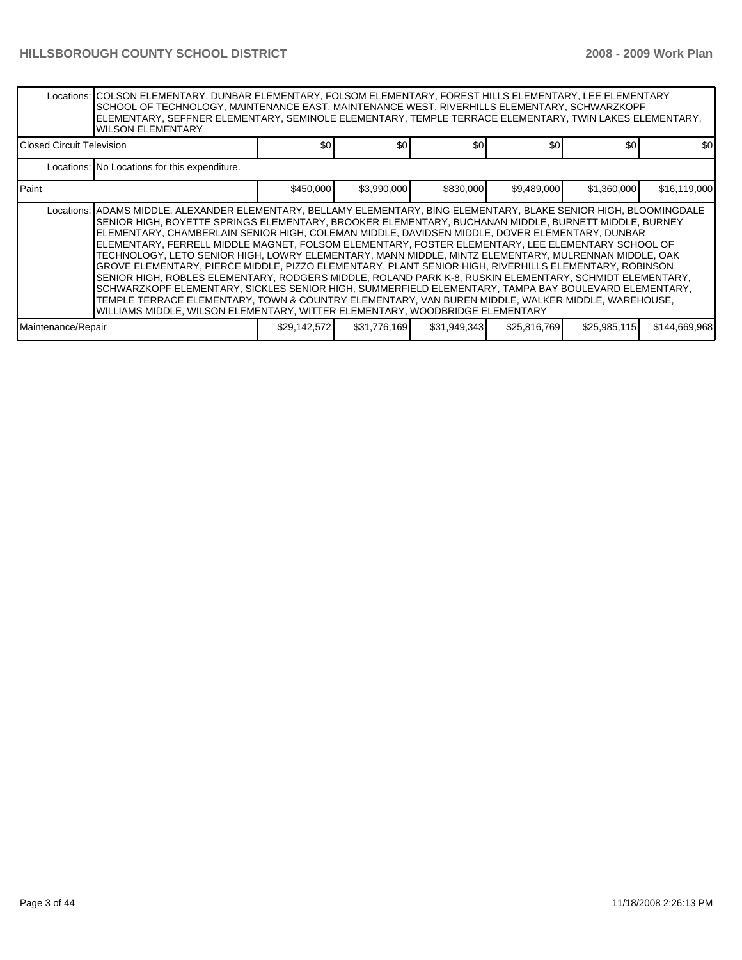|                             | Locations:   COLSON ELEMENTARY, DUNBAR ELEMENTARY, FOLSOM ELEMENTARY, FOREST HILLS ELEMENTARY, LEE ELEMENTARY<br>SCHOOL OF TECHNOLOGY, MAINTENANCE EAST, MAINTENANCE WEST, RIVERHILLS ELEMENTARY, SCHWARZKOPF<br>ELEMENTARY, SEFFNER ELEMENTARY, SEMINOLE ELEMENTARY, TEMPLE TERRACE ELEMENTARY, TWIN LAKES ELEMENTARY,<br><b>WILSON ELEMENTARY</b>                                                                                                                                                                                                                                                                                                                                                                                                                                                                                                                                                                                                                                                                                                           |              |              |              |              |              |               |  |  |  |
|-----------------------------|---------------------------------------------------------------------------------------------------------------------------------------------------------------------------------------------------------------------------------------------------------------------------------------------------------------------------------------------------------------------------------------------------------------------------------------------------------------------------------------------------------------------------------------------------------------------------------------------------------------------------------------------------------------------------------------------------------------------------------------------------------------------------------------------------------------------------------------------------------------------------------------------------------------------------------------------------------------------------------------------------------------------------------------------------------------|--------------|--------------|--------------|--------------|--------------|---------------|--|--|--|
| l Closed Circuit Television |                                                                                                                                                                                                                                                                                                                                                                                                                                                                                                                                                                                                                                                                                                                                                                                                                                                                                                                                                                                                                                                               | \$0          | \$0          | \$0          | \$0          | \$0          | \$0           |  |  |  |
|                             | Locations: No Locations for this expenditure.                                                                                                                                                                                                                                                                                                                                                                                                                                                                                                                                                                                                                                                                                                                                                                                                                                                                                                                                                                                                                 |              |              |              |              |              |               |  |  |  |
| l Paint                     |                                                                                                                                                                                                                                                                                                                                                                                                                                                                                                                                                                                                                                                                                                                                                                                                                                                                                                                                                                                                                                                               | \$450,000    | \$3,990,000  | \$830,000    | \$9,489,000  | \$1,360,000  | \$16,119,000  |  |  |  |
|                             | Locations:   ADAMS MIDDLE, ALEXANDER ELEMENTARY, BELLAMY ELEMENTARY, BING ELEMENTARY, BLAKE SENIOR HIGH, BLOOMINGDALE<br>SENIOR HIGH, BOYETTE SPRINGS ELEMENTARY, BROOKER ELEMENTARY, BUCHANAN MIDDLE, BURNETT MIDDLE, BURNEY<br>ELEMENTARY, CHAMBERLAIN SENIOR HIGH, COLEMAN MIDDLE, DAVIDSEN MIDDLE, DOVER ELEMENTARY, DUNBAR<br>ELEMENTARY, FERRELL MIDDLE MAGNET, FOLSOM ELEMENTARY, FOSTER ELEMENTARY, LEE ELEMENTARY SCHOOL OF<br>TECHNOLOGY, LETO SENIOR HIGH, LOWRY ELEMENTARY, MANN MIDDLE, MINTZ ELEMENTARY, MULRENNAN MIDDLE, OAK<br>GROVE ELEMENTARY, PIERCE MIDDLE, PIZZO ELEMENTARY, PLANT SENIOR HIGH, RIVERHILLS ELEMENTARY, ROBINSON<br>SENIOR HIGH, ROBLES ELEMENTARY, RODGERS MIDDLE, ROLAND PARK K-8, RUSKIN ELEMENTARY, SCHMIDT ELEMENTARY,<br>SCHWARZKOPF ELEMENTARY, SICKLES SENIOR HIGH, SUMMERFIELD ELEMENTARY, TAMPA BAY BOULEVARD ELEMENTARY,<br>TEMPLE TERRACE ELEMENTARY, TOWN & COUNTRY ELEMENTARY, VAN BUREN MIDDLE, WALKER MIDDLE, WAREHOUSE,<br>WILLIAMS MIDDLE, WILSON ELEMENTARY, WITTER ELEMENTARY, WOODBRIDGE ELEMENTARY |              |              |              |              |              |               |  |  |  |
| Maintenance/Repair          |                                                                                                                                                                                                                                                                                                                                                                                                                                                                                                                                                                                                                                                                                                                                                                                                                                                                                                                                                                                                                                                               | \$29,142,572 | \$31,776,169 | \$31,949,343 | \$25,816,769 | \$25,985,115 | \$144,669,968 |  |  |  |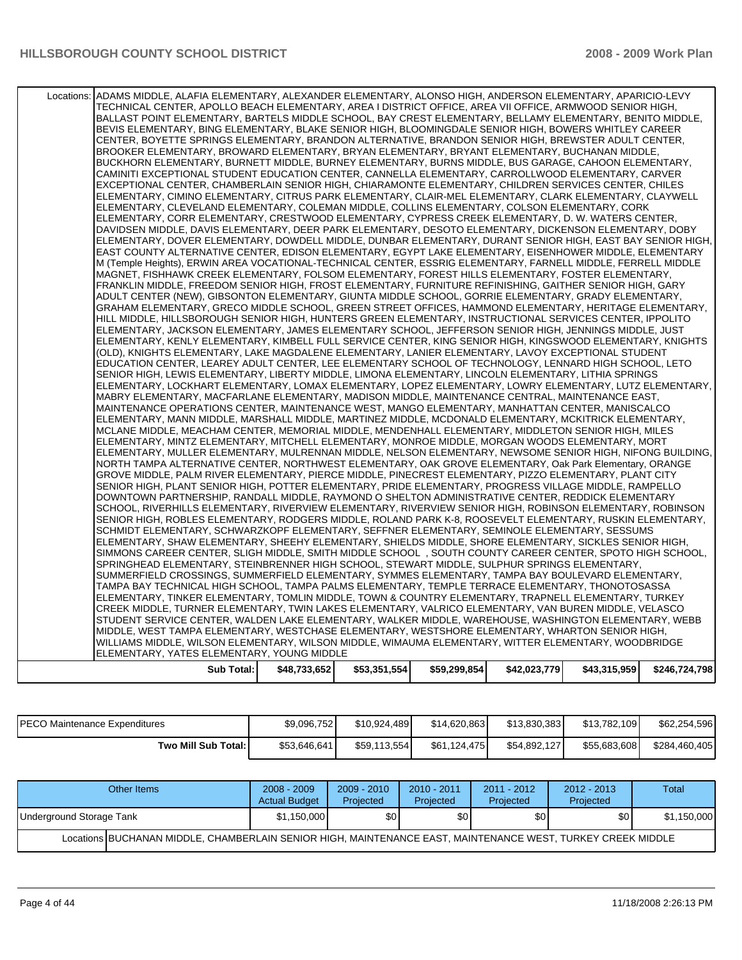| Locations: ADAMS MIDDLE, ALAFIA ELEMENTARY, ALEXANDER ELEMENTARY, ALONSO HIGH, ANDERSON ELEMENTARY, APARICIO-LEVY<br>TECHNICAL CENTER, APOLLO BEACH ELEMENTARY, AREA I DISTRICT OFFICE, AREA VII OFFICE, ARMWOOD SENIOR HIGH,<br>BALLAST POINT ELEMENTARY. BARTELS MIDDLE SCHOOL. BAY CREST ELEMENTARY. BELLAMY ELEMENTARY. BENITO MIDDLE.<br>BEVIS ELEMENTARY, BING ELEMENTARY, BLAKE SENIOR HIGH, BLOOMINGDALE SENIOR HIGH, BOWERS WHITLEY CAREER<br>CENTER, BOYETTE SPRINGS ELEMENTARY, BRANDON ALTERNATIVE, BRANDON SENIOR HIGH, BREWSTER ADULT CENTER,<br>BROOKER ELEMENTARY, BROWARD ELEMENTARY, BRYAN ELEMENTARY, BRYANT ELEMENTARY, BUCHANAN MIDDLE,<br>BUCKHORN ELEMENTARY, BURNETT MIDDLE, BURNEY ELEMENTARY, BURNS MIDDLE, BUS GARAGE, CAHOON ELEMENTARY,<br>CAMINITI EXCEPTIONAL STUDENT EDUCATION CENTER, CANNELLA ELEMENTARY, CARROLLWOOD ELEMENTARY, CARVER<br>EXCEPTIONAL CENTER, CHAMBERLAIN SENIOR HIGH, CHIARAMONTE ELEMENTARY, CHILDREN SERVICES CENTER, CHILES<br>ELEMENTARY, CIMINO ELEMENTARY, CITRUS PARK ELEMENTARY, CLAIR-MEL ELEMENTARY, CLARK ELEMENTARY, CLAYWELL<br>ELEMENTARY, CLEVELAND ELEMENTARY, COLEMAN MIDDLE, COLLINS ELEMENTARY, COLSON ELEMENTARY, CORK<br>ELEMENTARY, CORR ELEMENTARY, CRESTWOOD ELEMENTARY, CYPRESS CREEK ELEMENTARY, D. W. WATERS CENTER,<br>DAVIDSEN MIDDLE, DAVIS ELEMENTARY, DEER PARK ELEMENTARY, DESOTO ELEMENTARY, DICKENSON ELEMENTARY, DOBY<br>ELEMENTARY, DOVER ELEMENTARY, DOWDELL MIDDLE, DUNBAR ELEMENTARY, DURANT SENIOR HIGH, EAST BAY SENIOR HIGH,<br>IEAST COUNTY ALTERNATIVE CENTER, EDISON ELEMENTARY, EGYPT LAKE ELEMENTARY, EISENHOWER MIDDLE, ELEMENTARY<br>M (Temple Heights), ERWIN AREA VOCATIONAL-TECHNICAL CENTER, ESSRIG ELEMENTARY, FARNELL MIDDLE, FERRELL MIDDLE<br>MAGNET, FISHHAWK CREEK ELEMENTARY, FOLSOM ELEMENTARY, FOREST HILLS ELEMENTARY, FOSTER ELEMENTARY,<br>FRANKLIN MIDDLE, FREEDOM SENIOR HIGH, FROST ELEMENTARY, FURNITURE REFINISHING, GAITHER SENIOR HIGH, GARY<br>ADULT CENTER (NEW), GIBSONTON ELEMENTARY, GIUNTA MIDDLE SCHOOL, GORRIE ELEMENTARY, GRADY ELEMENTARY,<br>GRAHAM ELEMENTARY. GRECO MIDDLE SCHOOL. GREEN STREET OFFICES. HAMMOND ELEMENTARY. HERITAGE ELEMENTARY.<br>HILL MIDDLE, HILLSBOROUGH SENIOR HIGH, HUNTERS GREEN ELEMENTARY, INSTRUCTIONAL SERVICES CENTER, IPPOLITO<br>ELEMENTARY, JACKSON ELEMENTARY, JAMES ELEMENTARY SCHOOL, JEFFERSON SENIOR HIGH, JENNINGS MIDDLE, JUST<br>ELEMENTARY, KENLY ELEMENTARY, KIMBELL FULL SERVICE CENTER, KING SENIOR HIGH, KINGSWOOD ELEMENTARY, KNIGHTS<br>(OLD), KNIGHTS ELEMENTARY, LAKE MAGDALENE ELEMENTARY, LANIER ELEMENTARY, LAVOY EXCEPTIONAL STUDENT<br>EDUCATION CENTER, LEAREY ADULT CENTER, LEE ELEMENTARY SCHOOL OF TECHNOLOGY, LENNARD HIGH SCHOOL, LETO<br>SENIOR HIGH, LEWIS ELEMENTARY, LIBERTY MIDDLE, LIMONA ELEMENTARY, LINCOLN ELEMENTARY, LITHIA SPRINGS<br>ELEMENTARY, LOCKHART ELEMENTARY, LOMAX ELEMENTARY, LOPEZ ELEMENTARY, LOWRY ELEMENTARY, LUTZ ELEMENTARY,<br>MABRY ELEMENTARY, MACFARLANE ELEMENTARY, MADISON MIDDLE, MAINTENANCE CENTRAL, MAINTENANCE EAST,<br>MAINTENANCE OPERATIONS CENTER, MAINTENANCE WEST, MANGO ELEMENTARY, MANHATTAN CENTER, MANISCALCO<br>ELEMENTARY, MANN MIDDLE, MARSHALL MIDDLE, MARTINEZ MIDDLE, MCDONALD ELEMENTARY, MCKITRICK ELEMENTARY,<br>MCLANE MIDDLE, MEACHAM CENTER, MEMORIAL MIDDLE, MENDENHALL ELEMENTARY, MIDDLETON SENIOR HIGH, MILES<br>ELEMENTARY, MINTZ ELEMENTARY, MITCHELL ELEMENTARY, MONROE MIDDLE, MORGAN WOODS ELEMENTARY, MORT<br>ELEMENTARY, MULLER ELEMENTARY, MULRENNAN MIDDLE, NELSON ELEMENTARY, NEWSOME SENIOR HIGH, NIFONG BUILDING,<br>NORTH TAMPA ALTERNATIVE CENTER, NORTHWEST ELEMENTARY, OAK GROVE ELEMENTARY, Oak Park Elementary, ORANGE<br>GROVE MIDDLE, PALM RIVER ELEMENTARY, PIERCE MIDDLE, PINECREST ELEMENTARY, PIZZO ELEMENTARY, PLANT CITY<br>SENIOR HIGH, PLANT SENIOR HIGH, POTTER ELEMENTARY, PRIDE ELEMENTARY, PROGRESS VILLAGE MIDDLE, RAMPELLO<br>DOWNTOWN PARTNERSHIP, RANDALL MIDDLE, RAYMOND O SHELTON ADMINISTRATIVE CENTER, REDDICK ELEMENTARY<br>SCHOOL, RIVERHILLS ELEMENTARY, RIVERVIEW ELEMENTARY, RIVERVIEW SENIOR HIGH, ROBINSON ELEMENTARY, ROBINSON<br>SENIOR HIGH, ROBLES ELEMENTARY, RODGERS MIDDLE, ROLAND PARK K-8, ROOSEVELT ELEMENTARY, RUSKIN ELEMENTARY,<br>SCHMIDT ELEMENTARY, SCHWARZKOPF ELEMENTARY, SEFFNER ELEMENTARY, SEMINOLE ELEMENTARY, SESSUMS<br>ELEMENTARY, SHAW ELEMENTARY, SHEEHY ELEMENTARY, SHIELDS MIDDLE, SHORE ELEMENTARY, SICKLES SENIOR HIGH,<br>SIMMONS CAREER CENTER, SLIGH MIDDLE, SMITH MIDDLE SCHOOL, SOUTH COUNTY CAREER CENTER, SPOTO HIGH SCHOOL,<br>SPRINGHEAD ELEMENTARY, STEINBRENNER HIGH SCHOOL, STEWART MIDDLE, SULPHUR SPRINGS ELEMENTARY,<br>SUMMERFIELD CROSSINGS, SUMMERFIELD ELEMENTARY, SYMMES ELEMENTARY, TAMPA BAY BOULEVARD ELEMENTARY,<br>TAMPA BAY TECHNICAL HIGH SCHOOL, TAMPA PALMS ELEMENTARY, TEMPLE TERRACE ELEMENTARY, THONOTOSASSA<br>ELEMENTARY, TINKER ELEMENTARY, TOMLIN MIDDLE, TOWN & COUNTRY ELEMENTARY, TRAPNELL ELEMENTARY, TURKEY<br>CREEK MIDDLE, TURNER ELEMENTARY, TWIN LAKES ELEMENTARY, VALRICO ELEMENTARY, VAN BUREN MIDDLE, VELASCO<br>STUDENT SERVICE CENTER, WALDEN LAKE ELEMENTARY, WALKER MIDDLE, WAREHOUSE, WASHINGTON ELEMENTARY, WEBB<br>MIDDLE, WEST TAMPA ELEMENTARY, WESTCHASE ELEMENTARY, WESTSHORE ELEMENTARY, WHARTON SENIOR HIGH,<br>WILLIAMS MIDDLE, WILSON ELEMENTARY, WILSON MIDDLE, WIMAUMA ELEMENTARY, WITTER ELEMENTARY, WOODBRIDGE<br>ELEMENTARY, YATES ELEMENTARY, YOUNG MIDDLE |              |              |              |              |              |               |
|-----------------------------------------------------------------------------------------------------------------------------------------------------------------------------------------------------------------------------------------------------------------------------------------------------------------------------------------------------------------------------------------------------------------------------------------------------------------------------------------------------------------------------------------------------------------------------------------------------------------------------------------------------------------------------------------------------------------------------------------------------------------------------------------------------------------------------------------------------------------------------------------------------------------------------------------------------------------------------------------------------------------------------------------------------------------------------------------------------------------------------------------------------------------------------------------------------------------------------------------------------------------------------------------------------------------------------------------------------------------------------------------------------------------------------------------------------------------------------------------------------------------------------------------------------------------------------------------------------------------------------------------------------------------------------------------------------------------------------------------------------------------------------------------------------------------------------------------------------------------------------------------------------------------------------------------------------------------------------------------------------------------------------------------------------------------------------------------------------------------------------------------------------------------------------------------------------------------------------------------------------------------------------------------------------------------------------------------------------------------------------------------------------------------------------------------------------------------------------------------------------------------------------------------------------------------------------------------------------------------------------------------------------------------------------------------------------------------------------------------------------------------------------------------------------------------------------------------------------------------------------------------------------------------------------------------------------------------------------------------------------------------------------------------------------------------------------------------------------------------------------------------------------------------------------------------------------------------------------------------------------------------------------------------------------------------------------------------------------------------------------------------------------------------------------------------------------------------------------------------------------------------------------------------------------------------------------------------------------------------------------------------------------------------------------------------------------------------------------------------------------------------------------------------------------------------------------------------------------------------------------------------------------------------------------------------------------------------------------------------------------------------------------------------------------------------------------------------------------------------------------------------------------------------------------------------------------------------------------------------------------------------------------------------------------------------------------------------------------------------------------------------------------------------------------------------------------------------------------------------------------------------------------------------------------------------------------------------------------------------------------------------------------------------------------------------------------------------------------------------------------------------------------------------------------------------------------------------------------------------------------------------------------------------------------------------------------------------------------------------------------------------------------------------------------------------------------------------------------------------------------------------------------------------------------------------------------------------------------------------------------------------------------------------------------------------------------------------------------------------------------------------------------------------------------------------------------------------------------------------|--------------|--------------|--------------|--------------|--------------|---------------|
| Sub Total:                                                                                                                                                                                                                                                                                                                                                                                                                                                                                                                                                                                                                                                                                                                                                                                                                                                                                                                                                                                                                                                                                                                                                                                                                                                                                                                                                                                                                                                                                                                                                                                                                                                                                                                                                                                                                                                                                                                                                                                                                                                                                                                                                                                                                                                                                                                                                                                                                                                                                                                                                                                                                                                                                                                                                                                                                                                                                                                                                                                                                                                                                                                                                                                                                                                                                                                                                                                                                                                                                                                                                                                                                                                                                                                                                                                                                                                                                                                                                                                                                                                                                                                                                                                                                                                                                                                                                                                                                                                                                                                                                                                                                                                                                                                                                                                                                                                                                                                                                                                                                                                                                                                                                                                                                                                                                                                                                                                                                                                                              | \$48,733,652 | \$53,351,554 | \$59,299,854 | \$42,023,779 | \$43,315,959 | \$246,724,798 |
|                                                                                                                                                                                                                                                                                                                                                                                                                                                                                                                                                                                                                                                                                                                                                                                                                                                                                                                                                                                                                                                                                                                                                                                                                                                                                                                                                                                                                                                                                                                                                                                                                                                                                                                                                                                                                                                                                                                                                                                                                                                                                                                                                                                                                                                                                                                                                                                                                                                                                                                                                                                                                                                                                                                                                                                                                                                                                                                                                                                                                                                                                                                                                                                                                                                                                                                                                                                                                                                                                                                                                                                                                                                                                                                                                                                                                                                                                                                                                                                                                                                                                                                                                                                                                                                                                                                                                                                                                                                                                                                                                                                                                                                                                                                                                                                                                                                                                                                                                                                                                                                                                                                                                                                                                                                                                                                                                                                                                                                                                         |              |              |              |              |              |               |

| <b>PECO Maintenance Expenditures</b> | \$9,096,752  | \$10.924.489 | \$14.620.863 | \$13,830,383 | \$13,782,109 | \$62,254,596  |
|--------------------------------------|--------------|--------------|--------------|--------------|--------------|---------------|
| Two Mill Sub Total:                  | \$53.646.641 | \$59.113.554 | \$61.124.475 | \$54.892.127 | \$55,683,608 | \$284,460,405 |

| Other Items                                                                                                 | $2008 - 2009$<br><b>Actual Budget</b> | $2009 - 2010$<br>Projected | $2010 - 2011$<br>Projected | $2011 - 2012$<br>Projected | $2012 - 2013$<br>Projected | Total       |  |  |
|-------------------------------------------------------------------------------------------------------------|---------------------------------------|----------------------------|----------------------------|----------------------------|----------------------------|-------------|--|--|
| Underground Storage Tank                                                                                    | \$1,150,000                           | \$0                        | \$0                        | \$0                        | \$0 <sub>0</sub>           | \$1,150,000 |  |  |
| Locations BUCHANAN MIDDLE, CHAMBERLAIN SENIOR HIGH, MAINTENANCE EAST, MAINTENANCE WEST, TURKEY CREEK MIDDLE |                                       |                            |                            |                            |                            |             |  |  |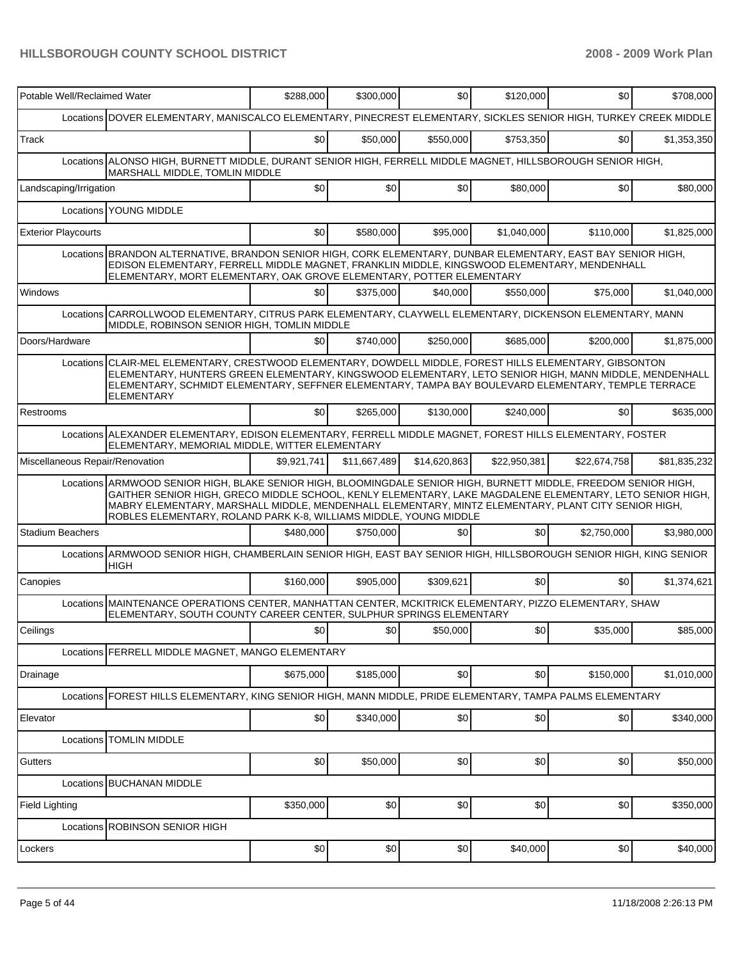| Potable Well/Reclaimed Water    |                                                                                                                                                                                                                                                                                                                                                                                                          | \$288,000   | \$300,000    | \$0          | \$120,000    | \$0          | \$708,000    |
|---------------------------------|----------------------------------------------------------------------------------------------------------------------------------------------------------------------------------------------------------------------------------------------------------------------------------------------------------------------------------------------------------------------------------------------------------|-------------|--------------|--------------|--------------|--------------|--------------|
|                                 | Locations DOVER ELEMENTARY, MANISCALCO ELEMENTARY, PINECREST ELEMENTARY, SICKLES SENIOR HIGH, TURKEY CREEK MIDDLE                                                                                                                                                                                                                                                                                        |             |              |              |              |              |              |
| Track                           |                                                                                                                                                                                                                                                                                                                                                                                                          | \$0         | \$50,000     | \$550,000    | \$753,350    | \$0          | \$1,353,350  |
|                                 | Locations ALONSO HIGH, BURNETT MIDDLE, DURANT SENIOR HIGH, FERRELL MIDDLE MAGNET, HILLSBOROUGH SENIOR HIGH,<br><b>MARSHALL MIDDLE, TOMLIN MIDDLE</b>                                                                                                                                                                                                                                                     |             |              |              |              |              |              |
| Landscaping/Irrigation          |                                                                                                                                                                                                                                                                                                                                                                                                          | \$0         | \$0          | \$0          | \$80,000     | \$0          | \$80,000     |
|                                 | Locations YOUNG MIDDLE                                                                                                                                                                                                                                                                                                                                                                                   |             |              |              |              |              |              |
| <b>Exterior Playcourts</b>      |                                                                                                                                                                                                                                                                                                                                                                                                          | \$0         | \$580,000    | \$95,000     | \$1,040,000  | \$110,000    | \$1,825,000  |
|                                 | Locations BRANDON ALTERNATIVE, BRANDON SENIOR HIGH, CORK ELEMENTARY, DUNBAR ELEMENTARY, EAST BAY SENIOR HIGH,<br>EDISON ELEMENTARY, FERRELL MIDDLE MAGNET, FRANKLIN MIDDLE, KINGSWOOD ELEMENTARY, MENDENHALL<br>ELEMENTARY, MORT ELEMENTARY, OAK GROVE ELEMENTARY, POTTER ELEMENTARY                                                                                                                     |             |              |              |              |              |              |
| Windows                         |                                                                                                                                                                                                                                                                                                                                                                                                          | \$0         | \$375,000    | \$40,000     | \$550,000    | \$75,000     | \$1,040,000  |
|                                 | Locations CARROLLWOOD ELEMENTARY, CITRUS PARK ELEMENTARY, CLAYWELL ELEMENTARY, DICKENSON ELEMENTARY, MANN<br>MIDDLE, ROBINSON SENIOR HIGH, TOMLIN MIDDLE                                                                                                                                                                                                                                                 |             |              |              |              |              |              |
| Doors/Hardware                  |                                                                                                                                                                                                                                                                                                                                                                                                          | \$0         | \$740,000    | \$250,000    | \$685,000    | \$200,000    | \$1,875,000  |
|                                 | Locations CLAIR-MEL ELEMENTARY, CRESTWOOD ELEMENTARY, DOWDELL MIDDLE, FOREST HILLS ELEMENTARY, GIBSONTON<br>ELEMENTARY, HUNTERS GREEN ELEMENTARY, KINGSWOOD ELEMENTARY, LETO SENIOR HIGH, MANN MIDDLE, MENDENHALL<br>ELEMENTARY, SCHMIDT ELEMENTARY, SEFFNER ELEMENTARY, TAMPA BAY BOULEVARD ELEMENTARY, TEMPLE TERRACE<br><b>ELEMENTARY</b>                                                             |             |              |              |              |              |              |
| Restrooms                       |                                                                                                                                                                                                                                                                                                                                                                                                          | \$0         | \$265,000    | \$130,000    | \$240,000    | \$0          | \$635,000    |
|                                 | Locations ALEXANDER ELEMENTARY, EDISON ELEMENTARY, FERRELL MIDDLE MAGNET, FOREST HILLS ELEMENTARY, FOSTER<br>ELEMENTARY, MEMORIAL MIDDLE, WITTER ELEMENTARY                                                                                                                                                                                                                                              |             |              |              |              |              |              |
| Miscellaneous Repair/Renovation |                                                                                                                                                                                                                                                                                                                                                                                                          | \$9,921,741 | \$11,667,489 | \$14,620,863 | \$22,950,381 | \$22,674,758 | \$81,835,232 |
|                                 | Locations ARMWOOD SENIOR HIGH, BLAKE SENIOR HIGH, BLOOMINGDALE SENIOR HIGH, BURNETT MIDDLE, FREEDOM SENIOR HIGH,<br>GAITHER SENIOR HIGH, GRECO MIDDLE SCHOOL, KENLY ELEMENTARY, LAKE MAGDALENE ELEMENTARY, LETO SENIOR HIGH,<br>MABRY ELEMENTARY, MARSHALL MIDDLE, MENDENHALL ELEMENTARY, MINTZ ELEMENTARY, PLANT CITY SENIOR HIGH,<br>ROBLES ELEMENTARY, ROLAND PARK K-8, WILLIAMS MIDDLE, YOUNG MIDDLE |             |              |              |              |              |              |
| <b>Stadium Beachers</b>         |                                                                                                                                                                                                                                                                                                                                                                                                          | \$480,000   | \$750,000    | \$0          | \$0          | \$2,750,000  | \$3,980,000  |
|                                 | Locations ARMWOOD SENIOR HIGH, CHAMBERLAIN SENIOR HIGH, EAST BAY SENIOR HIGH, HILLSBOROUGH SENIOR HIGH, KING SENIOR<br><b>HIGH</b>                                                                                                                                                                                                                                                                       |             |              |              |              |              |              |
| Canopies                        |                                                                                                                                                                                                                                                                                                                                                                                                          | \$160,000   | \$905,000    | \$309,621    | \$0          | \$0          | \$1,374,621  |
|                                 | Locations MAINTENANCE OPERATIONS CENTER, MANHATTAN CENTER, MCKITRICK ELEMENTARY, PIZZO ELEMENTARY, SHAW<br>ELEMENTARY, SOUTH COUNTY CAREER CENTER, SULPHUR SPRINGS ELEMENTARY                                                                                                                                                                                                                            |             |              |              |              |              |              |
| Ceilings                        |                                                                                                                                                                                                                                                                                                                                                                                                          | \$0         | \$0          | \$50,000     | \$0          | \$35,000     | \$85,000     |
|                                 | Locations FERRELL MIDDLE MAGNET, MANGO ELEMENTARY                                                                                                                                                                                                                                                                                                                                                        |             |              |              |              |              |              |
| Drainage                        |                                                                                                                                                                                                                                                                                                                                                                                                          | \$675,000   | \$185,000    | \$0          | \$0          | \$150,000    | \$1,010,000  |
|                                 | Locations FOREST HILLS ELEMENTARY, KING SENIOR HIGH, MANN MIDDLE, PRIDE ELEMENTARY, TAMPA PALMS ELEMENTARY                                                                                                                                                                                                                                                                                               |             |              |              |              |              |              |
| Elevator                        |                                                                                                                                                                                                                                                                                                                                                                                                          | \$0         | \$340,000    | \$0          | \$0          | \$0          | \$340,000    |
|                                 | Locations TOMLIN MIDDLE                                                                                                                                                                                                                                                                                                                                                                                  |             |              |              |              |              |              |
| Gutters                         |                                                                                                                                                                                                                                                                                                                                                                                                          | \$0         | \$50,000     | \$0          | \$0          | \$0          | \$50,000     |
|                                 | Locations BUCHANAN MIDDLE                                                                                                                                                                                                                                                                                                                                                                                |             |              |              |              |              |              |
| <b>Field Lighting</b>           |                                                                                                                                                                                                                                                                                                                                                                                                          | \$350,000   | \$0          | \$0          | \$0          | \$0          | \$350,000    |
|                                 | Locations ROBINSON SENIOR HIGH                                                                                                                                                                                                                                                                                                                                                                           |             |              |              |              |              |              |
| Lockers                         |                                                                                                                                                                                                                                                                                                                                                                                                          | \$0         | \$0          | \$0          | \$40,000     | \$0          | \$40,000     |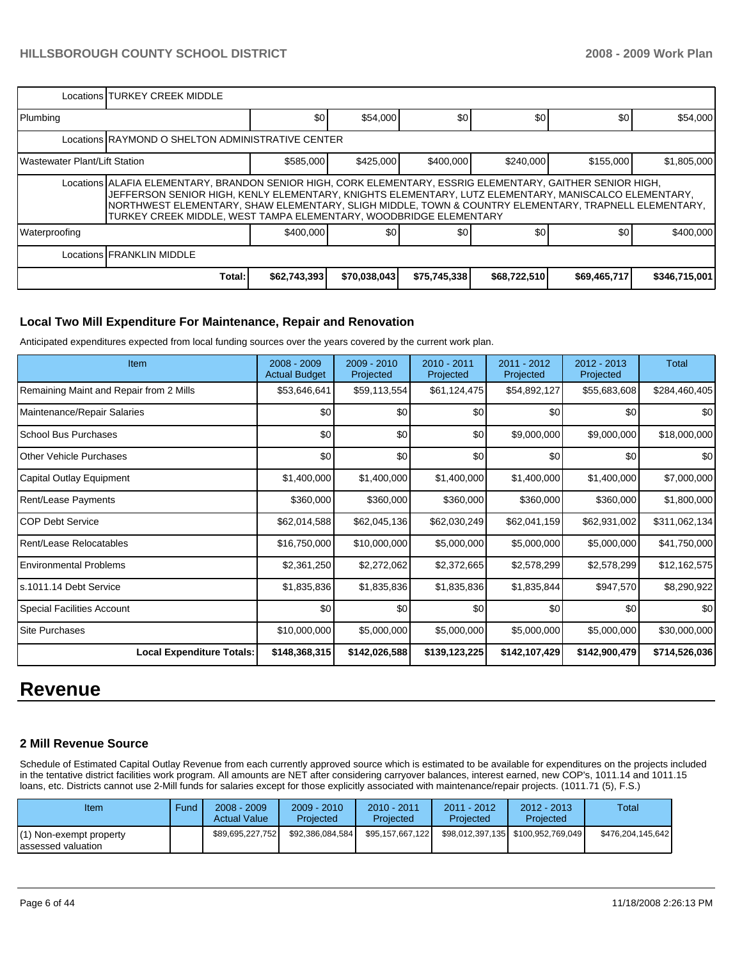|                                                                                                                                                                                                                                                                                                                                                                                                 | Locations TURKEY CREEK MIDDLE                     |              |              |              |              |                  |               |  |  |  |
|-------------------------------------------------------------------------------------------------------------------------------------------------------------------------------------------------------------------------------------------------------------------------------------------------------------------------------------------------------------------------------------------------|---------------------------------------------------|--------------|--------------|--------------|--------------|------------------|---------------|--|--|--|
| Plumbing                                                                                                                                                                                                                                                                                                                                                                                        |                                                   | \$0          | \$54,000     | \$0          | \$0          | \$0              | \$54,000      |  |  |  |
|                                                                                                                                                                                                                                                                                                                                                                                                 | Locations RAYMOND O SHELTON ADMINISTRATIVE CENTER |              |              |              |              |                  |               |  |  |  |
| <b>IWastewater Plant/Lift Station</b>                                                                                                                                                                                                                                                                                                                                                           |                                                   | \$585,000    | \$425,000    | \$400,000    | \$240,000    | \$155,000        | \$1,805,000   |  |  |  |
| Locations ALAFIA ELEMENTARY, BRANDON SENIOR HIGH, CORK ELEMENTARY, ESSRIG ELEMENTARY, GAITHER SENIOR HIGH,<br>JEFFERSON SENIOR HIGH, KENLY ELEMENTARY, KNIGHTS ELEMENTARY, LUTZ ELEMENTARY, MANISCALCO ELEMENTARY,<br>NORTHWEST ELEMENTARY, SHAW ELEMENTARY, SLIGH MIDDLE, TOWN & COUNTRY ELEMENTARY, TRAPNELL ELEMENTARY,<br>TURKEY CREEK MIDDLE, WEST TAMPA ELEMENTARY, WOODBRIDGE ELEMENTARY |                                                   |              |              |              |              |                  |               |  |  |  |
| <b>Waterproofing</b>                                                                                                                                                                                                                                                                                                                                                                            |                                                   | \$400,000    | \$0          | \$0          | \$0          | \$0 <sub>1</sub> | \$400,000     |  |  |  |
|                                                                                                                                                                                                                                                                                                                                                                                                 | Locations <b><i>FRANKLIN MIDDLE</i></b>           |              |              |              |              |                  |               |  |  |  |
|                                                                                                                                                                                                                                                                                                                                                                                                 | Total:                                            | \$62,743,393 | \$70,038,043 | \$75,745,338 | \$68,722,510 | \$69,465,717     | \$346,715,001 |  |  |  |

#### **Local Two Mill Expenditure For Maintenance, Repair and Renovation**

Anticipated expenditures expected from local funding sources over the years covered by the current work plan.

| <b>Item</b>                             | $2008 - 2009$<br><b>Actual Budget</b> | 2009 - 2010<br>Projected | $2010 - 2011$<br>Projected | 2011 - 2012<br>Projected | $2012 - 2013$<br>Projected | <b>Total</b>  |
|-----------------------------------------|---------------------------------------|--------------------------|----------------------------|--------------------------|----------------------------|---------------|
| Remaining Maint and Repair from 2 Mills | \$53,646,641                          | \$59,113,554             | \$61,124,475               | \$54,892,127             | \$55,683,608               | \$284,460,405 |
| Maintenance/Repair Salaries             | \$0                                   | \$0                      | \$0                        | \$0                      | \$0                        | \$0           |
| School Bus Purchases                    | \$0                                   | \$0                      | \$0                        | \$9,000,000              | \$9,000,000                | \$18,000,000  |
| Other Vehicle Purchases                 | \$0                                   | \$0                      | \$0                        | \$0                      | \$0                        | \$0           |
| Capital Outlay Equipment                | \$1,400,000                           | \$1,400,000              | \$1,400,000                | \$1,400,000              | \$1,400,000                | \$7,000,000   |
| Rent/Lease Payments                     | \$360,000                             | \$360,000                | \$360,000                  | \$360,000                | \$360,000                  | \$1,800,000   |
| <b>COP Debt Service</b>                 | \$62,014,588                          | \$62,045,136             | \$62,030,249               | \$62,041,159             | \$62,931,002               | \$311,062,134 |
| Rent/Lease Relocatables                 | \$16,750,000                          | \$10,000,000             | \$5,000,000                | \$5,000,000              | \$5,000,000                | \$41,750,000  |
| <b>Environmental Problems</b>           | \$2,361,250                           | \$2,272,062              | \$2,372,665                | \$2,578,299              | \$2,578,299                | \$12,162,575  |
| ls.1011.14 Debt Service                 | \$1,835,836                           | \$1,835,836              | \$1,835,836                | \$1,835,844              | \$947,570                  | \$8,290,922   |
| Special Facilities Account              | \$0                                   | \$0                      | \$0                        | \$0                      | \$0                        | \$0           |
| <b>Site Purchases</b>                   | \$10,000,000                          | \$5,000,000              | \$5,000,000                | \$5,000,000              | \$5,000,000                | \$30,000,000  |
| <b>Local Expenditure Totals:</b>        | \$148,368,315                         | \$142,026,588            | \$139,123,225              | \$142,107,429            | \$142,900,479              | \$714,526,036 |

## **Revenue**

#### **2 Mill Revenue Source**

Schedule of Estimated Capital Outlay Revenue from each currently approved source which is estimated to be available for expenditures on the projects included in the tentative district facilities work program. All amounts are NET after considering carryover balances, interest earned, new COP's, 1011.14 and 1011.15 loans, etc. Districts cannot use 2-Mill funds for salaries except for those explicitly associated with maintenance/repair projects. (1011.71 (5), F.S.)

| Item                                          | Fund | $2008 - 2009$<br><b>Actual Value</b> | $2009 - 2010$<br>Projected | $2010 - 2011$<br>Projected | 2011 - 2012<br>Projected | $2012 - 2013$<br>Projected           | Total             |
|-----------------------------------------------|------|--------------------------------------|----------------------------|----------------------------|--------------------------|--------------------------------------|-------------------|
| (1) Non-exempt property<br>assessed valuation |      | \$89.695.227.752                     | \$92,386,084,584           | \$95.157.667.122           |                          | \$98.012.397.135   \$100.952.769.049 | \$476,204,145,642 |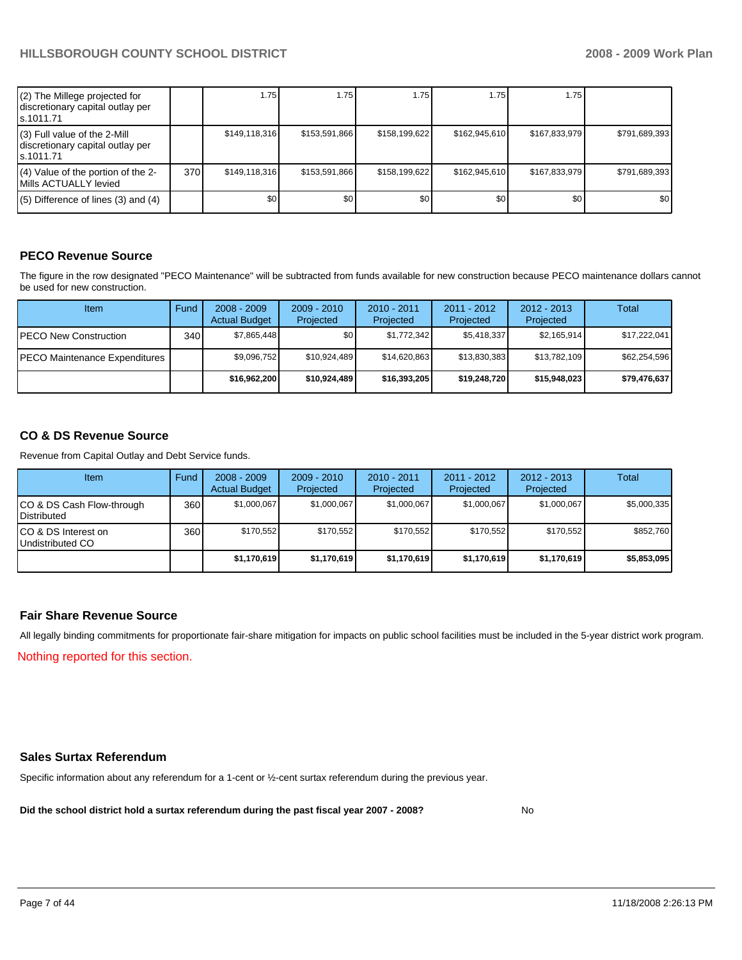| (2) The Millege projected for<br>discretionary capital outlay per<br>ls.1011.71 |     | 1.75             | 1.75          | 1.75          | 1.75          | 1.75          |               |
|---------------------------------------------------------------------------------|-----|------------------|---------------|---------------|---------------|---------------|---------------|
| (3) Full value of the 2-Mill<br>discretionary capital outlay per<br>ls.1011.71  |     | \$149,118,316    | \$153,591,866 | \$158,199,622 | \$162,945,610 | \$167.833.979 | \$791,689,393 |
| (4) Value of the portion of the 2-<br>Mills ACTUALLY levied                     | 370 | \$149,118,316    | \$153,591,866 | \$158,199,622 | \$162,945,610 | \$167.833.979 | \$791,689,393 |
| $(5)$ Difference of lines (3) and (4)                                           |     | \$0 <sub>1</sub> | \$0           | \$0           | \$0           | \$0           | \$0           |

#### **PECO Revenue Source**

The figure in the row designated "PECO Maintenance" will be subtracted from funds available for new construction because PECO maintenance dollars cannot be used for new construction.

| Item                                 | Fund  | $2008 - 2009$<br><b>Actual Budget</b> | $2009 - 2010$<br>Projected | $2010 - 2011$<br>Projected | $2011 - 2012$<br>Projected | $2012 - 2013$<br>Projected | Total        |
|--------------------------------------|-------|---------------------------------------|----------------------------|----------------------------|----------------------------|----------------------------|--------------|
| IPECO New Construction               | 340 l | \$7.865.448                           | \$0 <sub>1</sub>           | \$1,772,342                | \$5.418.337                | \$2,165,914                | \$17,222,041 |
| <b>PECO Maintenance Expenditures</b> |       | \$9,096,752                           | \$10,924,489               | \$14,620,863               | \$13,830,383               | \$13,782,109               | \$62,254,596 |
|                                      |       | \$16,962,200                          | \$10,924,489               | \$16,393,205               | \$19,248,720               | \$15,948,023               | \$79,476,637 |

#### **CO & DS Revenue Source**

Revenue from Capital Outlay and Debt Service funds.

| Item                                     | Fund | $2008 - 2009$<br><b>Actual Budget</b> | $2009 - 2010$<br>Projected | $2010 - 2011$<br>Projected | 2011 - 2012<br>Projected | $2012 - 2013$<br>Projected | Total       |
|------------------------------------------|------|---------------------------------------|----------------------------|----------------------------|--------------------------|----------------------------|-------------|
| CO & DS Cash Flow-through<br>Distributed | 360  | \$1.000.067                           | \$1,000,067                | \$1,000,067                | \$1,000,067              | \$1,000,067                | \$5,000,335 |
| CO & DS Interest on<br>Undistributed CO  | 360  | \$170.552                             | \$170,552                  | \$170.552                  | \$170,552                | \$170,552                  | \$852,760   |
|                                          |      | \$1,170,619                           | \$1,170,619                | \$1,170,619                | \$1,170,619              | \$1,170,619                | \$5,853,095 |

#### **Fair Share Revenue Source**

All legally binding commitments for proportionate fair-share mitigation for impacts on public school facilities must be included in the 5-year district work program. Nothing reported for this section.

#### **Sales Surtax Referendum**

Specific information about any referendum for a 1-cent or ½-cent surtax referendum during the previous year.

**Did the school district hold a surtax referendum during the past fiscal year 2007 - 2008?** No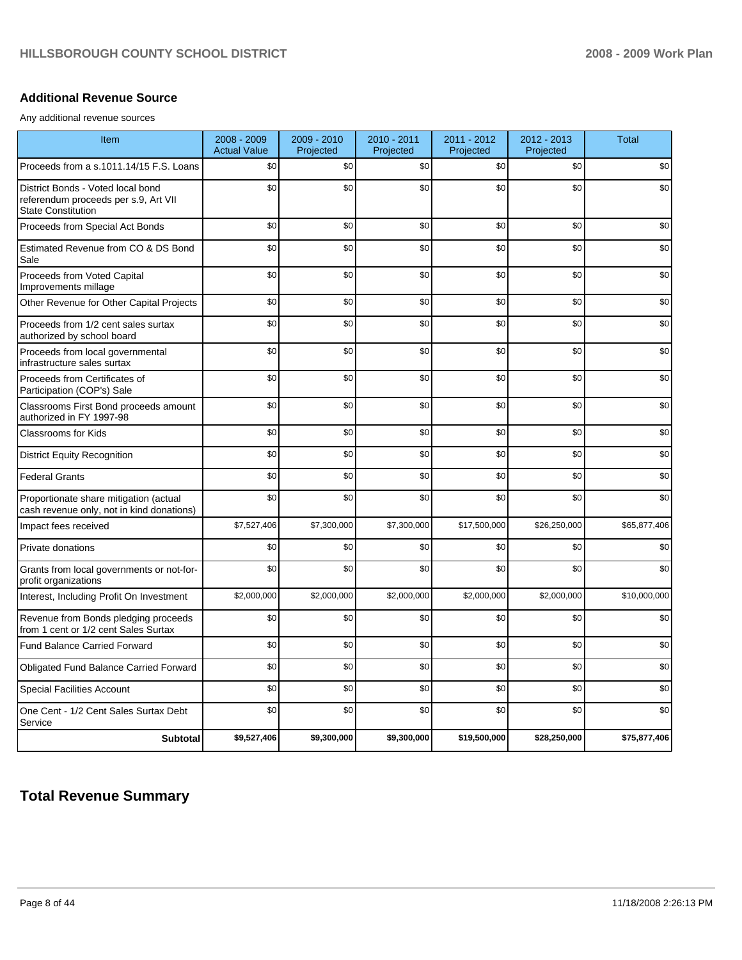#### **Additional Revenue Source**

Any additional revenue sources

| Item                                                                                                   | $2008 - 2009$<br><b>Actual Value</b> | 2009 - 2010<br>Projected | 2010 - 2011<br>Projected | 2011 - 2012<br>Projected | 2012 - 2013<br>Projected | <b>Total</b> |
|--------------------------------------------------------------------------------------------------------|--------------------------------------|--------------------------|--------------------------|--------------------------|--------------------------|--------------|
| Proceeds from a s.1011.14/15 F.S. Loans                                                                | \$0                                  | \$0                      | \$0                      | \$0                      | \$0                      | \$0          |
| District Bonds - Voted local bond<br>referendum proceeds per s.9, Art VII<br><b>State Constitution</b> | \$0                                  | \$0                      | \$0                      | \$0                      | \$0                      | \$0          |
| Proceeds from Special Act Bonds                                                                        | \$0                                  | \$0                      | \$0                      | \$0                      | \$0                      | \$0          |
| Estimated Revenue from CO & DS Bond<br>Sale                                                            | \$0                                  | \$0                      | \$0                      | \$0                      | \$0                      | \$0          |
| Proceeds from Voted Capital<br>Improvements millage                                                    | \$0                                  | \$0                      | \$0                      | \$0                      | \$0                      | \$0          |
| Other Revenue for Other Capital Projects                                                               | \$0                                  | \$0                      | \$0                      | \$0                      | \$0                      | \$0          |
| Proceeds from 1/2 cent sales surtax<br>authorized by school board                                      | \$0                                  | \$0                      | \$0                      | \$0                      | \$0                      | \$0          |
| Proceeds from local governmental<br>infrastructure sales surtax                                        | \$0                                  | \$0                      | \$0                      | \$0                      | \$0                      | \$0          |
| Proceeds from Certificates of<br>Participation (COP's) Sale                                            | \$0                                  | \$0                      | \$0                      | \$0                      | \$0                      | \$0          |
| Classrooms First Bond proceeds amount<br>authorized in FY 1997-98                                      | \$0                                  | \$0                      | \$0                      | \$0                      | \$0                      | \$0          |
| <b>Classrooms for Kids</b>                                                                             | \$0                                  | \$0                      | \$0                      | \$0                      | \$0                      | \$0          |
| <b>District Equity Recognition</b>                                                                     | \$0                                  | \$0                      | \$0                      | \$0                      | \$0                      | \$0          |
| <b>Federal Grants</b>                                                                                  | \$0                                  | \$0                      | \$0                      | \$0                      | \$0                      | \$0          |
| Proportionate share mitigation (actual<br>cash revenue only, not in kind donations)                    | \$0                                  | \$0                      | \$0                      | \$0                      | \$0                      | \$0          |
| Impact fees received                                                                                   | \$7,527,406                          | \$7,300,000              | \$7,300,000              | \$17,500,000             | \$26,250,000             | \$65,877,406 |
| Private donations                                                                                      | \$0                                  | \$0                      | \$0                      | \$0                      | \$0                      | \$0          |
| Grants from local governments or not-for-<br>profit organizations                                      | \$0                                  | \$0                      | \$0                      | \$0                      | \$0                      | \$0          |
| Interest, Including Profit On Investment                                                               | \$2,000,000                          | \$2,000,000              | \$2,000,000              | \$2,000,000              | \$2,000,000              | \$10,000,000 |
| Revenue from Bonds pledging proceeds<br>from 1 cent or 1/2 cent Sales Surtax                           | \$0                                  | \$0                      | \$0                      | \$0                      | \$0                      | \$0          |
| <b>Fund Balance Carried Forward</b>                                                                    | \$0                                  | \$0                      | \$0                      | \$0                      | \$0                      | \$0          |
| Obligated Fund Balance Carried Forward                                                                 | \$0                                  | \$0                      | \$0                      | \$0                      | \$0                      | \$0          |
| <b>Special Facilities Account</b>                                                                      | \$0                                  | \$0                      | \$0                      | \$0                      | \$0                      | \$0          |
| One Cent - 1/2 Cent Sales Surtax Debt<br>Service                                                       | \$0                                  | \$0                      | \$0                      | \$0                      | \$0                      | \$0          |
| <b>Subtotal</b>                                                                                        | \$9,527,406                          | \$9,300,000              | \$9,300,000              | \$19,500,000             | \$28,250,000             | \$75,877,406 |

## **Total Revenue Summary**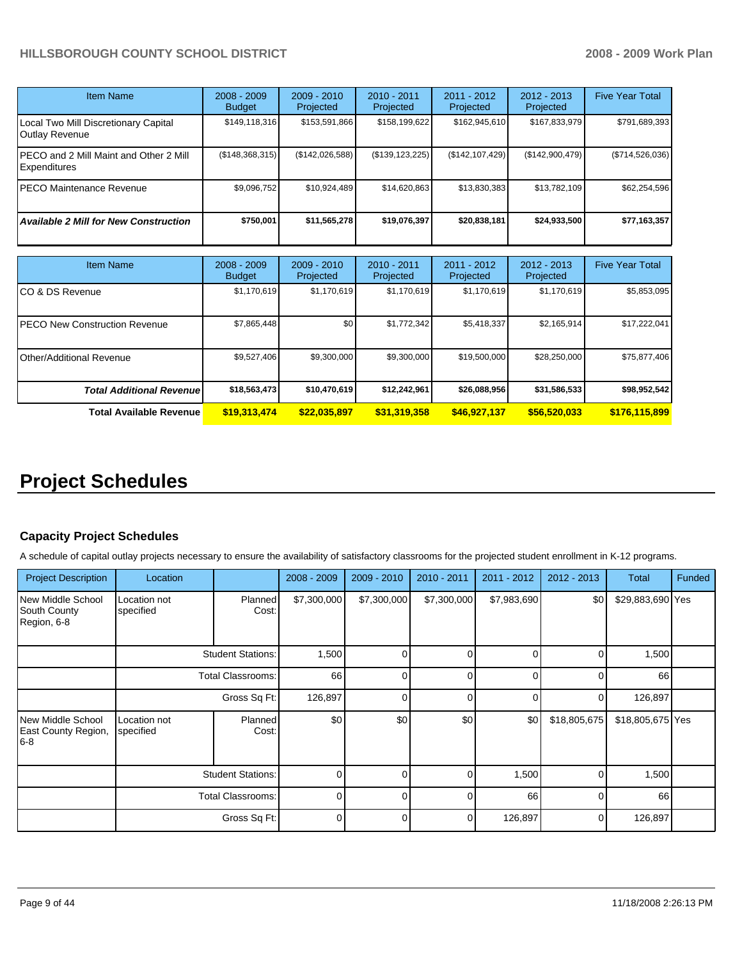| <b>Item Name</b>                                              | $2008 - 2009$<br><b>Budget</b> | $2009 - 2010$<br>Projected | $2010 - 2011$<br>Projected | $2011 - 2012$<br>Projected | $2012 - 2013$<br>Projected | <b>Five Year Total</b> |
|---------------------------------------------------------------|--------------------------------|----------------------------|----------------------------|----------------------------|----------------------------|------------------------|
| Local Two Mill Discretionary Capital<br><b>Outlay Revenue</b> | \$149,118,316                  | \$153,591,866              | \$158,199,622              | \$162,945,610              | \$167,833,979              | \$791,689,393          |
| PECO and 2 Mill Maint and Other 2 Mill<br>Expenditures        | (\$148,368,315)                | (\$142,026,588)            | (\$139, 123, 225)          | (\$142, 107, 429)          | (\$142,900,479)            | (\$714,526,036)        |
| PECO Maintenance Revenue                                      | \$9.096.752                    | \$10.924.489               | \$14.620.863               | \$13.830.383               | \$13,782,109               | \$62,254,596           |
| <b>Available 2 Mill for New Construction</b>                  | \$750.001                      | \$11,565,278               | \$19,076,397               | \$20,838,181               | \$24,933,500               | \$77,163,357           |

| <b>Item Name</b>                      | $2008 - 2009$<br><b>Budget</b> | $2009 - 2010$<br>Projected | $2010 - 2011$<br>Projected | 2011 - 2012<br>Projected | $2012 - 2013$<br>Projected | <b>Five Year Total</b> |
|---------------------------------------|--------------------------------|----------------------------|----------------------------|--------------------------|----------------------------|------------------------|
| ICO & DS Revenue                      | \$1,170,619                    | \$1,170,619                | \$1,170,619                | \$1,170,619              | \$1,170,619                | \$5,853,095            |
| <b>IPECO New Construction Revenue</b> | \$7,865,448                    | \$0                        | \$1,772,342                | \$5,418,337              | \$2,165,914                | \$17,222,041           |
| <b>I</b> Other/Additional Revenue     | \$9,527,406                    | \$9,300,000                | \$9,300,000                | \$19,500,000             | \$28,250,000               | \$75,877,406           |
| <b>Total Additional Revenuel</b>      | \$18,563,473                   | \$10,470,619               | \$12,242,961               | \$26,088,956             | \$31,586,533               | \$98,952,542           |
| <b>Total Available Revenue</b>        | \$19,313,474                   | \$22,035.897               | \$31,319,358               | \$46,927,137             | \$56,520,033               | \$176,115,899          |

# **Project Schedules**

#### **Capacity Project Schedules**

A schedule of capital outlay projects necessary to ensure the availability of satisfactory classrooms for the projected student enrollment in K-12 programs.

| <b>Project Description</b>                              | Location                  |                          | $2008 - 2009$ | $2009 - 2010$ | 2010 - 2011 | 2011 - 2012  | $2012 - 2013$ | Total            | <b>Funded</b> |
|---------------------------------------------------------|---------------------------|--------------------------|---------------|---------------|-------------|--------------|---------------|------------------|---------------|
| <b>New Middle School</b><br>South County<br>Region, 6-8 | Location not<br>specified | Planned<br>Cost:         | \$7,300,000   | \$7,300,000   | \$7,300,000 | \$7,983,690  | \$0           | \$29,883,690 Yes |               |
|                                                         | <b>Student Stations:</b>  |                          | 1,500         | $\Omega$      | $\Omega$    | <sup>0</sup> |               | 1,500            |               |
|                                                         |                           | <b>Total Classrooms:</b> | 66            | $\Omega$      | $\Omega$    | $\Omega$     | $\Omega$      | 66               |               |
|                                                         | Gross Sq Ft:              |                          | 126,897       | $\Omega$      | $\Omega$    | $\Omega$     | 0             | 126,897          |               |
| New Middle School<br>East County Region,<br>$6-8$       | Location not<br>specified | Planned<br>Cost:         | \$0           | \$0           | \$0         | \$0          | \$18,805,675  | \$18,805,675 Yes |               |
|                                                         | <b>Student Stations:</b>  |                          | $\Omega$      | U             | $\Omega$    | 1,500        | $\Omega$      | 1,500            |               |
|                                                         | <b>Total Classrooms:</b>  |                          | $\Omega$      | U             | $\Omega$    | 66           | ∩             | 66               |               |
|                                                         |                           | Gross Sq Ft:             | $\Omega$      | $\Omega$      | $\Omega$    | 126,897      | $\Omega$      | 126,897          |               |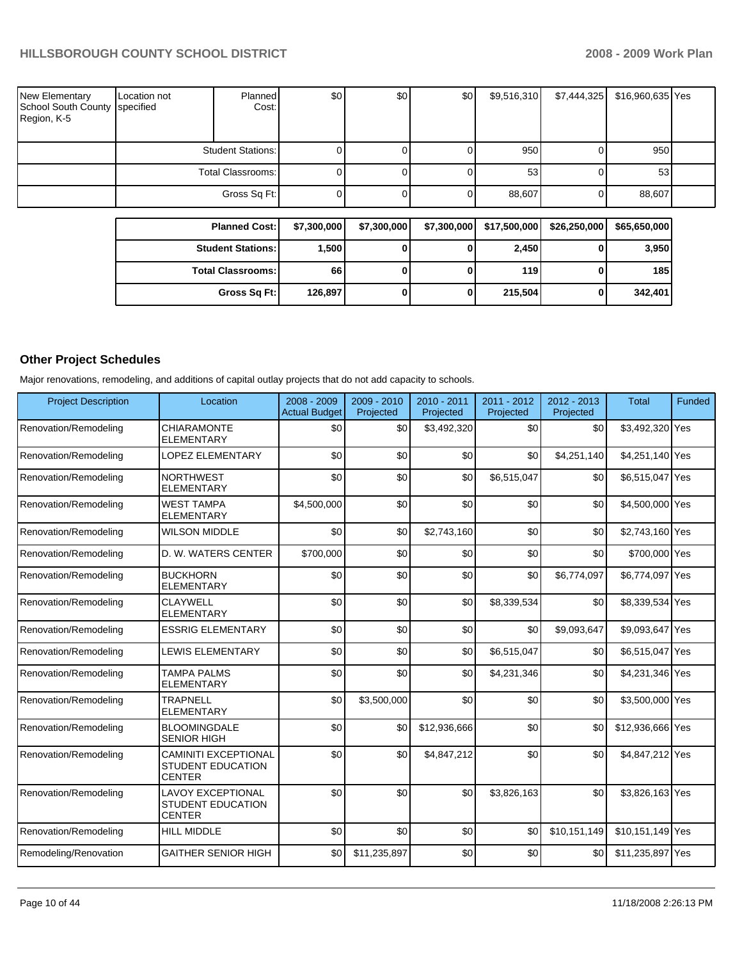| <b>New Elementary</b><br>School South County Specified<br>Region, K-5 | Location not      | Planned<br>Cost:         | \$0 | \$0 | \$0 <sub>l</sub> | \$9,516,310 | \$7,444,325 | \$16,960,635 Yes |  |
|-----------------------------------------------------------------------|-------------------|--------------------------|-----|-----|------------------|-------------|-------------|------------------|--|
|                                                                       |                   | <b>Student Stations:</b> |     |     |                  | 950         |             | 950              |  |
|                                                                       | Total Classrooms: |                          |     |     |                  | 53          |             | 53               |  |
|                                                                       |                   | Gross Sq Ft:             |     |     |                  | 88,607      |             | 88,607           |  |

| <b>Planned Cost:</b>     | \$7,300,000 | \$7,300,000 | \$7,300,000 | \$17,500,000 | \$26,250,000 | \$65,650,000 |
|--------------------------|-------------|-------------|-------------|--------------|--------------|--------------|
| <b>Student Stations:</b> | 1,500       | 0           |             | 2,450        |              | 3,950        |
| <b>Total Classrooms:</b> | 66          | 0           |             | 119 l        |              | 185          |
| Gross Sq Ft:             | 126,897     | 0           |             | 215,504      |              | 342,401      |

## **Other Project Schedules**

Major renovations, remodeling, and additions of capital outlay projects that do not add capacity to schools.

| <b>Project Description</b> | Location                                                                 | $2008 - 2009$<br><b>Actual Budget</b> | 2009 - 2010<br>Projected | $2010 - 2011$<br>Projected | $2011 - 2012$<br>Projected | $2012 - 2013$<br>Projected | <b>Total</b>     | <b>Funded</b> |
|----------------------------|--------------------------------------------------------------------------|---------------------------------------|--------------------------|----------------------------|----------------------------|----------------------------|------------------|---------------|
| Renovation/Remodeling      | <b>CHIARAMONTE</b><br><b>ELEMENTARY</b>                                  | \$0                                   | \$0                      | \$3,492,320                | \$0                        | \$0                        | \$3,492,320 Yes  |               |
| Renovation/Remodeling      | <b>LOPEZ ELEMENTARY</b>                                                  | \$0                                   | \$0                      | \$0                        | \$0                        | \$4,251,140                | \$4,251,140 Yes  |               |
| Renovation/Remodeling      | <b>NORTHWEST</b><br><b>ELEMENTARY</b>                                    | \$0                                   | \$0                      | \$0                        | \$6,515,047                | \$0                        | \$6,515,047 Yes  |               |
| Renovation/Remodeling      | <b>WEST TAMPA</b><br><b>ELEMENTARY</b>                                   | \$4,500,000                           | \$0                      | \$0                        | \$0                        | \$0                        | \$4,500,000 Yes  |               |
| Renovation/Remodeling      | <b>WILSON MIDDLE</b>                                                     | \$0                                   | \$0                      | \$2,743,160                | \$0                        | \$0                        | \$2,743,160 Yes  |               |
| Renovation/Remodeling      | D. W. WATERS CENTER                                                      | \$700,000                             | \$0                      | \$0                        | \$0                        | \$0                        | \$700,000 Yes    |               |
| Renovation/Remodeling      | <b>BUCKHORN</b><br><b>ELEMENTARY</b>                                     | \$0                                   | \$0                      | \$0                        | \$0                        | \$6,774,097                | \$6,774,097 Yes  |               |
| Renovation/Remodeling      | <b>CLAYWELL</b><br><b>ELEMENTARY</b>                                     | \$0                                   | \$0                      | \$0                        | \$8,339,534                | \$0                        | \$8,339,534 Yes  |               |
| Renovation/Remodeling      | <b>ESSRIG ELEMENTARY</b>                                                 | \$0                                   | \$0                      | \$0                        | \$0                        | \$9,093,647                | \$9,093,647 Yes  |               |
| Renovation/Remodeling      | <b>LEWIS ELEMENTARY</b>                                                  | \$0                                   | \$0                      | \$0                        | \$6,515,047                | \$0                        | \$6,515,047 Yes  |               |
| Renovation/Remodeling      | <b>TAMPA PALMS</b><br><b>ELEMENTARY</b>                                  | \$0                                   | \$0                      | \$0                        | \$4,231,346                | \$0                        | \$4,231,346 Yes  |               |
| Renovation/Remodeling      | <b>TRAPNELL</b><br><b>ELEMENTARY</b>                                     | \$0                                   | \$3,500,000              | \$0                        | \$0                        | \$0                        | \$3,500,000 Yes  |               |
| Renovation/Remodeling      | <b>BLOOMINGDALE</b><br><b>SENIOR HIGH</b>                                | \$0                                   | \$0                      | \$12,936,666               | \$0                        | \$0                        | \$12,936,666 Yes |               |
| Renovation/Remodeling      | <b>CAMINITI EXCEPTIONAL</b><br><b>STUDENT EDUCATION</b><br><b>CENTER</b> | \$0                                   | \$0                      | \$4,847,212                | \$0                        | \$0                        | \$4,847,212 Yes  |               |
| Renovation/Remodeling      | <b>LAVOY EXCEPTIONAL</b><br><b>STUDENT EDUCATION</b><br><b>CENTER</b>    | \$0                                   | \$0                      | \$0                        | \$3,826,163                | \$0                        | \$3,826,163 Yes  |               |
| Renovation/Remodeling      | <b>HILL MIDDLE</b>                                                       | \$0                                   | \$0                      | \$0                        | \$0                        | \$10,151,149               | \$10,151,149 Yes |               |
| Remodeling/Renovation      | <b>GAITHER SENIOR HIGH</b>                                               | \$0                                   | \$11,235,897             | \$0                        | \$0                        | \$0                        | \$11,235,897 Yes |               |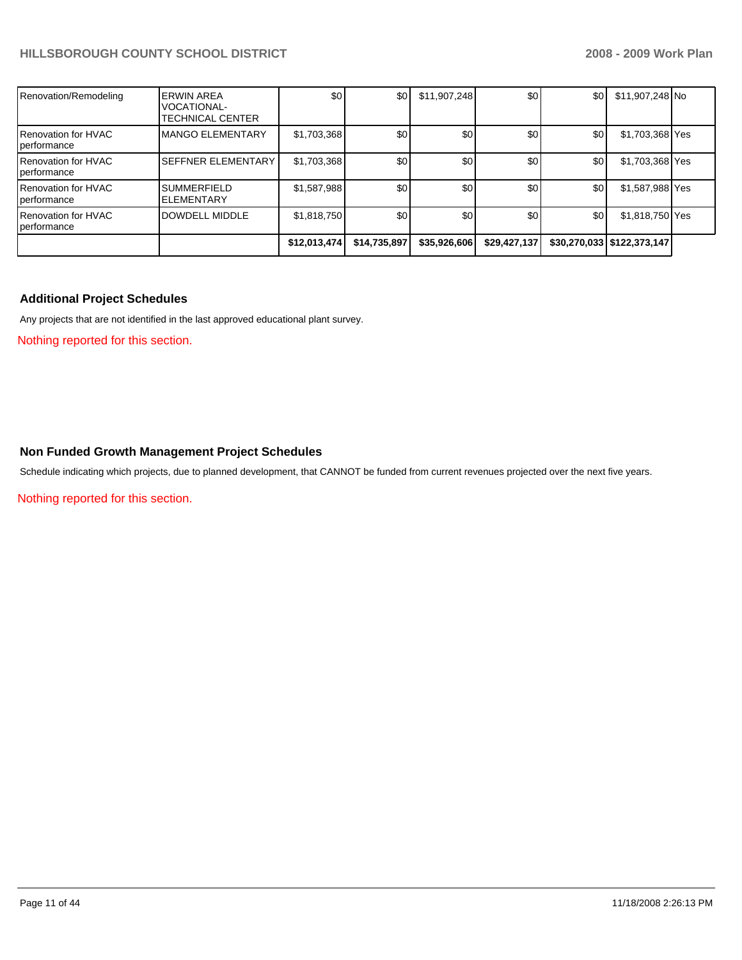| Renovation/Remodeling                               | <b>ERWIN AREA</b><br>VOCATIONAL-<br>TECHNICAL CENTER | \$0          | \$0          | \$11,907,248 | \$0          | \$0 | \$11,907,248 No              |  |
|-----------------------------------------------------|------------------------------------------------------|--------------|--------------|--------------|--------------|-----|------------------------------|--|
| <b>IRenovation for HVAC</b><br><i>I</i> performance | <b>MANGO ELEMENTARY</b>                              | \$1,703,368  | \$0          | \$0          | \$0          | \$0 | \$1,703,368 Yes              |  |
| <b>IRenovation for HVAC</b><br><i>I</i> performance | <b>ISEFFNER ELEMENTARY</b>                           | \$1,703,368  | \$0          | \$0          | \$0          | \$0 | \$1,703,368 Yes              |  |
| <b>IRenovation for HVAC</b><br><i>I</i> performance | <b>I</b> SUMMERFIELD<br><b>ELEMENTARY</b>            | \$1,587,988  | \$0          | \$0          | \$0          | \$0 | \$1,587,988 Yes              |  |
| <b>IRenovation for HVAC</b><br><i>performance</i>   | DOWDELL MIDDLE                                       | \$1,818,750  | \$0          | \$0          | \$0          | \$0 | \$1,818,750 Yes              |  |
|                                                     |                                                      | \$12,013,474 | \$14,735,897 | \$35,926,606 | \$29,427,137 |     | \$30,270,033   \$122,373,147 |  |

#### **Additional Project Schedules**

Any projects that are not identified in the last approved educational plant survey.

Nothing reported for this section.

#### **Non Funded Growth Management Project Schedules**

Schedule indicating which projects, due to planned development, that CANNOT be funded from current revenues projected over the next five years.

Nothing reported for this section.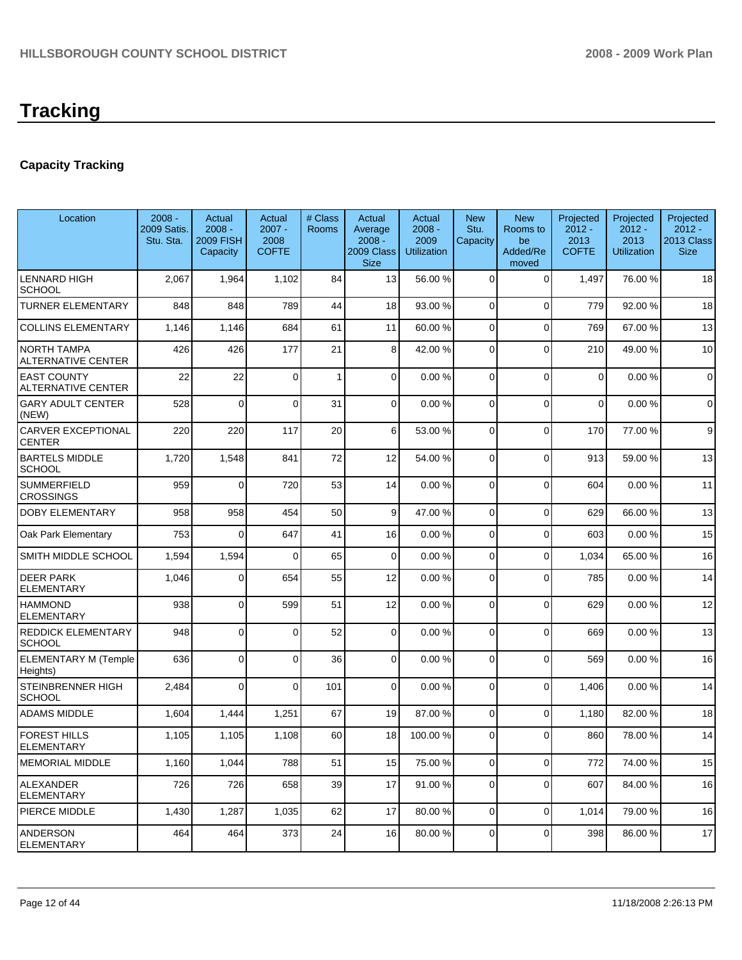## **Capacity Tracking**

| Location                                        | $2008 -$<br>2009 Satis.<br>Stu. Sta. | Actual<br>$2008 -$<br><b>2009 FISH</b><br>Capacity | Actual<br>$2007 -$<br>2008<br><b>COFTE</b> | # Class<br>Rooms | Actual<br>Average<br>$2008 -$<br>2009 Class<br><b>Size</b> | Actual<br>$2008 -$<br>2009<br><b>Utilization</b> | <b>New</b><br>Stu.<br>Capacity | <b>New</b><br>Rooms to<br>be<br>Added/Re<br>moved | Projected<br>$2012 -$<br>2013<br><b>COFTE</b> | Projected<br>$2012 -$<br>2013<br><b>Utilization</b> | Projected<br>$2012 -$<br>2013 Class<br><b>Size</b> |
|-------------------------------------------------|--------------------------------------|----------------------------------------------------|--------------------------------------------|------------------|------------------------------------------------------------|--------------------------------------------------|--------------------------------|---------------------------------------------------|-----------------------------------------------|-----------------------------------------------------|----------------------------------------------------|
| <b>LENNARD HIGH</b><br><b>SCHOOL</b>            | 2,067                                | 1,964                                              | 1,102                                      | 84               | 13                                                         | 56.00 %                                          | $\Omega$                       | $\mathbf 0$                                       | 1,497                                         | 76.00 %                                             | 18                                                 |
| <b>TURNER ELEMENTARY</b>                        | 848                                  | 848                                                | 789                                        | 44               | 18                                                         | 93.00 %                                          | $\overline{0}$                 | $\mathbf 0$                                       | 779                                           | 92.00 %                                             | 18                                                 |
| <b>COLLINS ELEMENTARY</b>                       | 1,146                                | 1,146                                              | 684                                        | 61               | 11                                                         | 60.00 %                                          | $\Omega$                       | $\mathbf 0$                                       | 769                                           | 67.00 %                                             | 13                                                 |
| NORTH TAMPA<br>ALTERNATIVE CENTER               | 426                                  | 426                                                | 177                                        | 21               | 8                                                          | 42.00 %                                          | $\Omega$                       | 0                                                 | 210                                           | 49.00 %                                             | 10                                                 |
| <b>EAST COUNTY</b><br><b>ALTERNATIVE CENTER</b> | 22                                   | 22                                                 | $\Omega$                                   | $\mathbf{1}$     | $\overline{0}$                                             | 0.00%                                            | 0                              | $\mathbf 0$                                       | $\mathbf 0$                                   | 0.00%                                               | $\pmb{0}$                                          |
| <b>GARY ADULT CENTER</b><br>(NEW)               | 528                                  | 0                                                  | $\Omega$                                   | 31               | $\overline{0}$                                             | 0.00%                                            | $\Omega$                       | $\mathbf 0$                                       | $\mathbf 0$                                   | 0.00%                                               | $\mathbf 0$                                        |
| <b>CARVER EXCEPTIONAL</b><br><b>CENTER</b>      | 220                                  | 220                                                | 117                                        | 20               | 6                                                          | 53.00 %                                          | $\mathbf 0$                    | $\mathbf 0$                                       | 170                                           | 77.00 %                                             | $\boldsymbol{9}$                                   |
| <b>BARTELS MIDDLE</b><br><b>SCHOOL</b>          | 1,720                                | 1,548                                              | 841                                        | 72               | 12                                                         | 54.00 %                                          | $\Omega$                       | $\mathbf 0$                                       | 913                                           | 59.00 %                                             | 13                                                 |
| <b>SUMMERFIELD</b><br><b>CROSSINGS</b>          | 959                                  | $\Omega$                                           | 720                                        | 53               | 14                                                         | 0.00%                                            | $\Omega$                       | $\mathbf 0$                                       | 604                                           | 0.00%                                               | 11                                                 |
| <b>DOBY ELEMENTARY</b>                          | 958                                  | 958                                                | 454                                        | 50               | 9                                                          | 47.00 %                                          | $\Omega$                       | $\mathbf 0$                                       | 629                                           | 66.00 %                                             | 13                                                 |
| Oak Park Elementary                             | 753                                  | $\Omega$                                           | 647                                        | 41               | 16                                                         | 0.00%                                            | $\Omega$                       | 0                                                 | 603                                           | 0.00%                                               | 15                                                 |
| SMITH MIDDLE SCHOOL                             | 1,594                                | 1,594                                              | $\Omega$                                   | 65               | $\Omega$                                                   | 0.00%                                            | $\Omega$                       | 0                                                 | 1,034                                         | 65.00 %                                             | 16                                                 |
| <b>DEER PARK</b><br><b>ELEMENTARY</b>           | 1,046                                | $\Omega$                                           | 654                                        | 55               | 12                                                         | 0.00%                                            | $\Omega$                       | $\mathbf 0$                                       | 785                                           | 0.00%                                               | 14                                                 |
| <b>HAMMOND</b><br><b>ELEMENTARY</b>             | 938                                  | $\Omega$                                           | 599                                        | 51               | 12                                                         | 0.00%                                            | $\Omega$                       | $\mathbf 0$                                       | 629                                           | 0.00%                                               | 12                                                 |
| <b>REDDICK ELEMENTARY</b><br><b>SCHOOL</b>      | 948                                  | $\Omega$                                           | $\Omega$                                   | 52               | $\Omega$                                                   | 0.00%                                            | $\Omega$                       | 0                                                 | 669                                           | 0.00%                                               | 13                                                 |
| <b>ELEMENTARY M (Temple</b><br>Heights)         | 636                                  | 0                                                  | $\Omega$                                   | 36               | $\overline{0}$                                             | 0.00%                                            | $\Omega$                       | $\Omega$                                          | 569                                           | 0.00%                                               | 16                                                 |
| STEINBRENNER HIGH<br><b>SCHOOL</b>              | 2,484                                | $\Omega$                                           | $\Omega$                                   | 101              | $\Omega$                                                   | 0.00%                                            | $\Omega$                       | $\mathbf 0$                                       | 1,406                                         | 0.00%                                               | 14                                                 |
| <b>ADAMS MIDDLE</b>                             | 1,604                                | 1,444                                              | 1,251                                      | 67               | 19                                                         | 87.00 %                                          | $\overline{0}$                 | $\mathbf 0$                                       | 1,180                                         | 82.00 %                                             | 18                                                 |
| <b>FOREST HILLS</b><br><b>ELEMENTARY</b>        | 1,105                                | 1,105                                              | 1,108                                      | 60               | 18                                                         | 100.00%                                          | $\Omega$                       | $\Omega$                                          | 860                                           | 78.00 %                                             | 14                                                 |
| <b>MEMORIAL MIDDLE</b>                          | 1,160                                | 1,044                                              | 788                                        | 51               | 15                                                         | 75.00 %                                          | $\mathbf 0$                    | 0                                                 | 772                                           | 74.00 %                                             | 15                                                 |
| <b>ALEXANDER</b><br><b>ELEMENTARY</b>           | 726                                  | 726                                                | 658                                        | 39               | 17                                                         | 91.00 %                                          | 0                              | 0                                                 | 607                                           | 84.00 %                                             | 16                                                 |
| PIERCE MIDDLE                                   | 1,430                                | 1,287                                              | 1,035                                      | 62               | 17                                                         | 80.00 %                                          | $\mathbf 0$                    | 0                                                 | 1,014                                         | 79.00 %                                             | 16                                                 |
| <b>ANDERSON</b><br><b>ELEMENTARY</b>            | 464                                  | 464                                                | 373                                        | 24               | 16                                                         | 80.00 %                                          | 0                              | 0                                                 | 398                                           | 86.00 %                                             | 17                                                 |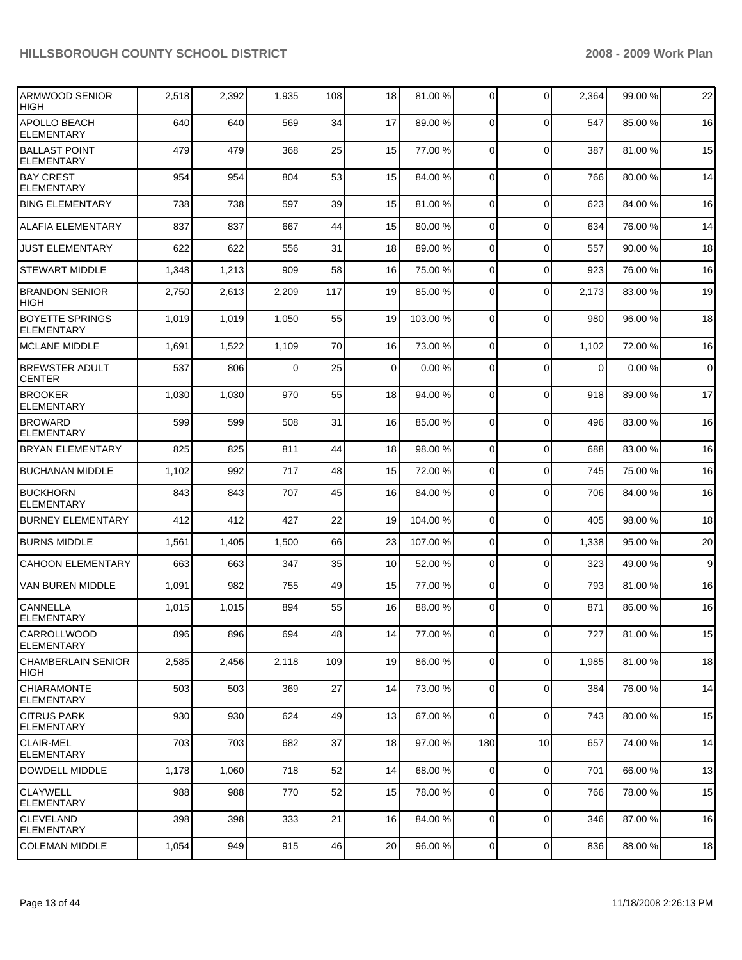| <b>ARMWOOD SENIOR</b><br><b>HIGH</b>        | 2,518 | 2,392 | 1,935 | 108 | 18              | 81.00 %  | 0              | $\mathbf 0$    | 2,364       | 99.00 % | 22          |
|---------------------------------------------|-------|-------|-------|-----|-----------------|----------|----------------|----------------|-------------|---------|-------------|
| APOLLO BEACH<br><b>ELEMENTARY</b>           | 640   | 640   | 569   | 34  | 17              | 89.00 %  | $\mathbf 0$    | $\Omega$       | 547         | 85.00 % | 16          |
| <b>BALLAST POINT</b><br><b>ELEMENTARY</b>   | 479   | 479   | 368   | 25  | 15              | 77.00 %  | 0              | $\Omega$       | 387         | 81.00 % | 15          |
| <b>BAY CREST</b><br><b>ELEMENTARY</b>       | 954   | 954   | 804   | 53  | 15              | 84.00 %  | $\mathbf 0$    | $\Omega$       | 766         | 80.00 % | 14          |
| <b>BING ELEMENTARY</b>                      | 738   | 738   | 597   | 39  | 15              | 81.00 %  | 0              | $\Omega$       | 623         | 84.00 % | 16          |
| <b>ALAFIA ELEMENTARY</b>                    | 837   | 837   | 667   | 44  | 15              | 80.00 %  | 0              | $\Omega$       | 634         | 76.00 % | 14          |
| <b>JUST ELEMENTARY</b>                      | 622   | 622   | 556   | 31  | 18              | 89.00 %  | 0              | $\Omega$       | 557         | 90.00 % | 18          |
| <b>STEWART MIDDLE</b>                       | 1,348 | 1,213 | 909   | 58  | 16              | 75.00 %  | 0              | $\Omega$       | 923         | 76.00 % | 16          |
| <b>BRANDON SENIOR</b><br><b>HIGH</b>        | 2,750 | 2,613 | 2,209 | 117 | 19              | 85.00 %  | 0              | $\mathbf 0$    | 2,173       | 83.00 % | 19          |
| <b>BOYETTE SPRINGS</b><br><b>ELEMENTARY</b> | 1,019 | 1,019 | 1,050 | 55  | 19              | 103.00 % | 0              | $\Omega$       | 980         | 96.00 % | 18          |
| <b>MCLANE MIDDLE</b>                        | 1,691 | 1,522 | 1,109 | 70  | 16              | 73.00 %  | $\mathbf 0$    | $\mathbf 0$    | 1,102       | 72.00 % | 16          |
| <b>BREWSTER ADULT</b><br><b>CENTER</b>      | 537   | 806   | 0     | 25  | $\mathbf 0$     | 0.00%    | 0              | $\Omega$       | $\mathbf 0$ | 0.00%   | $\mathbf 0$ |
| <b>BROOKER</b><br><b>ELEMENTARY</b>         | 1,030 | 1,030 | 970   | 55  | 18              | 94.00 %  | $\mathbf 0$    | $\Omega$       | 918         | 89.00 % | 17          |
| <b>BROWARD</b><br><b>ELEMENTARY</b>         | 599   | 599   | 508   | 31  | 16              | 85.00 %  | 0              | $\Omega$       | 496         | 83.00 % | 16          |
| <b>BRYAN ELEMENTARY</b>                     | 825   | 825   | 811   | 44  | 18              | 98.00 %  | $\overline{0}$ | $\mathbf 0$    | 688         | 83.00 % | 16          |
| <b>BUCHANAN MIDDLE</b>                      | 1,102 | 992   | 717   | 48  | 15              | 72.00 %  | $\overline{0}$ | $\mathbf 0$    | 745         | 75.00 % | 16          |
| <b>BUCKHORN</b><br><b>ELEMENTARY</b>        | 843   | 843   | 707   | 45  | 16              | 84.00 %  | 0              | $\Omega$       | 706         | 84.00 % | 16          |
| <b>BURNEY ELEMENTARY</b>                    | 412   | 412   | 427   | 22  | 19              | 104.00 % | $\overline{0}$ | $\mathbf 0$    | 405         | 98.00 % | 18          |
| <b>BURNS MIDDLE</b>                         | 1,561 | 1,405 | 1,500 | 66  | 23              | 107.00 % | 0              | 0              | 1,338       | 95.00 % | 20          |
| <b>CAHOON ELEMENTARY</b>                    | 663   | 663   | 347   | 35  | 10              | 52.00 %  | $\mathbf 0$    | $\mathbf 0$    | 323         | 49.00 % | 9           |
| VAN BUREN MIDDLE                            | 1,091 | 982   | 755   | 49  | 15              | 77.00 %  | 0              | $\mathbf 0$    | 793         | 81.00 % | 16          |
| CANNELLA<br><b>ELEMENTARY</b>               | 1,015 | 1,015 | 894   | 55  | 16              | 88.00 %  | 0              | $\Omega$       | 871         | 86.00 % | 16          |
| CARROLLWOOD<br>ELEMENTARY                   | 896   | 896   | 694   | 48  | 14 <sup>1</sup> | 77.00 %  | $\overline{0}$ | $\overline{0}$ | 727         | 81.00 % | 15          |
| CHAMBERLAIN SENIOR<br>HIGH                  | 2,585 | 2,456 | 2,118 | 109 | 19              | 86.00 %  | 0              | $\mathbf 0$    | 1,985       | 81.00 % | 18          |
| <b>CHIARAMONTE</b><br>ELEMENTARY            | 503   | 503   | 369   | 27  | 14              | 73.00 %  | $\overline{0}$ | $\mathbf 0$    | 384         | 76.00 % | 14          |
| <b>CITRUS PARK</b><br>ELEMENTARY            | 930   | 930   | 624   | 49  | 13              | 67.00 %  | $\overline{0}$ | $\mathbf 0$    | 743         | 80.00 % | 15          |
| <b>CLAIR-MEL</b><br><b>ELEMENTARY</b>       | 703   | 703   | 682   | 37  | 18              | 97.00 %  | 180            | 10             | 657         | 74.00 % | 14          |
| DOWDELL MIDDLE                              | 1,178 | 1,060 | 718   | 52  | 14              | 68.00 %  | $\mathbf 0$    | $\mathbf 0$    | 701         | 66.00 % | 13          |
| <b>CLAYWELL</b><br>ELEMENTARY               | 988   | 988   | 770   | 52  | 15              | 78.00 %  | $\mathbf 0$    | $\mathbf 0$    | 766         | 78.00 % | 15          |
| <b>CLEVELAND</b><br>ELEMENTARY              | 398   | 398   | 333   | 21  | 16              | 84.00 %  | $\overline{0}$ | $\mathbf 0$    | 346         | 87.00 % | 16          |
| <b>COLEMAN MIDDLE</b>                       | 1,054 | 949   | 915   | 46  | 20              | 96.00 %  | $\mathbf 0$    | $\pmb{0}$      | 836         | 88.00 % | 18          |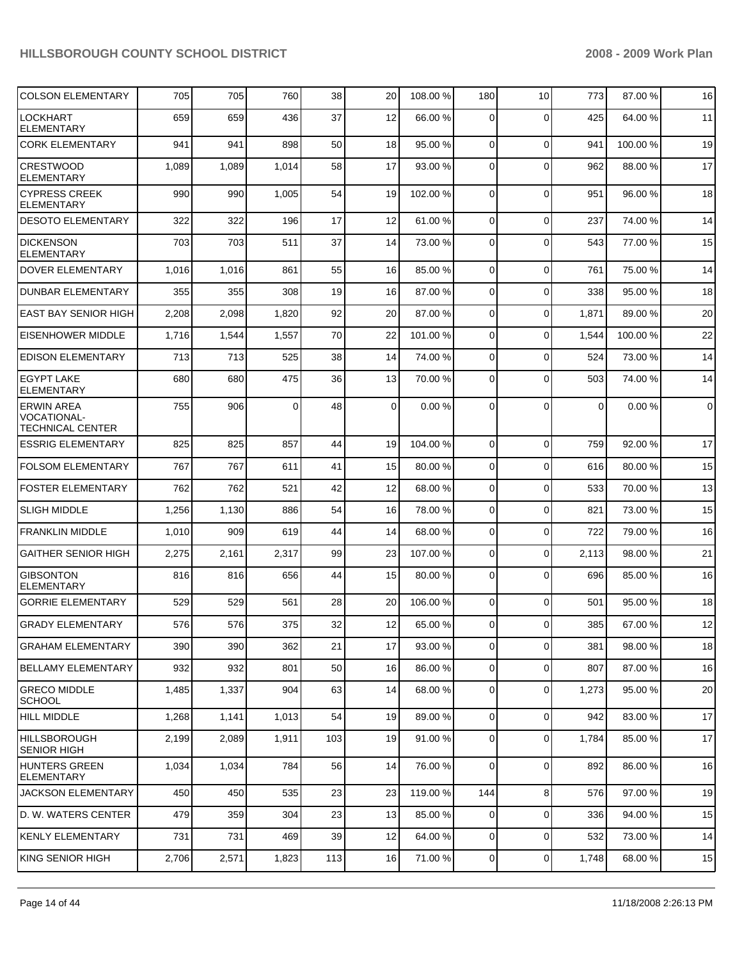| <b>COLSON ELEMENTARY</b>                                           | 705   | 705   | 760      | 38  | 20 | 108.00 % | 180            | 10          | 773   | 87.00 %  | 16          |
|--------------------------------------------------------------------|-------|-------|----------|-----|----|----------|----------------|-------------|-------|----------|-------------|
| LOCKHART<br><b>ELEMENTARY</b>                                      | 659   | 659   | 436      | 37  | 12 | 66.00 %  | 0              | $\Omega$    | 425   | 64.00 %  | 11          |
| <b>CORK ELEMENTARY</b>                                             | 941   | 941   | 898      | 50  | 18 | 95.00 %  | 0              | $\mathbf 0$ | 941   | 100.00 % | 19          |
| <b>CRESTWOOD</b><br><b>ELEMENTARY</b>                              | 1,089 | 1,089 | 1,014    | 58  | 17 | 93.00 %  | 0              | $\Omega$    | 962   | 88.00 %  | 17          |
| <b>CYPRESS CREEK</b><br>ELEMENTARY                                 | 990   | 990   | 1,005    | 54  | 19 | 102.00 % | 0              | $\Omega$    | 951   | 96.00 %  | 18          |
| <b>DESOTO ELEMENTARY</b>                                           | 322   | 322   | 196      | 17  | 12 | 61.00 %  | 0              | $\Omega$    | 237   | 74.00 %  | 14          |
| <b>DICKENSON</b><br>ELEMENTARY                                     | 703   | 703   | 511      | 37  | 14 | 73.00 %  | 0              | $\Omega$    | 543   | 77.00 %  | 15          |
| DOVER ELEMENTARY                                                   | 1,016 | 1,016 | 861      | 55  | 16 | 85.00 %  | 0              | $\Omega$    | 761   | 75.00 %  | 14          |
| <b>DUNBAR ELEMENTARY</b>                                           | 355   | 355   | 308      | 19  | 16 | 87.00 %  | 0              | $\Omega$    | 338   | 95.00 %  | 18          |
| <b>EAST BAY SENIOR HIGH</b>                                        | 2,208 | 2,098 | 1,820    | 92  | 20 | 87.00 %  | 0              | $\Omega$    | 1,871 | 89.00 %  | 20          |
| <b>EISENHOWER MIDDLE</b>                                           | 1,716 | 1,544 | 1,557    | 70  | 22 | 101.00 % | 0              | $\Omega$    | 1,544 | 100.00 % | 22          |
| <b>EDISON ELEMENTARY</b>                                           | 713   | 713   | 525      | 38  | 14 | 74.00 %  | 0              | $\Omega$    | 524   | 73.00 %  | 14          |
| <b>EGYPT LAKE</b><br><b>ELEMENTARY</b>                             | 680   | 680   | 475      | 36  | 13 | 70.00 %  | $\Omega$       | $\Omega$    | 503   | 74.00 %  | 14          |
| <b>ERWIN AREA</b><br><b>VOCATIONAL-</b><br><b>TECHNICAL CENTER</b> | 755   | 906   | $\Omega$ | 48  | 0  | 0.00%    | $\Omega$       | $\Omega$    | 0     | 0.00%    | $\mathbf 0$ |
| <b>ESSRIG ELEMENTARY</b>                                           | 825   | 825   | 857      | 44  | 19 | 104.00 % | $\overline{0}$ | $\Omega$    | 759   | 92.00 %  | 17          |
| <b>FOLSOM ELEMENTARY</b>                                           | 767   | 767   | 611      | 41  | 15 | 80.00 %  | 0              | $\Omega$    | 616   | 80.00 %  | 15          |
| <b>FOSTER ELEMENTARY</b>                                           | 762   | 762   | 521      | 42  | 12 | 68.00 %  | 0              | $\Omega$    | 533   | 70.00 %  | 13          |
| <b>SLIGH MIDDLE</b>                                                | 1,256 | 1,130 | 886      | 54  | 16 | 78.00 %  | 0              | $\Omega$    | 821   | 73.00 %  | 15          |
| <b>FRANKLIN MIDDLE</b>                                             | 1,010 | 909   | 619      | 44  | 14 | 68.00 %  | 0              | $\Omega$    | 722   | 79.00 %  | 16          |
| <b>GAITHER SENIOR HIGH</b>                                         | 2,275 | 2,161 | 2,317    | 99  | 23 | 107.00 % | 0              | $\Omega$    | 2,113 | 98.00 %  | 21          |
| <b>GIBSONTON</b><br>ELEMENTARY                                     | 816   | 816   | 656      | 44  | 15 | 80.00 %  | 0              | $\Omega$    | 696   | 85.00 %  | 16          |
| <b>GORRIE ELEMENTARY</b>                                           | 529   | 529   | 561      | 28  | 20 | 106.00 % | 0              | $\Omega$    | 501   | 95.00 %  | 18          |
| <b>GRADY ELEMENTARY</b>                                            | 576   | 576   | 375      | 32  | 12 | 65.00 %  | $\overline{0}$ | $\Omega$    | 385   | 67.00 %  | 12          |
| <b>GRAHAM ELEMENTARY</b>                                           | 390   | 390   | 362      | 21  | 17 | 93.00 %  | $\overline{0}$ | $\mathbf 0$ | 381   | 98.00 %  | 18          |
| <b>BELLAMY ELEMENTARY</b>                                          | 932   | 932   | 801      | 50  | 16 | 86.00 %  | $\overline{0}$ | $\mathbf 0$ | 807   | 87.00 %  | 16          |
| <b>GRECO MIDDLE</b><br><b>SCHOOL</b>                               | 1,485 | 1,337 | 904      | 63  | 14 | 68.00 %  | $\overline{0}$ | $\mathbf 0$ | 1,273 | 95.00 %  | 20          |
| <b>HILL MIDDLE</b>                                                 | 1,268 | 1,141 | 1,013    | 54  | 19 | 89.00 %  | $\mathbf{0}$   | $\Omega$    | 942   | 83.00 %  | 17          |
| <b>HILLSBOROUGH</b><br><b>SENIOR HIGH</b>                          | 2,199 | 2,089 | 1,911    | 103 | 19 | 91.00 %  | $\overline{0}$ | $\mathbf 0$ | 1,784 | 85.00 %  | 17          |
| <b>HUNTERS GREEN</b><br><b>ELEMENTARY</b>                          | 1,034 | 1,034 | 784      | 56  | 14 | 76.00 %  | 0              | $\Omega$    | 892   | 86.00 %  | 16          |
| <b>JACKSON ELEMENTARY</b>                                          | 450   | 450   | 535      | 23  | 23 | 119.00 % | 144            | 8           | 576   | 97.00 %  | 19          |
| D. W. WATERS CENTER                                                | 479   | 359   | 304      | 23  | 13 | 85.00 %  | $\overline{0}$ | $\mathbf 0$ | 336   | 94.00 %  | 15          |
| KENLY ELEMENTARY                                                   | 731   | 731   | 469      | 39  | 12 | 64.00 %  | $\overline{0}$ | $\Omega$    | 532   | 73.00 %  | 14          |
| KING SENIOR HIGH                                                   | 2,706 | 2,571 | 1,823    | 113 | 16 | 71.00 %  | 0              | 0           | 1,748 | 68.00 %  | 15          |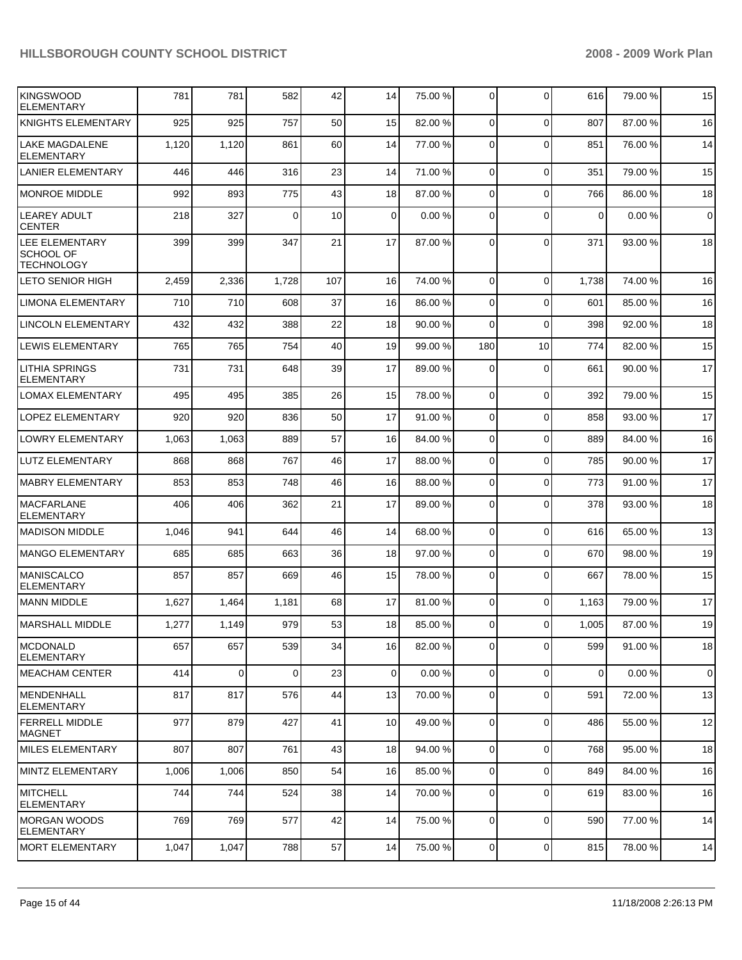| KINGSWOOD<br><b>ELEMENTARY</b>                   | 781   | 781         | 582      | 42  | 14          | 75.00 % | 0           | $\Omega$       | 616      | 79.00 % | 15          |
|--------------------------------------------------|-------|-------------|----------|-----|-------------|---------|-------------|----------------|----------|---------|-------------|
| KNIGHTS ELEMENTARY                               | 925   | 925         | 757      | 50  | 15          | 82.00 % | $\Omega$    | $\Omega$       | 807      | 87.00 % | 16          |
| LAKE MAGDALENE<br>ELEMENTARY                     | 1,120 | 1,120       | 861      | 60  | 14          | 77.00 % | $\Omega$    | $\Omega$       | 851      | 76.00 % | 14          |
| <b>LANIER ELEMENTARY</b>                         | 446   | 446         | 316      | 23  | 14          | 71.00 % | 0           | $\Omega$       | 351      | 79.00 % | 15          |
| <b>MONROE MIDDLE</b>                             | 992   | 893         | 775      | 43  | 18          | 87.00 % | $\mathbf 0$ | $\Omega$       | 766      | 86.00 % | 18          |
| <b>LEAREY ADULT</b><br><b>CENTER</b>             | 218   | 327         | $\Omega$ | 10  | $\mathbf 0$ | 0.00%   | $\Omega$    | $\Omega$       | $\Omega$ | 0.00%   | $\mathbf 0$ |
| LEE ELEMENTARY<br>SCHOOL OF<br><b>TECHNOLOGY</b> | 399   | 399         | 347      | 21  | 17          | 87.00 % | $\Omega$    | $\Omega$       | 371      | 93.00 % | 18          |
| LETO SENIOR HIGH                                 | 2,459 | 2,336       | 1,728    | 107 | 16          | 74.00 % | $\mathbf 0$ | $\Omega$       | 1,738    | 74.00 % | 16          |
| <b>LIMONA ELEMENTARY</b>                         | 710   | 710         | 608      | 37  | 16          | 86.00 % | $\mathbf 0$ | $\Omega$       | 601      | 85.00 % | 16          |
| <b>LINCOLN ELEMENTARY</b>                        | 432   | 432         | 388      | 22  | 18          | 90.00 % | 0           | $\Omega$       | 398      | 92.00 % | 18          |
| <b>LEWIS ELEMENTARY</b>                          | 765   | 765         | 754      | 40  | 19          | 99.00 % | 180         | 10             | 774      | 82.00 % | 15          |
| <b>LITHIA SPRINGS</b><br><b>ELEMENTARY</b>       | 731   | 731         | 648      | 39  | 17          | 89.00 % | $\Omega$    | $\Omega$       | 661      | 90.00 % | 17          |
| <b>LOMAX ELEMENTARY</b>                          | 495   | 495         | 385      | 26  | 15          | 78.00 % | $\Omega$    | $\Omega$       | 392      | 79.00 % | 15          |
| <b>LOPEZ ELEMENTARY</b>                          | 920   | 920         | 836      | 50  | 17          | 91.00 % | $\Omega$    | $\Omega$       | 858      | 93.00 % | 17          |
| <b>LOWRY ELEMENTARY</b>                          | 1,063 | 1,063       | 889      | 57  | 16          | 84.00 % | $\Omega$    | $\Omega$       | 889      | 84.00 % | 16          |
| LUTZ ELEMENTARY                                  | 868   | 868         | 767      | 46  | 17          | 88.00 % | $\Omega$    | $\Omega$       | 785      | 90.00 % | 17          |
| MABRY ELEMENTARY                                 | 853   | 853         | 748      | 46  | 16          | 88.00 % | $\Omega$    | $\Omega$       | 773      | 91.00 % | 17          |
| <b>MACFARLANE</b><br>ELEMENTARY                  | 406   | 406         | 362      | 21  | 17          | 89.00 % | $\Omega$    | $\Omega$       | 378      | 93.00 % | 18          |
| <b>MADISON MIDDLE</b>                            | 1,046 | 941         | 644      | 46  | 14          | 68.00 % | $\mathbf 0$ | $\Omega$       | 616      | 65.00 % | 13          |
| MANGO ELEMENTARY                                 | 685   | 685         | 663      | 36  | 18          | 97.00 % | 0           | $\Omega$       | 670      | 98.00 % | 19          |
| <b>MANISCALCO</b><br><b>ELEMENTARY</b>           | 857   | 857         | 669      | 46  | 15          | 78.00 % | $\Omega$    | $\Omega$       | 667      | 78.00 % | 15          |
| <b>MANN MIDDLE</b>                               | 1,627 | 1,464       | 1,181    | 68  | 17          | 81.00 % | $\Omega$    | $\Omega$       | 1,163    | 79.00 % | 17          |
| IMARSHALL MIDDLE                                 | 1,277 | 1.149       | 979      | 53  | 18          | 85.00 % | $\Omega$    | $\Omega$       | 1.005    | 87.00 % | 19          |
| <b>MCDONALD</b><br><b>ELEMENTARY</b>             | 657   | 657         | 539      | 34  | 16          | 82.00 % | $\Omega$    | $\Omega$       | 599      | 91.00 % | 18          |
| <b>MEACHAM CENTER</b>                            | 414   | $\mathbf 0$ | $\Omega$ | 23  | $\mathbf 0$ | 0.00%   | $\mathbf 0$ | $\Omega$       | $\Omega$ | 0.00%   | $\mathbf 0$ |
| <b>MENDENHALL</b><br><b>ELEMENTARY</b>           | 817   | 817         | 576      | 44  | 13          | 70.00 % | $\mathbf 0$ | $\Omega$       | 591      | 72.00 % | 13          |
| <b>FERRELL MIDDLE</b><br>MAGNET                  | 977   | 879         | 427      | 41  | 10          | 49.00 % | $\mathbf 0$ | $\Omega$       | 486      | 55.00 % | 12          |
| <b>MILES ELEMENTARY</b>                          | 807   | 807         | 761      | 43  | 18          | 94.00 % | $\mathbf 0$ | $\Omega$       | 768      | 95.00 % | 18          |
| MINTZ ELEMENTARY                                 | 1,006 | 1,006       | 850      | 54  | 16          | 85.00 % | 0           | 0              | 849      | 84.00 % | 16          |
| <b>MITCHELL</b><br><b>ELEMENTARY</b>             | 744   | 744         | 524      | 38  | 14          | 70.00 % | 0           | $\Omega$       | 619      | 83.00 % | 16          |
| <b>MORGAN WOODS</b><br><b>ELEMENTARY</b>         | 769   | 769         | 577      | 42  | 14          | 75.00 % | $\Omega$    | $\Omega$       | 590      | 77.00 % | 14          |
| <b>MORT ELEMENTARY</b>                           | 1,047 | 1,047       | 788      | 57  | 14          | 75.00 % | 0           | $\overline{0}$ | 815      | 78.00 % | 14          |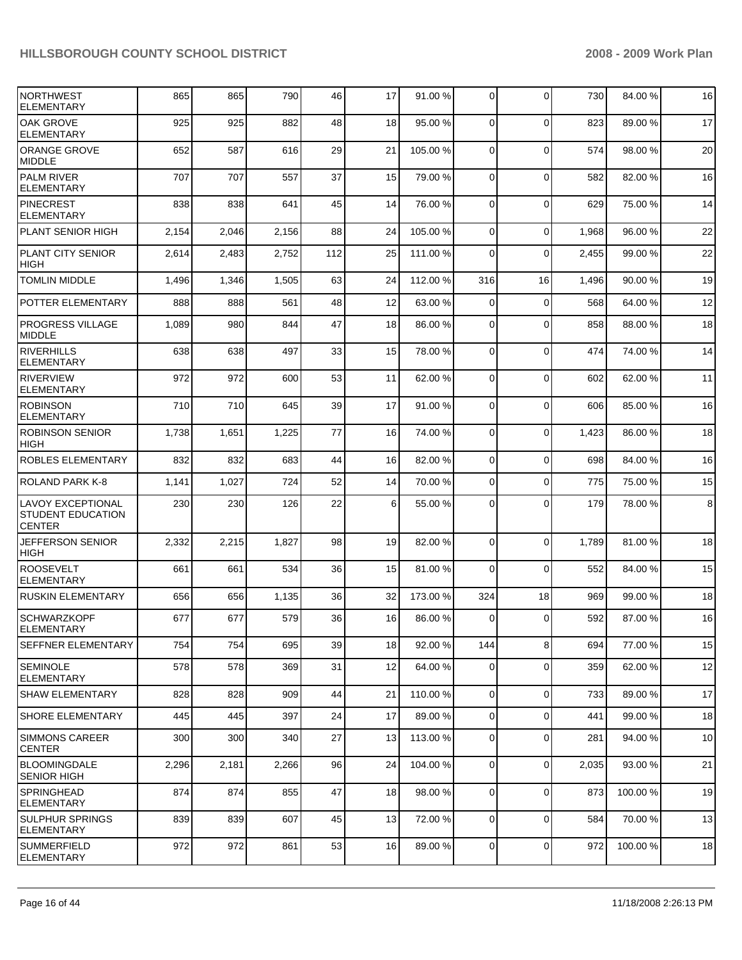| <b>NORTHWEST</b><br><b>ELEMENTARY</b>                                 | 865   | 865   | 790   | 46  | 17 | 91.00 %  | $\overline{0}$ | $\Omega$    | 730   | 84.00 %  | 16              |
|-----------------------------------------------------------------------|-------|-------|-------|-----|----|----------|----------------|-------------|-------|----------|-----------------|
| OAK GROVE<br><b>ELEMENTARY</b>                                        | 925   | 925   | 882   | 48  | 18 | 95.00 %  | $\Omega$       | $\Omega$    | 823   | 89.00 %  | 17              |
| <b>ORANGE GROVE</b><br><b>MIDDLE</b>                                  | 652   | 587   | 616   | 29  | 21 | 105.00 % | $\Omega$       | $\mathbf 0$ | 574   | 98.00 %  | 20              |
| <b>PALM RIVER</b><br><b>ELEMENTARY</b>                                | 707   | 707   | 557   | 37  | 15 | 79.00 %  | $\Omega$       | 0           | 582   | 82.00 %  | 16              |
| <b>PINECREST</b><br><b>ELEMENTARY</b>                                 | 838   | 838   | 641   | 45  | 14 | 76.00 %  | $\mathbf 0$    | $\mathbf 0$ | 629   | 75.00 %  | 14              |
| PLANT SENIOR HIGH                                                     | 2,154 | 2,046 | 2,156 | 88  | 24 | 105.00 % | $\Omega$       | 0           | 1,968 | 96.00 %  | 22              |
| <b>PLANT CITY SENIOR</b><br><b>HIGH</b>                               | 2,614 | 2,483 | 2,752 | 112 | 25 | 111.00 % | $\Omega$       | $\Omega$    | 2,455 | 99.00 %  | 22              |
| <b>TOMLIN MIDDLE</b>                                                  | 1,496 | 1,346 | 1,505 | 63  | 24 | 112.00 % | 316            | 16          | 1,496 | 90.00 %  | 19              |
| POTTER ELEMENTARY                                                     | 888   | 888   | 561   | 48  | 12 | 63.00 %  | $\Omega$       | $\mathbf 0$ | 568   | 64.00 %  | 12              |
| <b>PROGRESS VILLAGE</b><br>MIDDLE                                     | 1,089 | 980   | 844   | 47  | 18 | 86.00 %  | $\Omega$       | $\Omega$    | 858   | 88.00 %  | 18              |
| <b>RIVERHILLS</b><br><b>ELEMENTARY</b>                                | 638   | 638   | 497   | 33  | 15 | 78.00 %  | $\Omega$       | $\mathbf 0$ | 474   | 74.00 %  | 14              |
| <b>RIVERVIEW</b><br><b>ELEMENTARY</b>                                 | 972   | 972   | 600   | 53  | 11 | 62.00 %  | $\Omega$       | $\mathbf 0$ | 602   | 62.00 %  | 11              |
| <b>ROBINSON</b><br><b>ELEMENTARY</b>                                  | 710   | 710   | 645   | 39  | 17 | 91.00 %  | $\Omega$       | $\Omega$    | 606   | 85.00 %  | 16              |
| <b>ROBINSON SENIOR</b><br><b>HIGH</b>                                 | 1,738 | 1,651 | 1,225 | 77  | 16 | 74.00 %  | $\Omega$       | $\Omega$    | 1,423 | 86.00 %  | 18              |
| ROBLES ELEMENTARY                                                     | 832   | 832   | 683   | 44  | 16 | 82.00 %  | $\Omega$       | $\Omega$    | 698   | 84.00 %  | 16              |
| ROLAND PARK K-8                                                       | 1,141 | 1,027 | 724   | 52  | 14 | 70.00 %  | $\Omega$       | $\Omega$    | 775   | 75.00 %  | 15              |
| <b>LAVOY EXCEPTIONAL</b><br><b>STUDENT EDUCATION</b><br><b>CENTER</b> | 230   | 230   | 126   | 22  | 6  | 55.00 %  | $\Omega$       | $\Omega$    | 179   | 78.00 %  | 8               |
| <b>JEFFERSON SENIOR</b><br><b>HIGH</b>                                | 2,332 | 2,215 | 1,827 | 98  | 19 | 82.00 %  | $\Omega$       | $\Omega$    | 1,789 | 81.00 %  | 18              |
| <b>ROOSEVELT</b><br><b>ELEMENTARY</b>                                 | 661   | 661   | 534   | 36  | 15 | 81.00 %  | $\Omega$       | 0           | 552   | 84.00 %  | 15              |
| <b>RUSKIN ELEMENTARY</b>                                              | 656   | 656   | 1,135 | 36  | 32 | 173.00 % | 324            | 18          | 969   | 99.00 %  | 18              |
| <b>SCHWARZKOPF</b><br><b>ELEMENTARY</b>                               | 677   | 677   | 579   | 36  | 16 | 86.00 %  | 0              | $\Omega$    | 592   | 87.00 %  | 16              |
| <b>SEFFNER ELEMENTARY</b>                                             | 754   | 754   | 695   | 39  | 18 | 92.00 %  | 144            | 8           | 694   | 77.00 %  | 15              |
| ISEMINOLE<br> ELEMENTARY                                              | 578   | 578   | 369   | 31  | 12 | 64.00 %  | $\overline{0}$ | 0           | 359   | 62.00 %  | 12              |
| <b>SHAW ELEMENTARY</b>                                                | 828   | 828   | 909   | 44  | 21 | 110.00%  | $\overline{0}$ | 0           | 733   | 89.00 %  | 17              |
| <b>SHORE ELEMENTARY</b>                                               | 445   | 445   | 397   | 24  | 17 | 89.00 %  | $\overline{0}$ | 0           | 441   | 99.00 %  | 18              |
| <b>SIMMONS CAREER</b><br><b>CENTER</b>                                | 300   | 300   | 340   | 27  | 13 | 113.00 % | $\overline{0}$ | 0           | 281   | 94.00 %  | 10 <sup>1</sup> |
| <b>BLOOMINGDALE</b><br><b>SENIOR HIGH</b>                             | 2,296 | 2,181 | 2,266 | 96  | 24 | 104.00 % | $\overline{0}$ | 0           | 2,035 | 93.00 %  | 21              |
| <b>SPRINGHEAD</b><br><b>ELEMENTARY</b>                                | 874   | 874   | 855   | 47  | 18 | 98.00 %  | 0              | $\mathbf 0$ | 873   | 100.00 % | 19              |
| ISULPHUR SPRINGS<br>ELEMENTARY                                        | 839   | 839   | 607   | 45  | 13 | 72.00 %  | $\overline{0}$ | 0           | 584   | 70.00 %  | 13              |
| SUMMERFIELD<br>ELEMENTARY                                             | 972   | 972   | 861   | 53  | 16 | 89.00 %  | $\overline{0}$ | 0           | 972   | 100.00 % | 18              |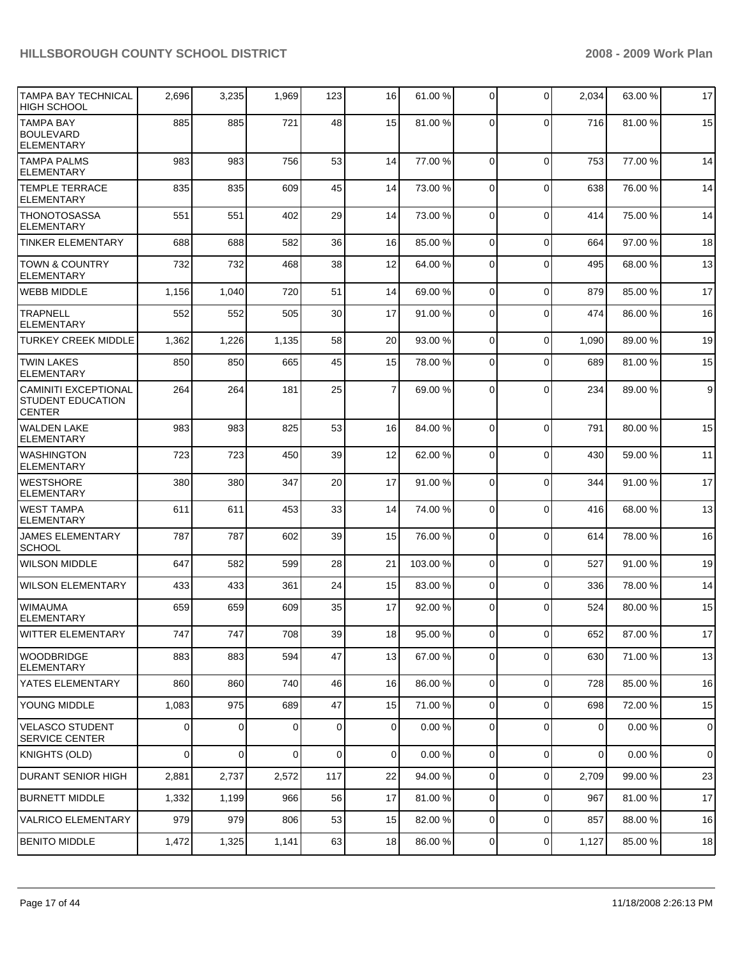| <b>TAMPA BAY TECHNICAL</b>                                               | 2,696       | 3,235 | 1,969 | 123         | 16             | 61.00 %  | 0              | $\mathbf 0$    | 2,034          | 63.00 % | 17             |
|--------------------------------------------------------------------------|-------------|-------|-------|-------------|----------------|----------|----------------|----------------|----------------|---------|----------------|
| HIGH SCHOOL                                                              |             |       |       |             |                |          |                |                |                |         |                |
| <b>TAMPA BAY</b><br><b>BOULEVARD</b><br><b>ELEMENTARY</b>                | 885         | 885   | 721   | 48          | 15             | 81.00 %  | $\Omega$       | $\Omega$       | 716            | 81.00 % | 15             |
| <b>TAMPA PALMS</b><br><b>ELEMENTARY</b>                                  | 983         | 983   | 756   | 53          | 14             | 77.00 %  | $\Omega$       | $\mathbf 0$    | 753            | 77.00 % | 14             |
| <b>TEMPLE TERRACE</b><br><b>ELEMENTARY</b>                               | 835         | 835   | 609   | 45          | 14             | 73.00 %  | $\Omega$       | $\mathbf 0$    | 638            | 76.00 % | 14             |
| <b>THONOTOSASSA</b><br><b>ELEMENTARY</b>                                 | 551         | 551   | 402   | 29          | 14             | 73.00 %  | $\Omega$       | $\mathbf 0$    | 414            | 75.00 % | 14             |
| <b>TINKER ELEMENTARY</b>                                                 | 688         | 688   | 582   | 36          | 16             | 85.00 %  | $\Omega$       | $\mathbf 0$    | 664            | 97.00 % | 18             |
| <b>TOWN &amp; COUNTRY</b><br><b>ELEMENTARY</b>                           | 732         | 732   | 468   | 38          | 12             | 64.00 %  | $\Omega$       | $\Omega$       | 495            | 68.00 % | 13             |
| <b>WEBB MIDDLE</b>                                                       | 1,156       | 1,040 | 720   | 51          | 14             | 69.00 %  | $\Omega$       | $\Omega$       | 879            | 85.00 % | 17             |
| <b>TRAPNELL</b><br><b>ELEMENTARY</b>                                     | 552         | 552   | 505   | 30          | 17             | 91.00 %  | 0              | $\mathbf 0$    | 474            | 86.00 % | 16             |
| <b>TURKEY CREEK MIDDLE</b>                                               | 1,362       | 1,226 | 1,135 | 58          | 20             | 93.00 %  | $\mathbf 0$    | $\mathbf 0$    | 1,090          | 89.00 % | 19             |
| <b>TWIN LAKES</b><br><b>ELEMENTARY</b>                                   | 850         | 850   | 665   | 45          | 15             | 78.00 %  | $\Omega$       | $\Omega$       | 689            | 81.00 % | 15             |
| <b>CAMINITI EXCEPTIONAL</b><br><b>STUDENT EDUCATION</b><br><b>CENTER</b> | 264         | 264   | 181   | 25          | $\overline{7}$ | 69.00 %  | 0              | $\mathbf 0$    | 234            | 89.00 % | 9 <sup>1</sup> |
| <b>WALDEN LAKE</b><br><b>ELEMENTARY</b>                                  | 983         | 983   | 825   | 53          | 16             | 84.00 %  | $\Omega$       | $\Omega$       | 791            | 80.00 % | 15             |
| <b>WASHINGTON</b><br><b>ELEMENTARY</b>                                   | 723         | 723   | 450   | 39          | 12             | 62.00 %  | 0              | 0              | 430            | 59.00 % | 11             |
| <b>WESTSHORE</b><br><b>ELEMENTARY</b>                                    | 380         | 380   | 347   | 20          | 17             | 91.00 %  | $\mathbf 0$    | $\Omega$       | 344            | 91.00 % | 17             |
| <b>WEST TAMPA</b><br><b>ELEMENTARY</b>                                   | 611         | 611   | 453   | 33          | 14             | 74.00 %  | 0              | $\mathbf 0$    | 416            | 68.00 % | 13             |
| <b>JAMES ELEMENTARY</b><br><b>SCHOOL</b>                                 | 787         | 787   | 602   | 39          | 15             | 76.00 %  | 0              | $\mathbf 0$    | 614            | 78.00 % | 16             |
| <b>WILSON MIDDLE</b>                                                     | 647         | 582   | 599   | 28          | 21             | 103.00 % | $\mathbf 0$    | $\mathbf 0$    | 527            | 91.00 % | 19             |
| <b>WILSON ELEMENTARY</b>                                                 | 433         | 433   | 361   | 24          | 15             | 83.00 %  | $\mathbf 0$    | $\mathbf 0$    | 336            | 78.00 % | 14             |
| <b>WIMAUMA</b><br><b>ELEMENTARY</b>                                      | 659         | 659   | 609   | 35          | 17             | 92.00 %  | 0              | $\Omega$       | 524            | 80.00 % | 15             |
| WITTER ELEMENTARY                                                        | 747         | 747   | 708   | 39          | 18             | 95.00 %  | $\overline{0}$ | $\overline{0}$ | 652            | 87.00 % | 17             |
| WOODBRIDGE<br><b>ELEMENTARY</b>                                          | 883         | 883   | 594   | 47          | 13             | 67.00 %  | 0              | $\mathbf 0$    | 630            | 71.00 % | 13             |
| YATES ELEMENTARY                                                         | 860         | 860   | 740   | 46          | 16             | 86.00 %  | $\overline{0}$ | $\mathbf 0$    | 728            | 85.00 % | 16             |
| YOUNG MIDDLE                                                             | 1,083       | 975   | 689   | 47          | 15             | 71.00 %  | $\mathbf 0$    | $\mathbf 0$    | 698            | 72.00 % | 15             |
| <b>VELASCO STUDENT</b><br><b>SERVICE CENTER</b>                          | $\Omega$    | 0     | 0     | $\mathbf 0$ | 0              | 0.00%    | $\mathbf 0$    | $\mathbf 0$    | $\overline{0}$ | 0.00%   | $\mathbf 0$    |
| KNIGHTS (OLD)                                                            | $\mathbf 0$ | 0     | 0     | $\mathbf 0$ | $\overline{0}$ | 0.00%    | $\overline{0}$ | 0              | $\overline{0}$ | 0.00%   | $\overline{0}$ |
| DURANT SENIOR HIGH                                                       | 2,881       | 2,737 | 2,572 | 117         | 22             | 94.00 %  | $\mathbf 0$    | 0              | 2,709          | 99.00 % | 23             |
| BURNETT MIDDLE                                                           | 1,332       | 1,199 | 966   | 56          | 17             | 81.00 %  | 0              | $\mathbf 0$    | 967            | 81.00 % | 17             |
| <b>VALRICO ELEMENTARY</b>                                                | 979         | 979   | 806   | 53          | 15             | 82.00 %  | $\overline{0}$ | $\mathbf 0$    | 857            | 88.00 % | 16             |
| <b>BENITO MIDDLE</b>                                                     | 1,472       | 1,325 | 1,141 | 63          | 18             | 86.00 %  | 0              | 0              | 1,127          | 85.00 % | 18             |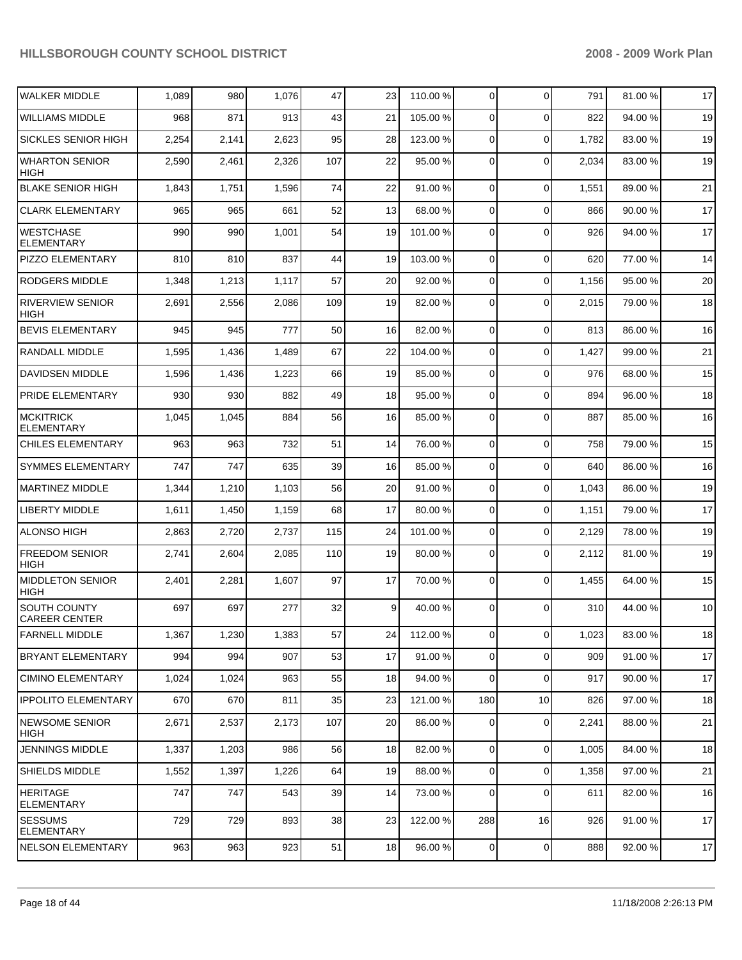| <b>WALKER MIDDLE</b>                   | 1,089 | 980   | 1,076 | 47  | 23 | 110.00 % | 0              | $\Omega$       | 791   | 81.00 % | 17 |
|----------------------------------------|-------|-------|-------|-----|----|----------|----------------|----------------|-------|---------|----|
| <b>WILLIAMS MIDDLE</b>                 | 968   | 871   | 913   | 43  | 21 | 105.00 % | 0              | $\Omega$       | 822   | 94.00 % | 19 |
| SICKLES SENIOR HIGH                    | 2,254 | 2,141 | 2,623 | 95  | 28 | 123.00 % | 0              | $\Omega$       | 1,782 | 83.00 % | 19 |
| <b>WHARTON SENIOR</b><br>HIGH          | 2,590 | 2,461 | 2,326 | 107 | 22 | 95.00 %  | 0              | $\Omega$       | 2,034 | 83.00 % | 19 |
| <b>BLAKE SENIOR HIGH</b>               | 1,843 | 1,751 | 1,596 | 74  | 22 | 91.00 %  | 0              | $\mathbf 0$    | 1,551 | 89.00 % | 21 |
| <b>CLARK ELEMENTARY</b>                | 965   | 965   | 661   | 52  | 13 | 68.00 %  | 0              | $\mathbf 0$    | 866   | 90.00 % | 17 |
| <b>WESTCHASE</b><br><b>ELEMENTARY</b>  | 990   | 990   | 1,001 | 54  | 19 | 101.00%  | 0              | $\Omega$       | 926   | 94.00 % | 17 |
| PIZZO ELEMENTARY                       | 810   | 810   | 837   | 44  | 19 | 103.00 % | 0              | $\mathbf 0$    | 620   | 77.00 % | 14 |
| <b>RODGERS MIDDLE</b>                  | 1,348 | 1,213 | 1,117 | 57  | 20 | 92.00 %  | 0              | $\mathbf 0$    | 1,156 | 95.00 % | 20 |
| <b>RIVERVIEW SENIOR</b><br>HIGH        | 2,691 | 2,556 | 2,086 | 109 | 19 | 82.00 %  | 0              | $\Omega$       | 2,015 | 79.00 % | 18 |
| <b>BEVIS ELEMENTARY</b>                | 945   | 945   | 777   | 50  | 16 | 82.00 %  | 0              | $\mathbf 0$    | 813   | 86.00 % | 16 |
| RANDALL MIDDLE                         | 1,595 | 1,436 | 1,489 | 67  | 22 | 104.00 % | 0              | $\Omega$       | 1,427 | 99.00 % | 21 |
| DAVIDSEN MIDDLE                        | 1,596 | 1,436 | 1,223 | 66  | 19 | 85.00 %  | 0              | $\Omega$       | 976   | 68.00 % | 15 |
| PRIDE ELEMENTARY                       | 930   | 930   | 882   | 49  | 18 | 95.00 %  | 0              | $\Omega$       | 894   | 96.00 % | 18 |
| <b>MCKITRICK</b><br><b>ELEMENTARY</b>  | 1,045 | 1,045 | 884   | 56  | 16 | 85.00 %  | 0              | $\Omega$       | 887   | 85.00 % | 16 |
| <b>CHILES ELEMENTARY</b>               | 963   | 963   | 732   | 51  | 14 | 76.00 %  | $\mathbf 0$    | $\Omega$       | 758   | 79.00 % | 15 |
| SYMMES ELEMENTARY                      | 747   | 747   | 635   | 39  | 16 | 85.00 %  | 0              | $\Omega$       | 640   | 86.00 % | 16 |
| <b>MARTINEZ MIDDLE</b>                 | 1,344 | 1,210 | 1,103 | 56  | 20 | 91.00 %  | 0              | $\Omega$       | 1,043 | 86.00 % | 19 |
| <b>LIBERTY MIDDLE</b>                  | 1,611 | 1,450 | 1,159 | 68  | 17 | 80.00 %  | 0              | $\Omega$       | 1,151 | 79.00 % | 17 |
| <b>ALONSO HIGH</b>                     | 2,863 | 2,720 | 2,737 | 115 | 24 | 101.00 % | 0              | $\Omega$       | 2,129 | 78.00 % | 19 |
| <b>FREEDOM SENIOR</b><br>HIGH          | 2,741 | 2,604 | 2,085 | 110 | 19 | 80.00 %  | 0              | $\Omega$       | 2,112 | 81.00 % | 19 |
| <b>MIDDLETON SENIOR</b><br><b>HIGH</b> | 2,401 | 2,281 | 1,607 | 97  | 17 | 70.00 %  | $\mathbf 0$    | $\Omega$       | 1,455 | 64.00 % | 15 |
| SOUTH COUNTY<br><b>CAREER CENTER</b>   | 697   | 697   | 277   | 32  | 9  | 40.00 %  | $\mathbf 0$    | $\Omega$       | 310   | 44.00 % | 10 |
| <b>FARNELL MIDDLE</b>                  | 1,367 | 1,230 | 1,383 | 57  | 24 | 112.00 % | $\overline{0}$ | $\overline{0}$ | 1,023 | 83.00 % | 18 |
| <b>BRYANT ELEMENTARY</b>               | 994   | 994   | 907   | 53  | 17 | 91.00 %  | 0              | $\Omega$       | 909   | 91.00 % | 17 |
| <b>CIMINO ELEMENTARY</b>               | 1,024 | 1,024 | 963   | 55  | 18 | 94.00 %  | $\mathbf 0$    | $\Omega$       | 917   | 90.00 % | 17 |
| <b>IPPOLITO ELEMENTARY</b>             | 670   | 670   | 811   | 35  | 23 | 121.00 % | 180            | 10             | 826   | 97.00 % | 18 |
| <b>NEWSOME SENIOR</b><br><b>HIGH</b>   | 2,671 | 2,537 | 2,173 | 107 | 20 | 86.00 %  | 0              | 0              | 2,241 | 88.00 % | 21 |
| <b>JENNINGS MIDDLE</b>                 | 1,337 | 1,203 | 986   | 56  | 18 | 82.00 %  | $\mathbf 0$    | $\Omega$       | 1,005 | 84.00 % | 18 |
| <b>SHIELDS MIDDLE</b>                  | 1,552 | 1,397 | 1,226 | 64  | 19 | 88.00 %  | 0              | $\Omega$       | 1,358 | 97.00 % | 21 |
| <b>HERITAGE</b><br><b>ELEMENTARY</b>   | 747   | 747   | 543   | 39  | 14 | 73.00 %  | 0              | $\Omega$       | 611   | 82.00 % | 16 |
| <b>SESSUMS</b><br><b>ELEMENTARY</b>    | 729   | 729   | 893   | 38  | 23 | 122.00 % | 288            | 16             | 926   | 91.00 % | 17 |
| <b>NELSON ELEMENTARY</b>               | 963   | 963   | 923   | 51  | 18 | 96.00 %  | 0              | 0              | 888   | 92.00 % | 17 |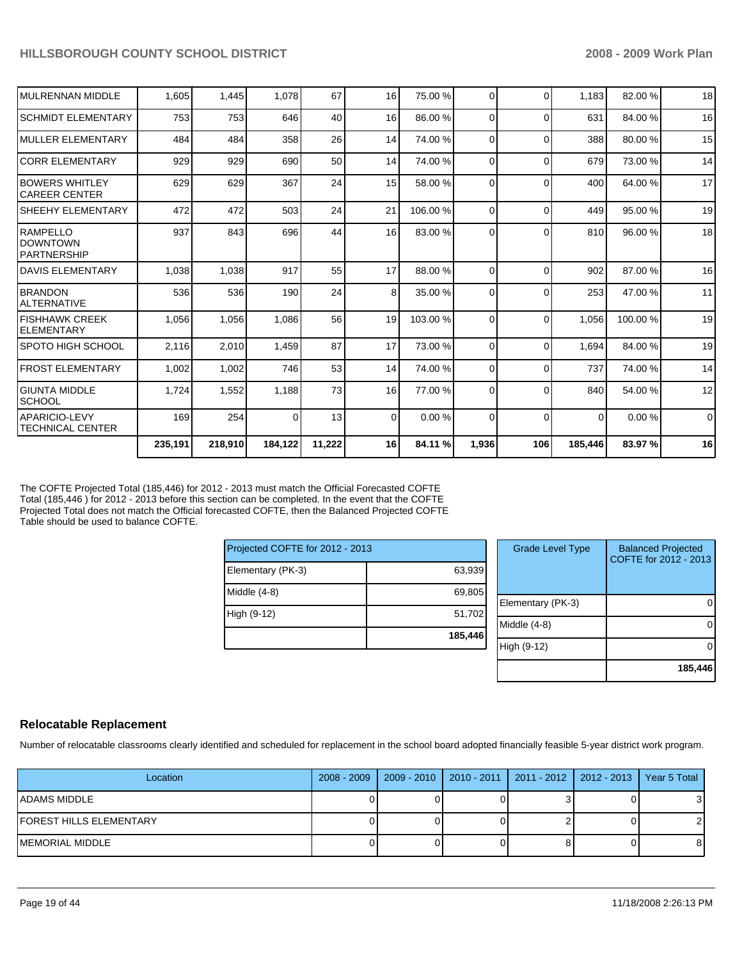| MULRENNAN MIDDLE                                  | 1,605   | 1,445   | 1,078    | 67     | 16             | 75.00 %  | $\Omega$       | $\Omega$ | 1,183          | 82.00 %  | 18          |
|---------------------------------------------------|---------|---------|----------|--------|----------------|----------|----------------|----------|----------------|----------|-------------|
| <b>SCHMIDT ELEMENTARY</b>                         | 753     | 753     | 646      | 40     | 16             | 86.00 %  | $\Omega$       | $\Omega$ | 631            | 84.00 %  | 16          |
| IMULLER ELEMENTARY                                | 484     | 484     | 358      | 26     | 14             | 74.00 %  | $\Omega$       | $\Omega$ | 388            | 80.00 %  | 15          |
| <b>ICORR ELEMENTARY</b>                           | 929     | 929     | 690      | 50     | 14             | 74.00 %  | $\Omega$       | $\Omega$ | 679            | 73.00 %  | 14          |
| <b>BOWERS WHITLEY</b><br>ICAREER CENTER           | 629     | 629     | 367      | 24     | 15             | 58.00 %  | $\Omega$       | $\Omega$ | 400            | 64.00 %  | 17          |
| <b>SHEEHY ELEMENTARY</b>                          | 472     | 472     | 503      | 24     | 21             | 106.00 % | $\Omega$       | $\Omega$ | 449            | 95.00 %  | 19          |
| RAMPELLO<br><b>DOWNTOWN</b><br><b>PARTNERSHIP</b> | 937     | 843     | 696      | 44     | 16             | 83.00 %  | $\Omega$       | $\Omega$ | 810            | 96.00 %  | 18          |
| <b>DAVIS ELEMENTARY</b>                           | 1,038   | 1,038   | 917      | 55     | 17             | 88.00 %  | $\Omega$       | $\Omega$ | 902            | 87.00 %  | 16          |
| <b>BRANDON</b><br><b>ALTERNATIVE</b>              | 536     | 536     | 190      | 24     | 8              | 35.00 %  | $\overline{0}$ | $\Omega$ | 253            | 47.00 %  | 11          |
| <b>FISHHAWK CREEK</b><br>ELEMENTARY               | 1,056   | 1,056   | 1,086    | 56     | 19             | 103.00 % | $\Omega$       | $\Omega$ | 1.056          | 100.00 % | 19          |
| ISPOTO HIGH SCHOOL                                | 2.116   | 2,010   | 1.459    | 87     | 17             | 73.00 %  | $\Omega$       | $\Omega$ | 1.694          | 84.00 %  | 19          |
| <b>FROST ELEMENTARY</b>                           | 1.002   | 1,002   | 746      | 53     | 14             | 74.00 %  | $\Omega$       | $\Omega$ | 737            | 74.00 %  | 14          |
| <b>GIUNTA MIDDLE</b><br><b>SCHOOL</b>             | 1,724   | 1,552   | 1,188    | 73     | 16             | 77.00 %  | $\Omega$       | $\Omega$ | 840            | 54.00 %  | 12          |
| <b>APARICIO-LEVY</b><br><b>TECHNICAL CENTER</b>   | 169     | 254     | $\Omega$ | 13     | $\overline{0}$ | 0.00%    | $\Omega$       | $\Omega$ | $\overline{0}$ | 0.00%    | $\mathbf 0$ |
|                                                   | 235,191 | 218,910 | 184,122  | 11,222 | 16             | 84.11 %  | 1,936          | 106      | 185,446        | 83.97 %  | 16          |

The COFTE Projected Total (185,446) for 2012 - 2013 must match the Official Forecasted COFTE Total (185,446 ) for 2012 - 2013 before this section can be completed. In the event that the COFTE Projected Total does not match the Official forecasted COFTE, then the Balanced Projected COFTE Table should be used to balance COFTE.

| Projected COFTE for 2012 - 2013 |         |
|---------------------------------|---------|
| Elementary (PK-3)               | 63,939  |
| Middle (4-8)                    | 69,805  |
| High (9-12)                     | 51,702  |
|                                 | 185,446 |

| <b>Grade Level Type</b> | <b>Balanced Projected</b><br>COFTE for 2012 - 2013 |
|-------------------------|----------------------------------------------------|
| Elementary (PK-3)       |                                                    |
| Middle (4-8)            |                                                    |
| High (9-12)             |                                                    |
|                         | 185,446                                            |

### **Relocatable Replacement**

Number of relocatable classrooms clearly identified and scheduled for replacement in the school board adopted financially feasible 5-year district work program.

| Location                 | 2008 - 2009   2009 - 2010 | 2010 - 2011   2011 - 2012   2012 - 2013   Year 5 Total |  |
|--------------------------|---------------------------|--------------------------------------------------------|--|
| IADAMS MIDDLE            |                           |                                                        |  |
| IFOREST HILLS ELEMENTARY |                           |                                                        |  |
| IMEMORIAL MIDDLE         |                           |                                                        |  |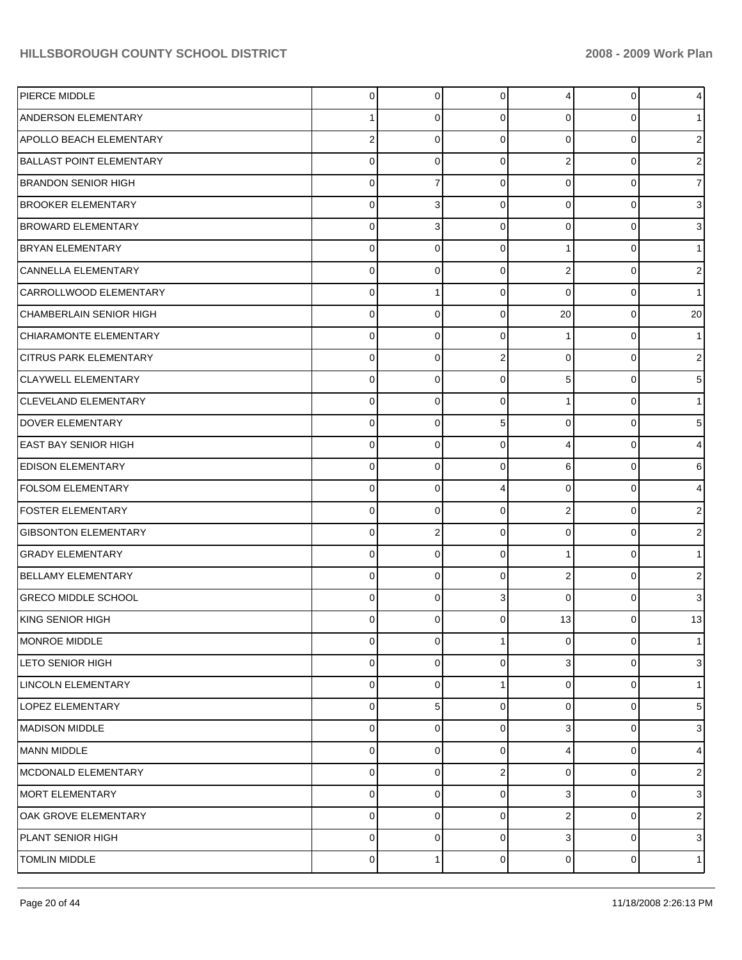| PIERCE MIDDLE                   | $\overline{0}$   | $\mathbf 0$ | 0              | 4              | $\mathbf 0$ | 4  |
|---------------------------------|------------------|-------------|----------------|----------------|-------------|----|
| <b>ANDERSON ELEMENTARY</b>      | 1                | 0           | $\mathbf 0$    | $\Omega$       | $\mathbf 0$ |    |
| APOLLO BEACH ELEMENTARY         | $\boldsymbol{2}$ | $\Omega$    | $\mathbf 0$    | $\Omega$       | $\mathbf 0$ | 2  |
| <b>BALLAST POINT ELEMENTARY</b> | $\pmb{0}$        | 0           | $\mathbf 0$    | $\overline{2}$ | $\mathbf 0$ | 2  |
| <b>BRANDON SENIOR HIGH</b>      | $\pmb{0}$        | 7           | $\mathbf 0$    | $\Omega$       | $\mathbf 0$ |    |
| <b>BROOKER ELEMENTARY</b>       | $\pmb{0}$        | 3           | $\mathbf 0$    | $\Omega$       | $\mathbf 0$ | 3  |
| <b>BROWARD ELEMENTARY</b>       | $\pmb{0}$        | 3           | $\mathbf 0$    | $\Omega$       | $\mathbf 0$ | 3  |
| <b>BRYAN ELEMENTARY</b>         | $\mathbf 0$      | $\mathbf 0$ | $\mathbf 0$    | 1              | $\mathbf 0$ |    |
| CANNELLA ELEMENTARY             | $\pmb{0}$        | $\Omega$    | $\mathbf 0$    | $\overline{2}$ | $\mathbf 0$ | 2  |
| CARROLLWOOD ELEMENTARY          | $\mathbf 0$      | 1           | $\mathbf 0$    | $\Omega$       | $\mathbf 0$ |    |
| CHAMBERLAIN SENIOR HIGH         | $\pmb{0}$        | $\Omega$    | $\mathbf 0$    | 20             | $\mathbf 0$ | 20 |
| CHIARAMONTE ELEMENTARY          | $\mathbf 0$      | $\mathbf 0$ | $\mathbf 0$    | 1              | $\mathbf 0$ |    |
| <b>CITRUS PARK ELEMENTARY</b>   | $\mathbf 0$      | $\Omega$    | $\overline{2}$ | $\Omega$       | $\mathbf 0$ | 2  |
| <b>CLAYWELL ELEMENTARY</b>      | $\pmb{0}$        | $\mathbf 0$ | $\mathbf 0$    | 5              | $\mathbf 0$ | 5  |
| <b>CLEVELAND ELEMENTARY</b>     | $\pmb{0}$        | 0           | $\mathbf 0$    | 1              | $\mathbf 0$ |    |
| DOVER ELEMENTARY                | $\pmb{0}$        | $\mathbf 0$ | 5              | $\Omega$       | $\mathbf 0$ | 5  |
| <b>EAST BAY SENIOR HIGH</b>     | $\mathbf 0$      | $\Omega$    | $\mathbf 0$    | 4              | $\mathbf 0$ | 4  |
| <b>EDISON ELEMENTARY</b>        | $\pmb{0}$        | $\mathbf 0$ | $\mathbf 0$    | 6              | $\mathbf 0$ | 6  |
| <b>FOLSOM ELEMENTARY</b>        | $\mathbf 0$      | $\Omega$    | 4              | $\Omega$       | $\mathbf 0$ | 4  |
| <b>FOSTER ELEMENTARY</b>        | $\pmb{0}$        | $\mathbf 0$ | $\mathbf 0$    | $\overline{2}$ | $\mathbf 0$ | 2  |
| <b>GIBSONTON ELEMENTARY</b>     | $\mathbf 0$      | 2           | $\mathbf 0$    | $\Omega$       | $\mathbf 0$ | 2  |
| <b>GRADY ELEMENTARY</b>         | $\pmb{0}$        | $\mathbf 0$ | $\mathbf 0$    | 1              | $\mathbf 0$ |    |
| <b>BELLAMY ELEMENTARY</b>       | $\mathbf 0$      | $\Omega$    | $\mathbf 0$    | $\overline{2}$ | $\mathbf 0$ | 2  |
| <b>GRECO MIDDLE SCHOOL</b>      | $\pmb{0}$        | $\mathbf 0$ | 3              | $\Omega$       | $\mathbf 0$ | 3  |
| KING SENIOR HIGH                | $\mathbf 0$      | $\Omega$    | $\Omega$       | 13             | 0           | 13 |
| <b>MONROE MIDDLE</b>            | $\overline{0}$   | 0           | $\mathbf{1}$   | $\overline{0}$ | $\mathbf 0$ | 1  |
| <b>LETO SENIOR HIGH</b>         | $\mathbf 0$      | 0           | $\mathbf 0$    | 3              | 0           | 3  |
| LINCOLN ELEMENTARY              | 0                | $\Omega$    | 1              | $\Omega$       | 0           |    |
| LOPEZ ELEMENTARY                | 0                | 5           | $\mathbf 0$    | $\Omega$       | 0           | 5  |
| <b>MADISON MIDDLE</b>           | 0                | $\Omega$    | $\mathbf 0$    | 3              | 0           | 3  |
| <b>MANN MIDDLE</b>              | 0                | $\Omega$    | $\mathbf 0$    | 4              | 0           | 4  |
| MCDONALD ELEMENTARY             | 0                | $\Omega$    | $\overline{2}$ | $\Omega$       | 0           | 2  |
| MORT ELEMENTARY                 | $\pmb{0}$        | 0           | $\mathbf 0$    | 3              | 0           | 3  |
| OAK GROVE ELEMENTARY            | 0                | $\Omega$    | $\mathbf 0$    | $\overline{2}$ | 0           | 2  |
| PLANT SENIOR HIGH               | $\pmb{0}$        | 0           | $\mathbf 0$    | 3              | 0           | 3  |
| TOMLIN MIDDLE                   | $\mathbf 0$      |             | $\mathbf 0$    | $\overline{0}$ | 0           |    |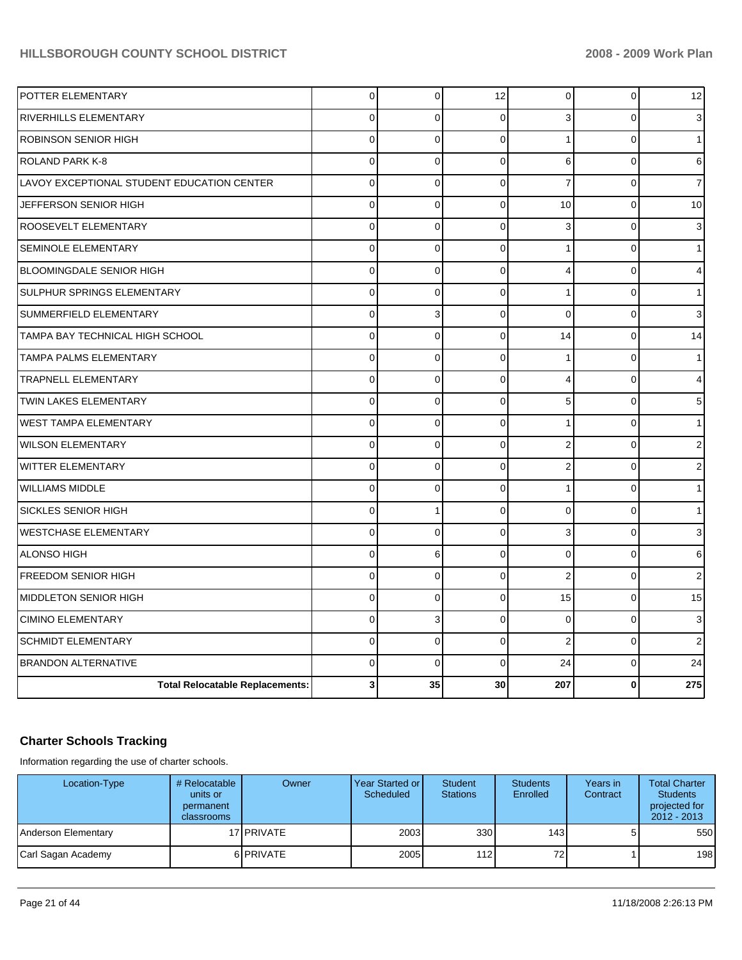| POTTER ELEMENTARY                          | 0           | 0            | 12          | $\mathbf 0$    | $\mathbf 0$ | 12             |
|--------------------------------------------|-------------|--------------|-------------|----------------|-------------|----------------|
| <b>RIVERHILLS ELEMENTARY</b>               | $\pmb{0}$   | $\Omega$     | $\Omega$    | 3              | $\Omega$    | 3 <sup>1</sup> |
| <b>ROBINSON SENIOR HIGH</b>                | $\mathbf 0$ | $\mathbf 0$  | $\mathbf 0$ | 1              | $\mathbf 0$ | 1              |
| <b>ROLAND PARK K-8</b>                     | $\pmb{0}$   | $\mathbf 0$  | $\mathbf 0$ | 6              | $\mathbf 0$ | 6              |
| LAVOY EXCEPTIONAL STUDENT EDUCATION CENTER | $\mathbf 0$ | $\pmb{0}$    | $\mathbf 0$ | $\overline{7}$ | $\mathbf 0$ | $\overline{7}$ |
| JEFFERSON SENIOR HIGH                      | $\mathbf 0$ | $\mathbf 0$  | $\mathbf 0$ | 10             | $\mathbf 0$ | 10             |
| <b>ROOSEVELT ELEMENTARY</b>                | $\mathbf 0$ | $\mathbf 0$  | $\Omega$    | 3              | $\Omega$    | 3              |
| <b>SEMINOLE ELEMENTARY</b>                 | $\pmb{0}$   | $\mathbf 0$  | $\mathbf 0$ | $\mathbf{1}$   | $\mathbf 0$ | 1              |
| <b>BLOOMINGDALE SENIOR HIGH</b>            | $\pmb{0}$   | $\mathbf 0$  | $\Omega$    | 4              | $\Omega$    | $\overline{4}$ |
| <b>SULPHUR SPRINGS ELEMENTARY</b>          | $\mathbf 0$ | $\Omega$     | $\Omega$    | 1              | $\Omega$    | 1              |
| SUMMERFIELD ELEMENTARY                     | $\mathbf 0$ | 3            | $\Omega$    | $\Omega$       | $\mathbf 0$ | $\mathbf{3}$   |
| <b>TAMPA BAY TECHNICAL HIGH SCHOOL</b>     | $\mathbf 0$ | $\mathbf 0$  | $\Omega$    | 14             | $\mathbf 0$ | 14             |
| <b>TAMPA PALMS ELEMENTARY</b>              | $\mathbf 0$ | $\mathbf 0$  | $\Omega$    |                | $\Omega$    | 1              |
| <b>TRAPNELL ELEMENTARY</b>                 | $\mathbf 0$ | $\Omega$     | $\Omega$    | 4              | $\Omega$    | 4              |
| <b>TWIN LAKES ELEMENTARY</b>               | $\mathbf 0$ | $\mathbf 0$  | $\Omega$    | 5              | $\Omega$    | $\sqrt{5}$     |
| <b>WEST TAMPA ELEMENTARY</b>               | 0           | 0            | $\Omega$    | 1              | $\mathbf 0$ | 1              |
| WILSON ELEMENTARY                          | $\mathbf 0$ | $\mathbf 0$  | $\mathbf 0$ | 2              | 0           | $\overline{2}$ |
| WITTER ELEMENTARY                          | $\pmb{0}$   | $\mathbf 0$  | $\mathbf 0$ | $\overline{2}$ | $\mathbf 0$ | $\overline{2}$ |
| <b>WILLIAMS MIDDLE</b>                     | $\pmb{0}$   | $\mathbf 0$  | $\mathbf 0$ | $\mathbf{1}$   | $\mathbf 0$ | 1              |
| <b>SICKLES SENIOR HIGH</b>                 | $\pmb{0}$   | $\mathbf{1}$ | $\Omega$    | 0              | $\mathbf 0$ | 1              |
| <b>WESTCHASE ELEMENTARY</b>                | $\mathbf 0$ | $\mathbf 0$  | $\Omega$    | 3              | $\Omega$    | 3              |
| <b>ALONSO HIGH</b>                         | $\mathbf 0$ | 6            | $\mathbf 0$ | 0              | $\mathbf 0$ | $6 \,$         |
| <b>FREEDOM SENIOR HIGH</b>                 | $\pmb{0}$   | $\mathbf 0$  | $\Omega$    | $\overline{2}$ | $\mathbf 0$ | $\overline{c}$ |
| MIDDLETON SENIOR HIGH                      | $\pmb{0}$   | $\mathbf 0$  | $\Omega$    | 15             | $\mathbf 0$ | 15             |
| <b>CIMINO ELEMENTARY</b>                   | $\mathbf 0$ | 3            | $\Omega$    | $\Omega$       | $\Omega$    | 3              |
| <b>SCHMIDT ELEMENTARY</b>                  | $\mathbf 0$ | $\mathbf 0$  | $\Omega$    | $\overline{2}$ | $\Omega$    | $\mathbf 2$    |
| <b>BRANDON ALTERNATIVE</b>                 | 0           | $\Omega$     | $\Omega$    | 24             | $\Omega$    | 24             |
| <b>Total Relocatable Replacements:</b>     | 3           | 35           | 30          | 207            | $\bf{0}$    | 275            |

## **Charter Schools Tracking**

Information regarding the use of charter schools.

| Location-Type       | # Relocatable<br>units or<br>permanent<br>classrooms | Owner      | Year Started or I<br>Scheduled | Student<br><b>Stations</b> | <b>Students</b><br>Enrolled | Years in<br>Contract | <b>Total Charter</b><br><b>Students</b><br>projected for<br>$2012 - 2013$ |
|---------------------|------------------------------------------------------|------------|--------------------------------|----------------------------|-----------------------------|----------------------|---------------------------------------------------------------------------|
| Anderson Elementary |                                                      | 17 PRIVATE | 2003                           | 330                        | 143I                        | 51                   | 550                                                                       |
| Carl Sagan Academy  |                                                      | 6 PRIVATE  | 2005                           | 112                        | 72                          |                      | 198                                                                       |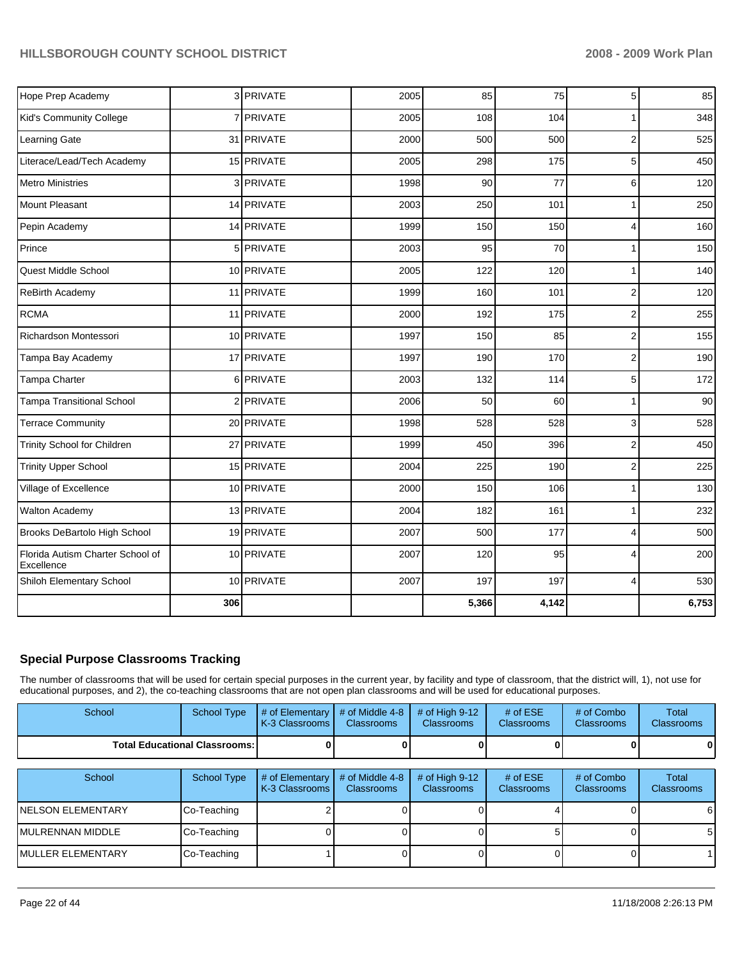| Hope Prep Academy                              |     | 3 PRIVATE  | 2005 | 85    | 75    | 5              | 85    |
|------------------------------------------------|-----|------------|------|-------|-------|----------------|-------|
| Kid's Community College                        |     | 7 PRIVATE  | 2005 | 108   | 104   | 1              | 348   |
| Learning Gate                                  |     | 31 PRIVATE | 2000 | 500   | 500   | 2              | 525   |
| Literace/Lead/Tech Academy                     |     | 15 PRIVATE | 2005 | 298   | 175   | 5              | 450   |
| <b>Metro Ministries</b>                        |     | 3 PRIVATE  | 1998 | 90    | 77    | 6              | 120   |
| Mount Pleasant                                 |     | 14 PRIVATE | 2003 | 250   | 101   | 1              | 250   |
| Pepin Academy                                  |     | 14 PRIVATE | 1999 | 150   | 150   | 4              | 160   |
| Prince                                         |     | 5 PRIVATE  | 2003 | 95    | 70    | 1              | 150   |
| Quest Middle School                            |     | 10 PRIVATE | 2005 | 122   | 120   | 1              | 140   |
| ReBirth Academy                                |     | 11 PRIVATE | 1999 | 160   | 101   | 2              | 120   |
| <b>RCMA</b>                                    |     | 11 PRIVATE | 2000 | 192   | 175   | 2              | 255   |
| Richardson Montessori                          |     | 10 PRIVATE | 1997 | 150   | 85    | $\overline{c}$ | 155   |
| Tampa Bay Academy                              |     | 17 PRIVATE | 1997 | 190   | 170   | 2              | 190   |
| Tampa Charter                                  |     | 6 PRIVATE  | 2003 | 132   | 114   | 5              | 172   |
| <b>Tampa Transitional School</b>               |     | 2 PRIVATE  | 2006 | 50    | 60    | 1              | 90    |
| <b>Terrace Community</b>                       |     | 20 PRIVATE | 1998 | 528   | 528   | 3              | 528   |
| Trinity School for Children                    |     | 27 PRIVATE | 1999 | 450   | 396   | $\overline{c}$ | 450   |
| <b>Trinity Upper School</b>                    |     | 15 PRIVATE | 2004 | 225   | 190   | $\overline{2}$ | 225   |
| Village of Excellence                          |     | 10 PRIVATE | 2000 | 150   | 106   | 1              | 130   |
| Walton Academy                                 |     | 13 PRIVATE | 2004 | 182   | 161   | $\mathbf{1}$   | 232   |
| Brooks DeBartolo High School                   |     | 19 PRIVATE | 2007 | 500   | 177   | 4              | 500   |
| Florida Autism Charter School of<br>Excellence |     | 10 PRIVATE | 2007 | 120   | 95    | 4              | 200   |
| Shiloh Elementary School                       |     | 10 PRIVATE | 2007 | 197   | 197   | 4              | 530   |
|                                                | 306 |            |      | 5,366 | 4,142 |                | 6,753 |

#### **Special Purpose Classrooms Tracking**

The number of classrooms that will be used for certain special purposes in the current year, by facility and type of classroom, that the district will, 1), not use for educational purposes, and 2), the co-teaching classrooms that are not open plan classrooms and will be used for educational purposes.

| School                               | <b>School Type</b> | # of Elementary<br>K-3 Classrooms | # of Middle 4-8<br>Classrooms        | # of High $9-12$<br>Classrooms        | # of $ESE$<br>Classrooms | # of Combo<br>Classrooms        | Total<br><b>Classrooms</b> |
|--------------------------------------|--------------------|-----------------------------------|--------------------------------------|---------------------------------------|--------------------------|---------------------------------|----------------------------|
| <b>Total Educational Classrooms:</b> |                    |                                   |                                      |                                       |                          |                                 |                            |
|                                      |                    |                                   |                                      |                                       |                          |                                 |                            |
| School                               | School Type        | # of Elementary<br>K-3 Classrooms | # of Middle 4-8<br><b>Classrooms</b> | # of High $9-12$<br><b>Classrooms</b> | # of $ESE$<br>Classrooms | # of Combo<br><b>Classrooms</b> | Total<br><b>Classrooms</b> |
| <b>NELSON ELEMENTARY</b>             | Co-Teaching        |                                   |                                      |                                       |                          |                                 | 6 I                        |
| <b>MULRENNAN MIDDLE</b>              | Co-Teaching        |                                   |                                      |                                       |                          |                                 | 51                         |
| <b>MULLER ELEMENTARY</b>             | Co-Teaching        |                                   |                                      |                                       |                          |                                 |                            |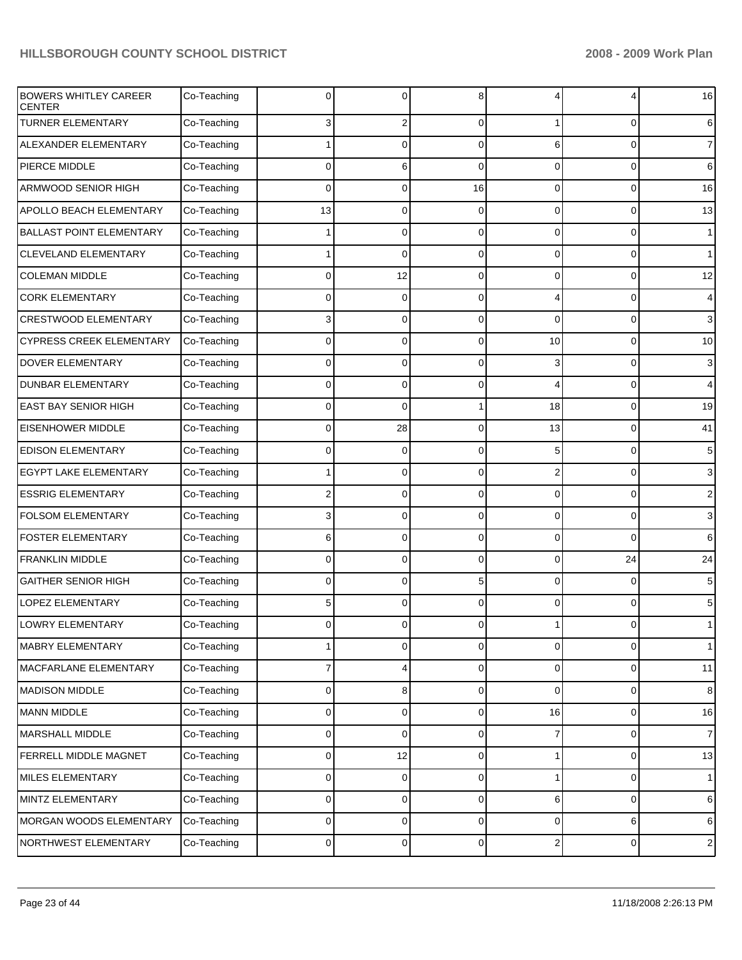| <b>BOWERS WHITLEY CAREER</b><br><b>CENTER</b> | Co-Teaching | $\Omega$       | U        | 8              |                         | 4                   | 16             |
|-----------------------------------------------|-------------|----------------|----------|----------------|-------------------------|---------------------|----------------|
| <b>TURNER ELEMENTARY</b>                      | Co-Teaching | 3              | 2        | $\Omega$       | 1                       | 0                   | 6              |
| ALEXANDER ELEMENTARY                          | Co-Teaching | 1              | $\Omega$ | $\Omega$       | 6                       | 0                   | $\overline{7}$ |
| PIERCE MIDDLE                                 | Co-Teaching | $\mathbf 0$    | 6        | $\Omega$       | $\Omega$                | 0                   | 6              |
| <b>ARMWOOD SENIOR HIGH</b>                    | Co-Teaching | $\mathbf 0$    | $\Omega$ | 16             | $\Omega$                | 0                   | 16             |
| <b>APOLLO BEACH ELEMENTARY</b>                | Co-Teaching | 13             | $\Omega$ | $\Omega$       | $\Omega$                | 0                   | 13             |
| <b>BALLAST POINT ELEMENTARY</b>               | Co-Teaching | 1              | 0        | $\Omega$       | $\Omega$                | 0                   | $\mathbf{1}$   |
| <b>CLEVELAND ELEMENTARY</b>                   | Co-Teaching | 1              | $\Omega$ | $\Omega$       | $\Omega$                | 0                   | $\mathbf{1}$   |
| <b>COLEMAN MIDDLE</b>                         | Co-Teaching | $\mathbf 0$    | 12       | $\Omega$       | $\Omega$                | 0                   | 12             |
| <b>CORK ELEMENTARY</b>                        | Co-Teaching | $\mathbf 0$    | $\Omega$ | $\Omega$       | 4                       | 0                   | $\overline{4}$ |
| <b>CRESTWOOD ELEMENTARY</b>                   | Co-Teaching | 3              | 0        | $\Omega$       | $\Omega$                | 0                   | 3              |
| <b>CYPRESS CREEK ELEMENTARY</b>               | Co-Teaching | $\Omega$       | $\Omega$ | $\Omega$       | 10                      | 0                   | 10             |
| <b>DOVER ELEMENTARY</b>                       | Co-Teaching | $\mathbf 0$    | 0        | $\Omega$       | 3                       | 0                   | $\mathbf{3}$   |
| <b>DUNBAR ELEMENTARY</b>                      | Co-Teaching | $\mathbf 0$    | $\Omega$ | $\Omega$       | 4                       | 0                   | 4              |
| <b>EAST BAY SENIOR HIGH</b>                   | Co-Teaching | $\mathbf 0$    | $\Omega$ | 1              | 18                      | 0                   | 19             |
| <b>EISENHOWER MIDDLE</b>                      | Co-Teaching | $\Omega$       | 28       | $\Omega$       | 13                      | 0                   | 41             |
| <b>EDISON ELEMENTARY</b>                      | Co-Teaching | $\mathbf 0$    | 0        | $\Omega$       | 5                       | 0                   | 5              |
| <b>EGYPT LAKE ELEMENTARY</b>                  | Co-Teaching | 1              | $\Omega$ | $\Omega$       | $\overline{2}$          | 0                   | 3              |
| <b>ESSRIG ELEMENTARY</b>                      | Co-Teaching | $\overline{2}$ | $\Omega$ | $\Omega$       | $\Omega$                | 0                   | $\sqrt{2}$     |
| <b>FOLSOM ELEMENTARY</b>                      | Co-Teaching | 3              | $\Omega$ | $\Omega$       | $\Omega$                | 0                   | 3              |
| <b>FOSTER ELEMENTARY</b>                      | Co-Teaching | 6              | 0        | $\Omega$       | $\Omega$                | $\Omega$            | 6              |
| <b>FRANKLIN MIDDLE</b>                        | Co-Teaching | $\mathbf 0$    | $\Omega$ | $\Omega$       | $\Omega$                | 24                  | 24             |
| <b>GAITHER SENIOR HIGH</b>                    | Co-Teaching | $\mathbf 0$    | $\Omega$ | 5              | $\Omega$                | 0                   | 5              |
| <b>LOPEZ ELEMENTARY</b>                       | Co-Teaching | 5              | $\Omega$ | $\Omega$       | $\Omega$                | 0                   | 5              |
| <b>LOWRY ELEMENTARY</b>                       | Co-Teaching | 0              | 0        | $\overline{0}$ |                         | 0                   | $\mathbf{1}$   |
| MABRY ELEMENTARY                              | Co-Teaching | 1              | 0        | $\overline{0}$ | 0                       | 0                   | $\overline{1}$ |
| MACFARLANE ELEMENTARY                         | Co-Teaching | 7              | 4        | $\overline{0}$ | 0                       | 0                   | 11             |
| <b>MADISON MIDDLE</b>                         | Co-Teaching | 0              | 8        | $\overline{0}$ | 0                       | 0                   | $\bf8$         |
| MANN MIDDLE                                   | Co-Teaching | 0              | 0        | $\overline{0}$ | 16                      | 0                   | 16             |
| MARSHALL MIDDLE                               | Co-Teaching | 0              | 0        | $\overline{0}$ | 7                       | 0                   | $\overline{7}$ |
| FERRELL MIDDLE MAGNET                         | Co-Teaching | 0              | 12       | $\overline{0}$ | 1                       | 0                   | 13             |
| MILES ELEMENTARY                              | Co-Teaching | 0              | 0        | $\overline{0}$ | 1                       | 0                   | $\mathbf{1}$   |
| MINTZ ELEMENTARY                              | Co-Teaching | 0              | 0        | $\overline{0}$ | 6                       | 0                   | 6              |
| MORGAN WOODS ELEMENTARY                       | Co-Teaching | 0              | 0        | $\overline{0}$ | 0                       | 6                   | 6              |
| NORTHWEST ELEMENTARY                          | Co-Teaching | $\pmb{0}$      | 0        | $\overline{0}$ | $\overline{\mathbf{c}}$ | $\mathsf{O}\xspace$ | $\sqrt{2}$     |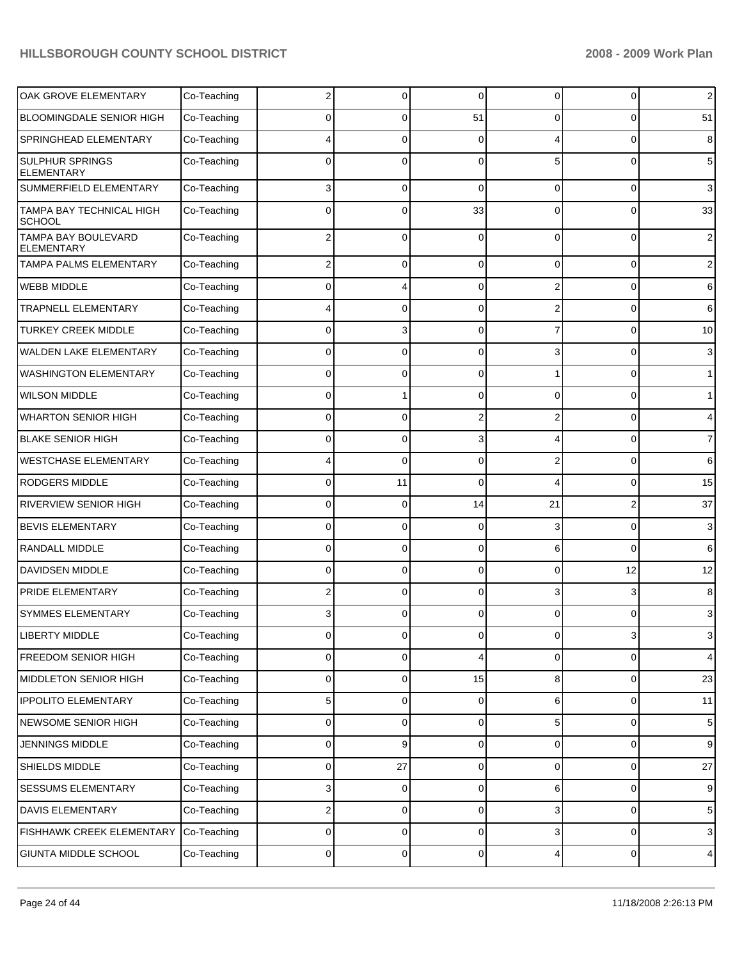| OAK GROVE ELEMENTARY                     | Co-Teaching | 2        | 0              | $\Omega$       | 0              | 0        | $\overline{2}$ |
|------------------------------------------|-------------|----------|----------------|----------------|----------------|----------|----------------|
| <b>BLOOMINGDALE SENIOR HIGH</b>          | Co-Teaching | $\Omega$ | $\Omega$       | 51             | 0              | 0        | 51             |
| SPRINGHEAD ELEMENTARY                    | Co-Teaching |          | $\Omega$       | $\Omega$       | 4              | 0        | 8              |
| SULPHUR SPRINGS<br><b>ELEMENTARY</b>     | Co-Teaching | $\Omega$ | $\Omega$       | $\Omega$       | 5              | $\Omega$ | 5              |
| SUMMERFIELD ELEMENTARY                   | Co-Teaching | 3        | 0              | $\Omega$       | 0              | 0        | $\mathbf{3}$   |
| TAMPA BAY TECHNICAL HIGH<br>SCHOOL       | Co-Teaching | $\Omega$ | $\Omega$       | 33             | $\Omega$       | $\Omega$ | 33             |
| TAMPA BAY BOULEVARD<br><b>ELEMENTARY</b> | Co-Teaching | 2        | $\Omega$       | $\Omega$       | $\Omega$       | 0        | $\sqrt{2}$     |
| TAMPA PALMS ELEMENTARY                   | Co-Teaching | 2        | 0              | $\Omega$       | 0              | 0        | $\overline{c}$ |
| WEBB MIDDLE                              | Co-Teaching | 0        | 4              | $\Omega$       | 2              | 0        | 6              |
| <b>TRAPNELL ELEMENTARY</b>               | Co-Teaching | 4        | $\Omega$       | $\Omega$       | 2              | 0        | 6              |
| <b>TURKEY CREEK MIDDLE</b>               | Co-Teaching | ŋ        | 3              | $\Omega$       | 7              | 0        | 10             |
| WALDEN LAKE ELEMENTARY                   | Co-Teaching | 0        | $\Omega$       | $\Omega$       | 3              | 0        | $\mathbf{3}$   |
| <b>WASHINGTON ELEMENTARY</b>             | Co-Teaching | 0        | $\Omega$       | $\Omega$       |                | 0        | $\mathbf{1}$   |
| <b>WILSON MIDDLE</b>                     | Co-Teaching | 0        |                | $\Omega$       | $\Omega$       | 0        | $\mathbf{1}$   |
| <b>WHARTON SENIOR HIGH</b>               | Co-Teaching | 0        | $\Omega$       | 2              | 2              | 0        | 4              |
| <b>BLAKE SENIOR HIGH</b>                 | Co-Teaching | 0        | $\Omega$       | 3              | 4              | 0        | $\overline{7}$ |
| <b>WESTCHASE ELEMENTARY</b>              | Co-Teaching |          | $\Omega$       | $\Omega$       | $\overline{2}$ | 0        | 6              |
| <b>RODGERS MIDDLE</b>                    | Co-Teaching | 0        | 11             | $\Omega$       | 4              | 0        | 15             |
| RIVERVIEW SENIOR HIGH                    | Co-Teaching | 0        | $\Omega$       | 14             | 21             | 2        | 37             |
| <b>BEVIS ELEMENTARY</b>                  | Co-Teaching | 0        | $\Omega$       | $\Omega$       | 3              | 0        | $\mathbf{3}$   |
| RANDALL MIDDLE                           | Co-Teaching | 0        | $\Omega$       | $\Omega$       | 6              | $\Omega$ | 6              |
| DAVIDSEN MIDDLE                          | Co-Teaching | 0        | $\Omega$       | $\Omega$       | 0              | 12       | 12             |
| PRIDE ELEMENTARY                         | Co-Teaching | 2        | $\Omega$       | $\Omega$       | 3              | 3        | 8              |
| <b>SYMMES ELEMENTARY</b>                 | Co-Teaching | 3        | $\Omega$       | $\Omega$       | 0              | 0        | 3              |
| <b>LIBERTY MIDDLE</b>                    | Co-Teaching | 0        | $\overline{0}$ | $\overline{0}$ | 0              | 3        | 3              |
| <b>FREEDOM SENIOR HIGH</b>               | Co-Teaching | 0        | 0              | 4              | 0              | 0        | $\overline{4}$ |
| MIDDLETON SENIOR HIGH                    | Co-Teaching | 0        | 0              | 15             | 8              | 0        | 23             |
| <b>IPPOLITO ELEMENTARY</b>               | Co-Teaching | 5        | 0              | 0              | 6              | 0        | 11             |
| NEWSOME SENIOR HIGH                      | Co-Teaching | 0        | $\mathbf 0$    | 0              | 5              | 0        | $\,$ 5 $\,$    |
| JENNINGS MIDDLE                          | Co-Teaching | 0        | 9              | 0              | 0              | 0        | 9              |
| SHIELDS MIDDLE                           | Co-Teaching | 0        | 27             | 0              | 0              | 0        | 27             |
| SESSUMS ELEMENTARY                       | Co-Teaching | 3        | 0              | 0              | 6              | 0        | 9              |
| DAVIS ELEMENTARY                         | Co-Teaching | 2        | $\mathbf 0$    | 0              | 3              | 0        | $\,$ 5 $\,$    |
| FISHHAWK CREEK ELEMENTARY                | Co-Teaching | 0        | 0              | 0              | 3              | 0        | $\mathbf{3}$   |
| GIUNTA MIDDLE SCHOOL                     | Co-Teaching | 0        | 0              | 0              | 4              | 0        | $\overline{4}$ |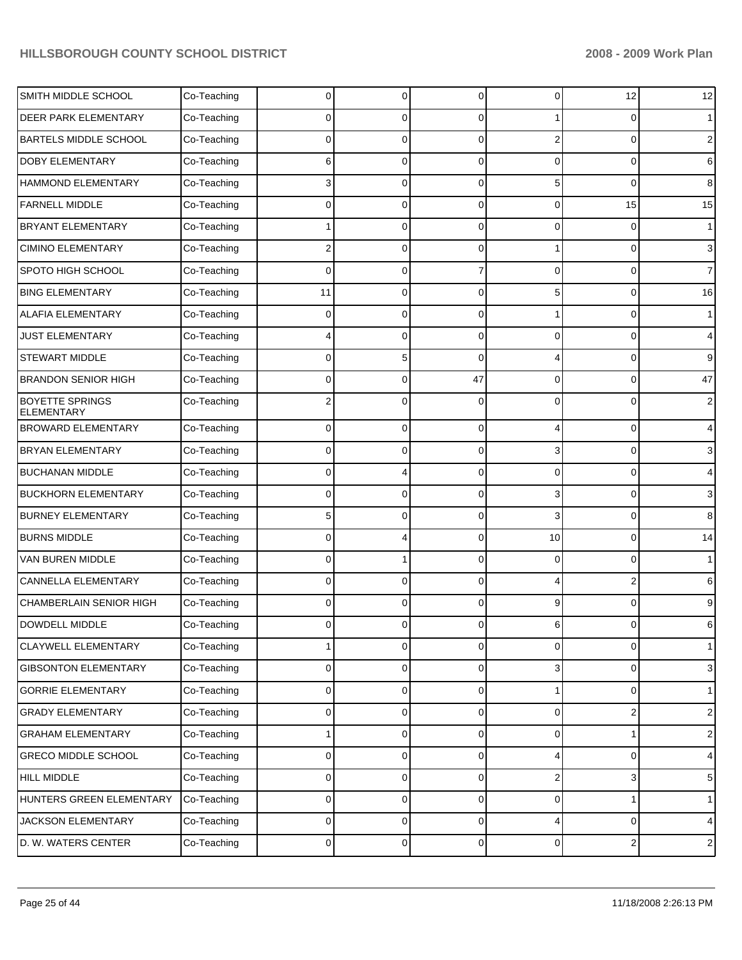| SMITH MIDDLE SCHOOL                         | Co-Teaching | 0           | 0 | 0              | 0  | 12                      | 12               |
|---------------------------------------------|-------------|-------------|---|----------------|----|-------------------------|------------------|
| DEER PARK ELEMENTARY                        | Co-Teaching | 0           | 0 | 0              |    | 0                       | $\mathbf 1$      |
| <b>BARTELS MIDDLE SCHOOL</b>                | Co-Teaching | 0           | 0 | 0              | 2  | 0                       | $\overline{c}$   |
| DOBY ELEMENTARY                             | Co-Teaching | 6           | 0 | 0              | 0  | 0                       | 6                |
| HAMMOND ELEMENTARY                          | Co-Teaching | 3           | 0 | 0              | 5  | 0                       | 8                |
| <b>FARNELL MIDDLE</b>                       | Co-Teaching | 0           | 0 | 0              | 0  | 15                      | 15               |
| <b>BRYANT ELEMENTARY</b>                    | Co-Teaching |             | 0 | 0              | 0  | $\mathbf 0$             | $\mathbf{1}$     |
| <b>CIMINO ELEMENTARY</b>                    | Co-Teaching | 2           | 0 | 0              |    | 0                       | 3                |
| SPOTO HIGH SCHOOL                           | Co-Teaching | 0           | 0 | 7              | 0  | 0                       | $\overline{7}$   |
| <b>BING ELEMENTARY</b>                      | Co-Teaching | 11          | 0 | 0              | 5  | 0                       | 16               |
| <b>ALAFIA ELEMENTARY</b>                    | Co-Teaching | 0           | 0 | 0              |    | 0                       | $\mathbf{1}$     |
| <b>JUST ELEMENTARY</b>                      | Co-Teaching | 4           | 0 | 0              | 0  | 0                       | 4                |
| <b>STEWART MIDDLE</b>                       | Co-Teaching | 0           | 5 | 0              |    | 0                       | 9                |
| <b>BRANDON SENIOR HIGH</b>                  | Co-Teaching | 0           | 0 | 47             | 0  | 0                       | 47               |
| <b>BOYETTE SPRINGS</b><br><b>ELEMENTARY</b> | Co-Teaching | 2           | C | 0              |    | $\Omega$                | $\overline{c}$   |
| <b>BROWARD ELEMENTARY</b>                   | Co-Teaching | 0           | 0 | $\overline{0}$ |    | 0                       | $\overline{4}$   |
| BRYAN ELEMENTARY                            | Co-Teaching | 0           | 0 | 0              | 3  | 0                       | 3                |
| <b>BUCHANAN MIDDLE</b>                      | Co-Teaching | 0           | 4 | $\overline{0}$ | 0  | 0                       | $\overline{4}$   |
| <b>BUCKHORN ELEMENTARY</b>                  | Co-Teaching | 0           | 0 | $\mathbf 0$    | 3  | 0                       | 3                |
| <b>BURNEY ELEMENTARY</b>                    | Co-Teaching | 5           | 0 | $\overline{0}$ | 3  | $\mathbf 0$             | 8                |
| <b>BURNS MIDDLE</b>                         | Co-Teaching | 0           | 4 | 0              | 10 | 0                       | 14               |
| VAN BUREN MIDDLE                            | Co-Teaching | 0           |   | $\overline{0}$ | 0  | 0                       | $\mathbf{1}$     |
| CANNELLA ELEMENTARY                         | Co-Teaching | $\mathbf 0$ | 0 | $\mathbf 0$    |    | $\overline{2}$          | 6                |
| CHAMBERLAIN SENIOR HIGH                     | Co-Teaching | 0           | 0 | $\overline{0}$ | 9  | 0                       | 9                |
| <b>DOWDELL MIDDLE</b>                       | Co-Teaching | 0           | 0 | 0              | 6  | 0                       | 6                |
| CLAYWELL ELEMENTARY                         | Co-Teaching |             | 0 | $\overline{0}$ | 0  | 0                       | $\mathbf{1}$     |
| <b>GIBSONTON ELEMENTARY</b>                 | Co-Teaching | 0           | 0 | $\overline{0}$ | 3  | 0                       | $\sqrt{3}$       |
| <b>GORRIE ELEMENTARY</b>                    | Co-Teaching | 0           | 0 | $\overline{0}$ |    | 0                       | $\mathbf{1}$     |
| <b>GRADY ELEMENTARY</b>                     | Co-Teaching | 0           | 0 | $\overline{0}$ | 0  | $\boldsymbol{2}$        | $\boldsymbol{2}$ |
| <b>GRAHAM ELEMENTARY</b>                    | Co-Teaching | 1           | 0 | $\overline{0}$ | 0  | 1                       | $\boldsymbol{2}$ |
| <b>GRECO MIDDLE SCHOOL</b>                  | Co-Teaching | 0           | 0 | $\overline{0}$ | 4  | $\mathbf 0$             | 4                |
| HILL MIDDLE                                 | Co-Teaching | 0           | 0 | $\overline{0}$ | 2  | 3                       | 5                |
| HUNTERS GREEN ELEMENTARY                    | Co-Teaching | 0           | 0 | $\overline{0}$ | 0  | 1                       | $\mathbf{1}$     |
| JACKSON ELEMENTARY                          | Co-Teaching | 0           | 0 | $\overline{0}$ | 4  | 0                       | $\overline{4}$   |
| D. W. WATERS CENTER                         | Co-Teaching | 0           | 0 | $\overline{0}$ | 0  | $\overline{\mathbf{c}}$ | $\sqrt{2}$       |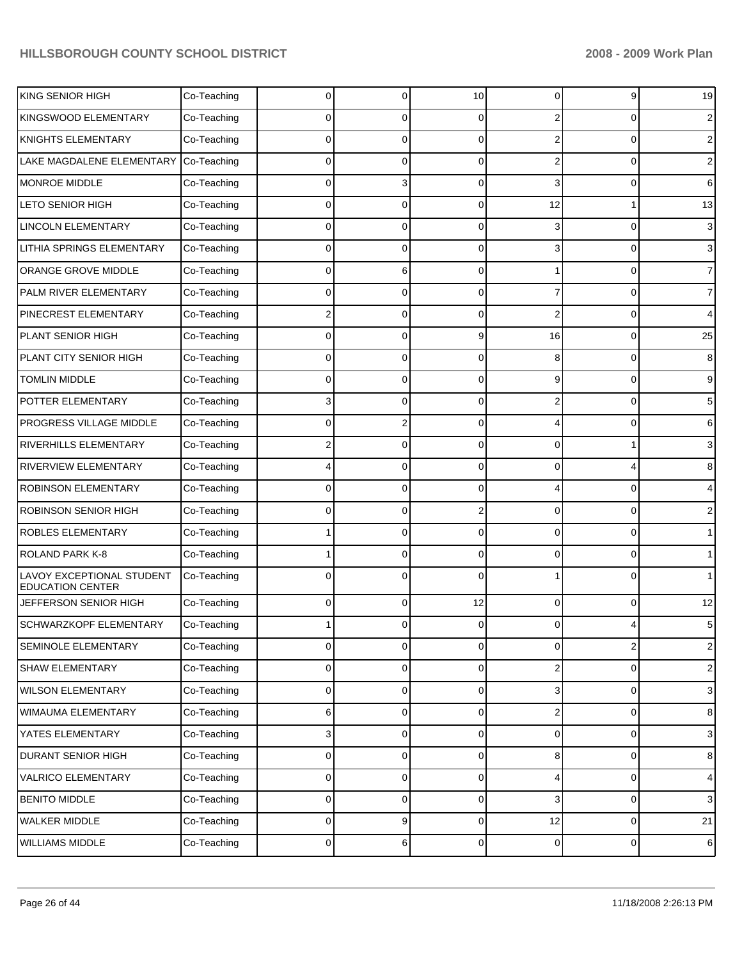| KING SENIOR HIGH                                     | Co-Teaching | $\Omega$    | 0 | 10             | 0                       | 9                       | 19             |
|------------------------------------------------------|-------------|-------------|---|----------------|-------------------------|-------------------------|----------------|
| KINGSWOOD ELEMENTARY                                 | Co-Teaching | 0           | 0 | 0              | 2                       | 0                       | 2              |
| <b>KNIGHTS ELEMENTARY</b>                            | Co-Teaching | 0           | O | $\Omega$       | 2                       | 0                       | $\overline{2}$ |
| LAKE MAGDALENE ELEMENTARY                            | Co-Teaching | 0           | 0 | $\Omega$       | 2                       | 0                       | 2              |
| MONROE MIDDLE                                        | Co-Teaching | $\Omega$    | 3 | $\Omega$       | 3                       | 0                       | 6              |
| <b>LETO SENIOR HIGH</b>                              | Co-Teaching | 0           | 0 | $\Omega$       | 12                      |                         | 13             |
| <b>LINCOLN ELEMENTARY</b>                            | Co-Teaching | $\Omega$    | O | $\Omega$       |                         | 0                       | 3              |
| LITHIA SPRINGS ELEMENTARY                            | Co-Teaching | 0           | 0 | $\Omega$       | 3                       | 0                       | 3              |
| ORANGE GROVE MIDDLE                                  | Co-Teaching | $\Omega$    | 6 | $\Omega$       |                         | 0                       | $\overline{7}$ |
| PALM RIVER ELEMENTARY                                | Co-Teaching | 0           | 0 | $\Omega$       |                         | 0                       | $\overline{7}$ |
| PINECREST ELEMENTARY                                 | Co-Teaching | 2           | 0 | $\Omega$       | 2                       | 0                       | 4              |
| PLANT SENIOR HIGH                                    | Co-Teaching | 0           | 0 | 9              | 16                      | 0                       | 25             |
| PLANT CITY SENIOR HIGH                               | Co-Teaching | $\Omega$    | 0 | $\Omega$       | 8                       | 0                       | 8              |
| <b>TOMLIN MIDDLE</b>                                 | Co-Teaching | 0           | 0 | $\Omega$       | 9                       | 0                       | 9              |
| POTTER ELEMENTARY                                    | Co-Teaching | 3           | U | $\Omega$       | 2                       | 0                       | 5              |
| <b>PROGRESS VILLAGE MIDDLE</b>                       | Co-Teaching | 0           | 2 | $\Omega$       |                         | 0                       | 6              |
| <b>RIVERHILLS ELEMENTARY</b>                         | Co-Teaching | 2           | U | $\Omega$       | 0                       |                         | 3              |
| <b>RIVERVIEW ELEMENTARY</b>                          | Co-Teaching | 4           | 0 | $\Omega$       | 0                       | 4                       | 8              |
| <b>ROBINSON ELEMENTARY</b>                           | Co-Teaching | 0           | 0 | $\Omega$       |                         | 0                       | 4              |
| <b>ROBINSON SENIOR HIGH</b>                          | Co-Teaching | $\Omega$    | 0 | 2              | 0                       | 0                       | 2              |
| <b>ROBLES ELEMENTARY</b>                             | Co-Teaching |             | U | $\Omega$       | 0                       | 0                       | $\mathbf{1}$   |
| <b>ROLAND PARK K-8</b>                               | Co-Teaching |             | 0 | $\Omega$       | 0                       | 0                       | $\mathbf 1$    |
| LAVOY EXCEPTIONAL STUDENT<br><b>EDUCATION CENTER</b> | Co-Teaching | 0           | n | $\Omega$       |                         | 0                       | $\mathbf 1$    |
| JEFFERSON SENIOR HIGH                                | Co-Teaching | $\mathbf 0$ | 0 | 12             | 0                       | 0                       | 12             |
| <b>SCHWARZKOPF ELEMENTARY</b>                        | Co-Teaching |             | 0 | $\overline{0}$ | 0                       |                         | 5              |
| SEMINOLE ELEMENTARY                                  | Co-Teaching | $\pmb{0}$   | 0 | $\overline{0}$ | 0                       | $\overline{\mathbf{c}}$ | $\mathbf 2$    |
| <b>SHAW ELEMENTARY</b>                               | Co-Teaching | $\pmb{0}$   | 0 | $\overline{0}$ | $\overline{\mathbf{c}}$ | 0                       | $\sqrt{2}$     |
| <b>WILSON ELEMENTARY</b>                             | Co-Teaching | $\pmb{0}$   | 0 | $\overline{0}$ | 3                       | $\pmb{0}$               | $\sqrt{3}$     |
| WIMAUMA ELEMENTARY                                   | Co-Teaching | 6           | 0 | $\overline{0}$ | 2                       | 0                       | 8              |
| YATES ELEMENTARY                                     | Co-Teaching | 3           | 0 | $\overline{0}$ | 0                       | $\pmb{0}$               | $\sqrt{3}$     |
| <b>DURANT SENIOR HIGH</b>                            | Co-Teaching | $\pmb{0}$   | 0 | $\overline{0}$ | 8                       | 0                       | 8              |
| VALRICO ELEMENTARY                                   | Co-Teaching | $\pmb{0}$   | 0 | $\overline{0}$ | 4                       | $\pmb{0}$               | 4              |
| <b>BENITO MIDDLE</b>                                 | Co-Teaching | $\pmb{0}$   | 0 | $\overline{0}$ | 3                       | 0                       | $\mathbf{3}$   |
| <b>WALKER MIDDLE</b>                                 | Co-Teaching | $\pmb{0}$   | 9 | $\overline{0}$ | 12                      | $\pmb{0}$               | 21             |
| WILLIAMS MIDDLE                                      | Co-Teaching | $\pmb{0}$   | 6 | $\overline{0}$ | 0                       | $\mathsf 0$             | $\,6\,$        |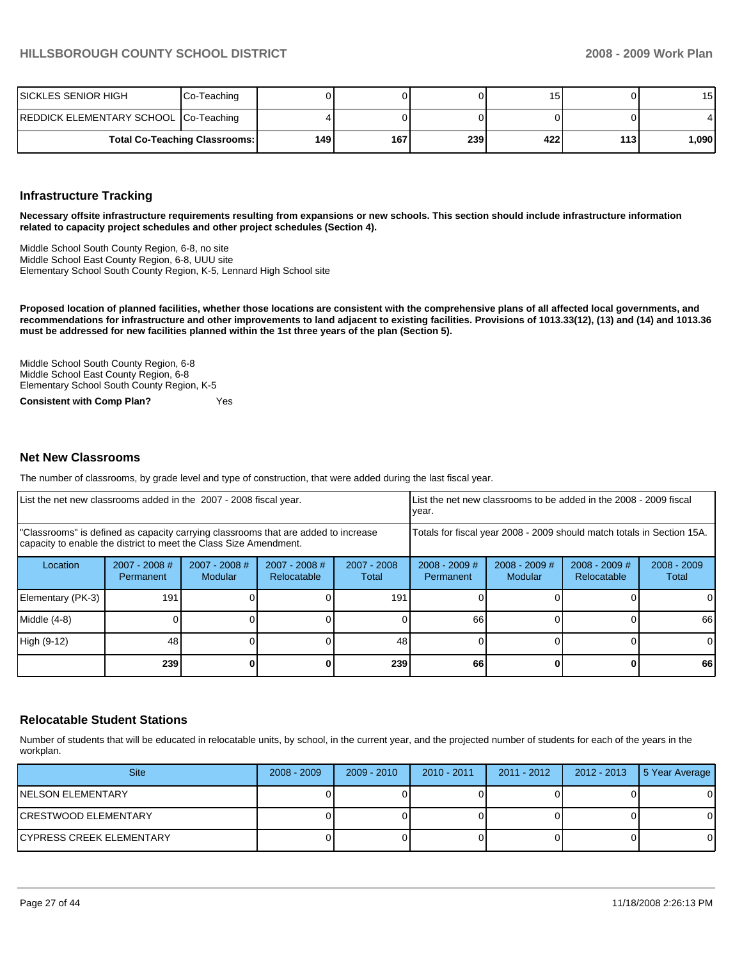| ISICKLES SENIOR HIGH                  | Co-Teaching                          |     |     |     | ں ا |       | 15           |
|---------------------------------------|--------------------------------------|-----|-----|-----|-----|-------|--------------|
| REDDICK ELEMENTARY SCHOOL Co-Teaching |                                      |     |     |     |     |       | $\mathbf{4}$ |
|                                       | <b>Total Co-Teaching Classrooms:</b> | 149 | 167 | 239 | 422 | 113 I | .090         |

#### **Infrastructure Tracking**

**Necessary offsite infrastructure requirements resulting from expansions or new schools. This section should include infrastructure information related to capacity project schedules and other project schedules (Section 4).** 

Middle School South County Region, 6-8, no site Middle School East County Region, 6-8, UUU site Elementary School South County Region, K-5, Lennard High School site

**Proposed location of planned facilities, whether those locations are consistent with the comprehensive plans of all affected local governments, and recommendations for infrastructure and other improvements to land adjacent to existing facilities. Provisions of 1013.33(12), (13) and (14) and 1013.36 must be addressed for new facilities planned within the 1st three years of the plan (Section 5).** 

Middle School South County Region, 6-8 Middle School East County Region, 6-8 Elementary School South County Region, K-5

**Consistent with Comp Plan?** Yes

#### **Net New Classrooms**

The number of classrooms, by grade level and type of construction, that were added during the last fiscal year.

| List the net new classrooms added in the 2007 - 2008 fiscal year.                                                                                       |                              |                            |                                | List the net new classrooms to be added in the 2008 - 2009 fiscal<br>year. |                              |                            |                                |                        |
|---------------------------------------------------------------------------------------------------------------------------------------------------------|------------------------------|----------------------------|--------------------------------|----------------------------------------------------------------------------|------------------------------|----------------------------|--------------------------------|------------------------|
| "Classrooms" is defined as capacity carrying classrooms that are added to increase<br>capacity to enable the district to meet the Class Size Amendment. |                              |                            |                                | Totals for fiscal year 2008 - 2009 should match totals in Section 15A.     |                              |                            |                                |                        |
| Location                                                                                                                                                | $2007 - 2008$ #<br>Permanent | $2007 - 2008$ #<br>Modular | $2007 - 2008$ #<br>Relocatable | 2007 - 2008<br>Total                                                       | $2008 - 2009$ #<br>Permanent | $2008 - 2009$ #<br>Modular | $2008 - 2009$ #<br>Relocatable | $2008 - 2009$<br>Total |
| Elementary (PK-3)                                                                                                                                       | 191                          |                            |                                | 191                                                                        |                              |                            |                                | $\Omega$               |
| Middle (4-8)                                                                                                                                            |                              |                            |                                |                                                                            | 66                           |                            |                                | 66                     |
| High (9-12)                                                                                                                                             | 48                           |                            |                                | 48                                                                         |                              |                            |                                | $\Omega$               |
|                                                                                                                                                         | 239                          |                            |                                | 239                                                                        | 66                           |                            | 0                              | 66                     |

#### **Relocatable Student Stations**

Number of students that will be educated in relocatable units, by school, in the current year, and the projected number of students for each of the years in the workplan.

| <b>Site</b>               | $2008 - 2009$ | $2009 - 2010$ | $2010 - 2011$ | 2011 - 2012 | 2012 - 2013 | 5 Year Average |
|---------------------------|---------------|---------------|---------------|-------------|-------------|----------------|
| <b>INELSON ELEMENTARY</b> |               |               |               |             |             | 0              |
| ICRESTWOOD ELEMENTARY     |               |               |               |             |             | 0              |
| ICYPRESS CREEK ELEMENTARY |               |               |               |             |             | 0              |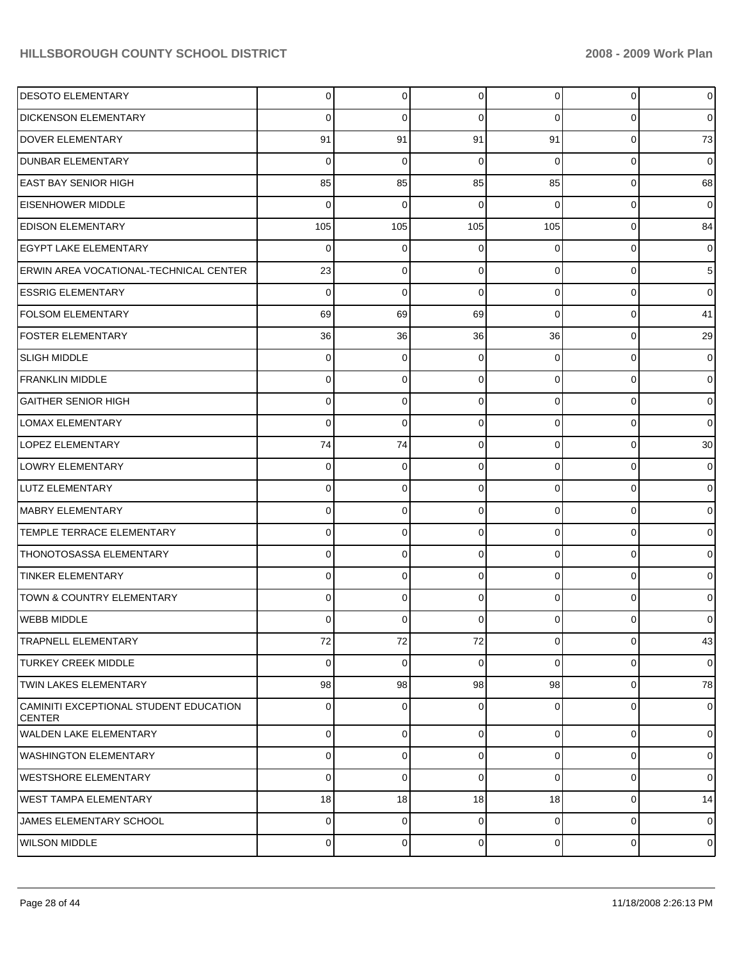| <b>DESOTO ELEMENTARY</b>                                | 0           | $\mathbf 0$ | $\mathbf 0$    | $\overline{0}$ | $\mathbf 0$ | $\overline{0}$ |
|---------------------------------------------------------|-------------|-------------|----------------|----------------|-------------|----------------|
| <b>DICKENSON ELEMENTARY</b>                             | 0           | 0           | 0              | $\Omega$       | $\Omega$    | $\overline{0}$ |
| <b>DOVER ELEMENTARY</b>                                 | 91          | 91          | 91             | 91             | $\Omega$    | 73             |
| <b>DUNBAR ELEMENTARY</b>                                | $\Omega$    | $\mathbf 0$ | 0              | $\Omega$       | $\Omega$    | $\overline{0}$ |
| <b>EAST BAY SENIOR HIGH</b>                             | 85          | 85          | 85             | 85             | $\Omega$    | 68             |
| <b>EISENHOWER MIDDLE</b>                                | $\Omega$    | $\mathbf 0$ | 0              | $\Omega$       | $\Omega$    | $\overline{0}$ |
| <b>EDISON ELEMENTARY</b>                                | 105         | 105         | 105            | 105            | $\Omega$    | 84             |
| <b>EGYPT LAKE ELEMENTARY</b>                            | $\Omega$    | $\mathbf 0$ | 0              | $\Omega$       | $\Omega$    | $\overline{0}$ |
| <b>ERWIN AREA VOCATIONAL-TECHNICAL CENTER</b>           | 23          | $\mathbf 0$ | $\Omega$       | $\Omega$       | $\Omega$    | 5 <sub>5</sub> |
| <b>ESSRIG ELEMENTARY</b>                                | $\Omega$    | $\mathbf 0$ | $\mathbf 0$    | $\Omega$       | $\Omega$    | $\overline{0}$ |
| <b>FOLSOM ELEMENTARY</b>                                | 69          | 69          | 69             | $\Omega$       | $\Omega$    | 41             |
| <b>FOSTER ELEMENTARY</b>                                | 36          | 36          | 36             | 36             | $\mathbf 0$ | 29             |
| <b>SLIGH MIDDLE</b>                                     | 0           | $\mathbf 0$ | $\Omega$       | $\Omega$       | $\Omega$    | $\overline{0}$ |
| <b>FRANKLIN MIDDLE</b>                                  | 0           | $\mathbf 0$ | 0              | $\Omega$       | $\Omega$    | $\overline{0}$ |
| <b>GAITHER SENIOR HIGH</b>                              | 0           | $\mathbf 0$ | $\Omega$       | $\Omega$       | $\Omega$    | $\overline{0}$ |
| <b>LOMAX ELEMENTARY</b>                                 | $\Omega$    | $\mathbf 0$ | 0              | $\Omega$       | $\Omega$    | $\overline{0}$ |
| <b>LOPEZ ELEMENTARY</b>                                 | 74          | 74          | $\Omega$       | $\Omega$       | $\Omega$    | 30             |
| <b>LOWRY ELEMENTARY</b>                                 | 0           | $\mathbf 0$ | $\mathbf 0$    | $\Omega$       | $\Omega$    | $\overline{0}$ |
| LUTZ ELEMENTARY                                         | 0           | $\mathbf 0$ | $\Omega$       | $\Omega$       | $\Omega$    | $\overline{0}$ |
| MABRY ELEMENTARY                                        | 0           | $\mathbf 0$ | 0              | $\Omega$       | $\Omega$    | $\overline{0}$ |
| TEMPLE TERRACE ELEMENTARY                               | 0           | $\mathbf 0$ | $\Omega$       | $\Omega$       | $\Omega$    | $\overline{0}$ |
| THONOTOSASSA ELEMENTARY                                 | 0           | $\mathbf 0$ | $\mathbf 0$    | $\Omega$       | $\Omega$    | $\overline{0}$ |
| <b>TINKER ELEMENTARY</b>                                | 0           | $\mathbf 0$ | $\Omega$       | $\Omega$       | $\Omega$    | $\overline{0}$ |
| TOWN & COUNTRY ELEMENTARY                               | 0           | $\mathbf 0$ | $\Omega$       | $\Omega$       | $\Omega$    | $\overline{0}$ |
| WEBB MIDDLE                                             | 0           | 0           | $\Omega$       | 0              | $\Omega$    | $\overline{0}$ |
| <b>TRAPNELL ELEMENTARY</b>                              | 72          | 72          | 72             | $\overline{0}$ | $\mathbf 0$ | 43             |
| <b>TURKEY CREEK MIDDLE</b>                              | $\Omega$    | $\mathbf 0$ | 0              | $\Omega$       | $\mathbf 0$ | $\overline{0}$ |
| <b>TWIN LAKES ELEMENTARY</b>                            | 98          | 98          | 98             | 98             | $\mathbf 0$ | 78             |
| CAMINITI EXCEPTIONAL STUDENT EDUCATION<br><b>CENTER</b> | $\Omega$    | $\mathbf 0$ | 0              | $\Omega$       | $\mathbf 0$ | $\overline{0}$ |
| WALDEN LAKE ELEMENTARY                                  | 0           | 0           | $\mathbf 0$    | $\overline{0}$ | $\mathbf 0$ | $\overline{0}$ |
| WASHINGTON ELEMENTARY                                   | 0           | $\mathbf 0$ | $\overline{0}$ | $\overline{0}$ | $\mathbf 0$ | $\overline{0}$ |
| WESTSHORE ELEMENTARY                                    | 0           | $\mathbf 0$ | $\Omega$       | $\Omega$       | $\mathbf 0$ | $\overline{0}$ |
| WEST TAMPA ELEMENTARY                                   | 18          | 18          | 18             | 18             | $\mathbf 0$ | 14             |
| JAMES ELEMENTARY SCHOOL                                 | $\mathbf 0$ | $\mathbf 0$ | $\mathbf 0$    | $\overline{0}$ | $\mathbf 0$ | $\overline{0}$ |
| <b>WILSON MIDDLE</b>                                    | 0           | 0           | $\overline{0}$ | $\overline{0}$ | $\mathbf 0$ | $\overline{0}$ |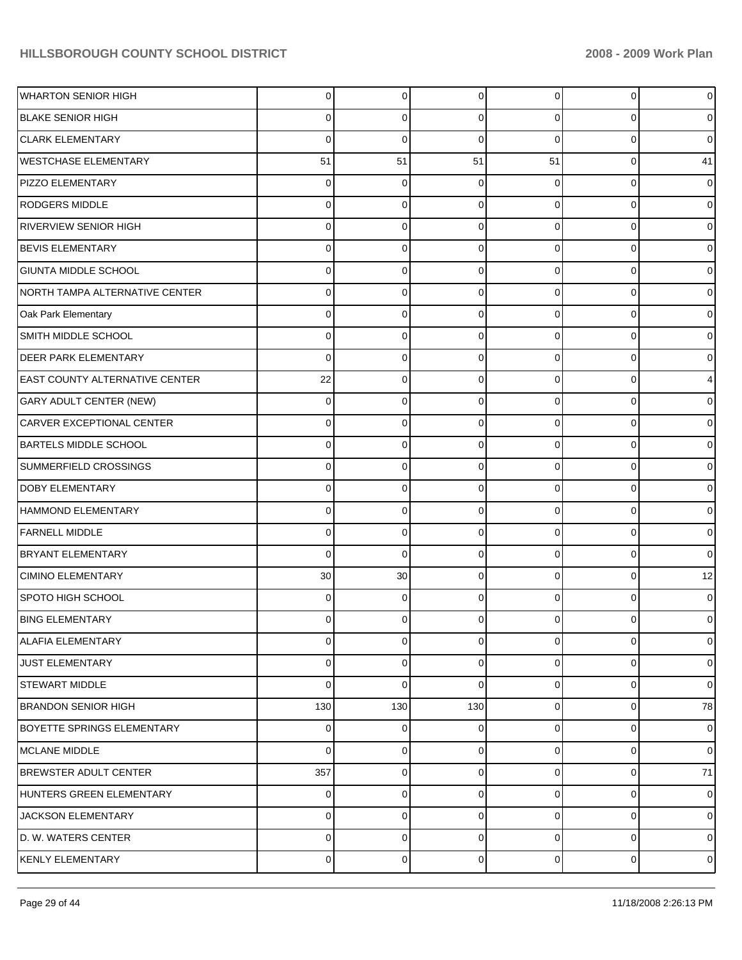| <b>WHARTON SENIOR HIGH</b>            | 0   | 0           | $\Omega$ | 0              | 0           | $\overline{0}$ |
|---------------------------------------|-----|-------------|----------|----------------|-------------|----------------|
| <b>BLAKE SENIOR HIGH</b>              |     | 0           | 0        | 0              | 0           | 0              |
| <b>CLARK ELEMENTARY</b>               | 0   | 0           | 0        | 0              | $\Omega$    | $\mathbf 0$    |
| <b>WESTCHASE ELEMENTARY</b>           | 51  | 51          | 51       | 51             | 0           | 41             |
| PIZZO ELEMENTARY                      |     | 0           | ∩        | $\Omega$       | $\Omega$    | $\overline{0}$ |
| <b>RODGERS MIDDLE</b>                 | O   | 0           | 0        | 0              | $\Omega$    | $\overline{0}$ |
| RIVERVIEW SENIOR HIGH                 |     | 0           | 0        | 0              | $\Omega$    | $\overline{0}$ |
| <b>BEVIS ELEMENTARY</b>               | 0   | 0           | 0        | 0              | $\Omega$    | $\overline{0}$ |
| <b>GIUNTA MIDDLE SCHOOL</b>           |     | 0           | ∩        | 0              | $\Omega$    | $\overline{0}$ |
| NORTH TAMPA ALTERNATIVE CENTER        | 0   | 0           | 0        | 0              | $\Omega$    | $\overline{0}$ |
| Oak Park Elementary                   |     | 0           | ∩        | 0              | $\Omega$    | $\overline{0}$ |
| SMITH MIDDLE SCHOOL                   | 0   | 0           | 0        | 0              | $\Omega$    | 0              |
| <b>DEER PARK ELEMENTARY</b>           | 0   | 0           | ∩        | 0              | $\Omega$    | $\mathbf 0$    |
| <b>EAST COUNTY ALTERNATIVE CENTER</b> | 22  | $\mathbf 0$ | 0        | 0              | $\Omega$    | $\overline{4}$ |
| GARY ADULT CENTER (NEW)               | 0   | 0           | ∩        | 0              | $\Omega$    | $\overline{0}$ |
| CARVER EXCEPTIONAL CENTER             | 0   | 0           | 0        | 0              | $\Omega$    | 0              |
| <b>BARTELS MIDDLE SCHOOL</b>          |     | 0           | ∩        | 0              | $\Omega$    | $\overline{0}$ |
| SUMMERFIELD CROSSINGS                 | 0   | 0           | 0        | 0              | $\Omega$    | $\overline{0}$ |
| <b>DOBY ELEMENTARY</b>                |     | 0           | ∩        | 0              | $\Omega$    | $\overline{0}$ |
| <b>HAMMOND ELEMENTARY</b>             | 0   | 0           | 0        | 0              | $\Omega$    | $\overline{0}$ |
| <b>FARNELL MIDDLE</b>                 |     | 0           | 0        | 0              | $\Omega$    | $\overline{0}$ |
| <b>BRYANT ELEMENTARY</b>              | 0   | $\mathbf 0$ | 0        | 0              | $\Omega$    | $\overline{0}$ |
| <b>CIMINO ELEMENTARY</b>              | 30  | 30          | 0        | $\Omega$       | $\Omega$    | 12             |
| SPOTO HIGH SCHOOL                     | O   | 0           | ∩        | 0              | $\Omega$    | $\overline{0}$ |
| <b>BING ELEMENTARY</b>                | 0   | 0           | 0        | 0              | 0           | 0              |
| <b>ALAFIA ELEMENTARY</b>              | 0   | 0           | $\Omega$ | 0              | 0           | $\overline{0}$ |
| JUST ELEMENTARY                       | 0   | 0           | 0        | 0              | 0           | $\overline{0}$ |
| STEWART MIDDLE                        | 0   | $\mathbf 0$ | $\Omega$ | 0              | 0           | $\overline{0}$ |
| <b>BRANDON SENIOR HIGH</b>            | 130 | 130         | 130      | 0              | 0           | 78             |
| <b>BOYETTE SPRINGS ELEMENTARY</b>     | 0   | 0           | 0        | 0              | 0           | $\overline{0}$ |
| MCLANE MIDDLE                         | 0   | $\mathbf 0$ | 0        | 0              | 0           | $\overline{0}$ |
| <b>BREWSTER ADULT CENTER</b>          | 357 | 0           | 0        | 0              | 0           | 71             |
| HUNTERS GREEN ELEMENTARY              | 0   | $\mathbf 0$ | 0        | 0              | 0           | $\overline{0}$ |
| JACKSON ELEMENTARY                    | 0   | 0           | 0        | 0              | 0           | $\overline{0}$ |
| D. W. WATERS CENTER                   | 0   | $\mathbf 0$ | 0        | 0              | $\mathbf 0$ | $\overline{0}$ |
| KENLY ELEMENTARY                      | 0   | 0           | 0        | $\overline{0}$ | 0           | $\overline{0}$ |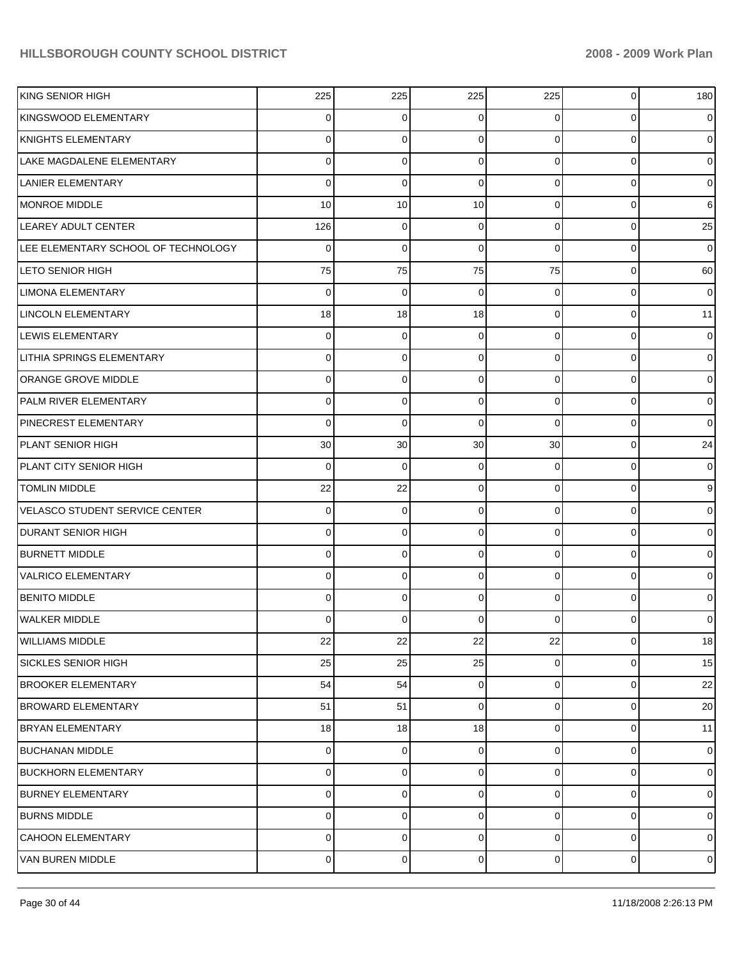| KING SENIOR HIGH                      | 225            | 225 | 225 | 225            | 0 | 180            |
|---------------------------------------|----------------|-----|-----|----------------|---|----------------|
| KINGSWOOD ELEMENTARY                  | 0              | 0   | 0   | 0              | 0 | $\overline{0}$ |
| <b>KNIGHTS ELEMENTARY</b>             | 0              | 0   | 0   | $\overline{0}$ | 0 | $\overline{0}$ |
| LAKE MAGDALENE ELEMENTARY             | 0              | 0   | 0   | $\overline{0}$ | 0 | $\overline{0}$ |
| LANIER ELEMENTARY                     | 0              | 0   | 0   | $\overline{0}$ | 0 | $\overline{0}$ |
| MONROE MIDDLE                         | 10             | 10  | 10  | $\overline{0}$ | 0 | $6 \mid$       |
| LEAREY ADULT CENTER                   | 126            | 0   | 0   | $\overline{0}$ | 0 | 25             |
| LEE ELEMENTARY SCHOOL OF TECHNOLOGY   | 0              | 0   | 0   | 0              | 0 | $\overline{0}$ |
| <b>LETO SENIOR HIGH</b>               | 75             | 75  | 75  | 75             | 0 | 60             |
| LIMONA ELEMENTARY                     | 0              | 0   | 0   | 0              | 0 | $\overline{0}$ |
| <b>LINCOLN ELEMENTARY</b>             | 18             | 18  | 18  | $\overline{0}$ | 0 | 11             |
| LEWIS ELEMENTARY                      | 0              | 0   | 0   | $\overline{0}$ | 0 | $\overline{0}$ |
| <b>LITHIA SPRINGS ELEMENTARY</b>      | 0              | 0   | 0   | $\overline{0}$ | 0 | $\overline{0}$ |
| <b>ORANGE GROVE MIDDLE</b>            | 0              | 0   | 0   | $\overline{0}$ | 0 | $\overline{0}$ |
| <b>PALM RIVER ELEMENTARY</b>          | 0              | 0   | 0   | $\overline{0}$ | 0 | $\overline{0}$ |
| <b>PINECREST ELEMENTARY</b>           | 0              | 0   | 0   | 0              | 0 | $\overline{0}$ |
| PLANT SENIOR HIGH                     | 30             | 30  | 30  | 30             | 0 | 24             |
| PLANT CITY SENIOR HIGH                | 0              | 0   | 0   | 0              | 0 | $\overline{0}$ |
| <b>TOMLIN MIDDLE</b>                  | 22             | 22  | 0   | $\overline{0}$ | 0 | $\overline{9}$ |
| <b>VELASCO STUDENT SERVICE CENTER</b> | 0              | 0   | 0   | $\overline{0}$ | 0 | $\overline{0}$ |
| <b>DURANT SENIOR HIGH</b>             | 0              | 0   | 0   | $\Omega$       | 0 | $\overline{0}$ |
| <b>BURNETT MIDDLE</b>                 | 0              | 0   | 0   | $\overline{0}$ | 0 | $\overline{0}$ |
| <b>VALRICO ELEMENTARY</b>             | 0              | 0   | 0   | $\Omega$       | 0 | $\overline{0}$ |
| <b>BENITO MIDDLE</b>                  | 0              | 0   | 0   | $\Omega$       | 0 | $\overline{0}$ |
| WALKER MIDDLE                         | 0              | 0   | O   | 0              |   | $\overline{0}$ |
| <b>WILLIAMS MIDDLE</b>                | 22             | 22  | 22  | 22             | 0 | 18             |
| <b>SICKLES SENIOR HIGH</b>            | 25             | 25  | 25  | $\overline{0}$ | 0 | 15             |
| <b>BROOKER ELEMENTARY</b>             | 54             | 54  | 0   | $\overline{0}$ | 0 | 22             |
| <b>BROWARD ELEMENTARY</b>             | 51             | 51  | 0   | $\overline{0}$ | 0 | 20             |
| <b>BRYAN ELEMENTARY</b>               | 18             | 18  | 18  | $\overline{0}$ | 0 | 11             |
| BUCHANAN MIDDLE                       | 0              | 0   | 0   | $\overline{0}$ | 0 | $\overline{0}$ |
| <b>BUCKHORN ELEMENTARY</b>            | 0              | 0   | 0   | $\overline{0}$ | 0 | $\overline{0}$ |
| <b>BURNEY ELEMENTARY</b>              | 0              | 0   | 0   | $\overline{0}$ | 0 | $\overline{0}$ |
| <b>BURNS MIDDLE</b>                   | 0              | 0   | 0   | $\overline{0}$ | 0 | $\overline{0}$ |
| <b>CAHOON ELEMENTARY</b>              | 0              | 0   | 0   | $\overline{0}$ | 0 | $\overline{0}$ |
| VAN BUREN MIDDLE                      | $\overline{0}$ | 0   | 0   | $\overline{0}$ | 0 | $\overline{0}$ |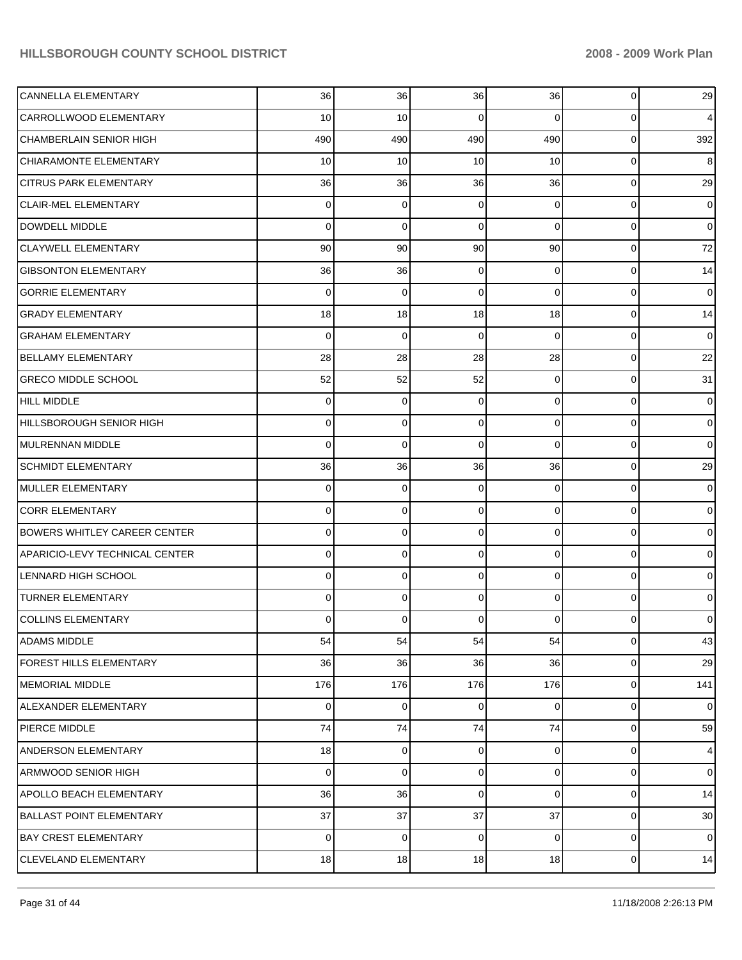| CANNELLA ELEMENTARY                   | 36          | 36  | 36          | 36             | 0           | 29             |
|---------------------------------------|-------------|-----|-------------|----------------|-------------|----------------|
| CARROLLWOOD ELEMENTARY                | 10          | 10  | 0           | 0              | 0           | $\overline{4}$ |
| <b>CHAMBERLAIN SENIOR HIGH</b>        | 490         | 490 | 490         | 490            | 0           | 392            |
| CHIARAMONTE ELEMENTARY                | 10          | 10  | 10          | 10             | 0           | 8              |
| <b>CITRUS PARK ELEMENTARY</b>         | 36          | 36  | 36          | 36             | $\mathbf 0$ | 29             |
| <b>CLAIR-MEL ELEMENTARY</b>           | 0           | 0   | 0           | $\Omega$       | 0           | $\overline{0}$ |
| DOWDELL MIDDLE                        | 0           | 0   | $\Omega$    | $\Omega$       | 0           | $\overline{0}$ |
| <b>CLAYWELL ELEMENTARY</b>            | 90          | 90  | 90          | 90             | $\mathbf 0$ | 72             |
| <b>GIBSONTON ELEMENTARY</b>           | 36          | 36  | 0           | $\Omega$       | 0           | 14             |
| <b>GORRIE ELEMENTARY</b>              | 0           | 0   | $\Omega$    | $\Omega$       | 0           | $\overline{0}$ |
| <b>GRADY ELEMENTARY</b>               | 18          | 18  | 18          | 18             | 0           | 14             |
| <b>GRAHAM ELEMENTARY</b>              | 0           | 0   | $\Omega$    | $\Omega$       | 0           | $\overline{0}$ |
| <b>BELLAMY ELEMENTARY</b>             | 28          | 28  | 28          | 28             | 0           | 22             |
| <b>GRECO MIDDLE SCHOOL</b>            | 52          | 52  | 52          | 0              | 0           | 31             |
| <b>HILL MIDDLE</b>                    | 0           | 0   | 0           | $\Omega$       | 0           | $\overline{0}$ |
| HILLSBOROUGH SENIOR HIGH              | 0           | 0   | $\Omega$    | $\Omega$       | $\mathbf 0$ | $\overline{0}$ |
| MULRENNAN MIDDLE                      | 0           | 0   | $\Omega$    | $\Omega$       | 0           | $\overline{0}$ |
| <b>SCHMIDT ELEMENTARY</b>             | 36          | 36  | 36          | 36             | 0           | 29             |
| MULLER ELEMENTARY                     | 0           | 0   | 0           | $\Omega$       | 0           | $\overline{0}$ |
| <b>CORR ELEMENTARY</b>                | 0           | 0   | $\Omega$    | $\Omega$       | $\mathbf 0$ | $\overline{0}$ |
| <b>BOWERS WHITLEY CAREER CENTER</b>   | 0           | 0   | $\Omega$    | $\Omega$       | 0           | $\overline{0}$ |
| <b>APARICIO-LEVY TECHNICAL CENTER</b> | 0           | 0   | $\Omega$    | $\Omega$       | $\mathbf 0$ | $\overline{0}$ |
| LENNARD HIGH SCHOOL                   | 0           | 0   | $\Omega$    | $\Omega$       | 0           | $\overline{0}$ |
| <b>TURNER ELEMENTARY</b>              | 0           | 0   | $\Omega$    | $\Omega$       | 0           | $\overline{0}$ |
| <b>COLLINS ELEMENTARY</b>             | 0           | 0   | $\Omega$    | 0              | 0           | $\overline{0}$ |
| ADAMS MIDDLE                          | 54          | 54  | 54          | 54             | 0           | 43             |
| <b>FOREST HILLS ELEMENTARY</b>        | 36          | 36  | 36          | 36             | 0           | 29             |
| <b>MEMORIAL MIDDLE</b>                | 176         | 176 | 176         | 176            | 0           | 141            |
| ALEXANDER ELEMENTARY                  | $\mathbf 0$ | 0   | 0           | $\overline{0}$ | 0           | $\overline{0}$ |
| PIERCE MIDDLE                         | 74          | 74  | 74          | 74             | 0           | 59             |
| <b>ANDERSON ELEMENTARY</b>            | 18          | 0   | 0           | $\overline{0}$ | 0           | $\overline{4}$ |
| <b>ARMWOOD SENIOR HIGH</b>            | 0           | 0   | 0           | $\overline{0}$ | 0           | $\overline{0}$ |
| <b>APOLLO BEACH ELEMENTARY</b>        | 36          | 36  | $\mathbf 0$ | $\overline{0}$ | 0           | 14             |
| <b>BALLAST POINT ELEMENTARY</b>       | 37          | 37  | 37          | 37             | 0           | 30             |
| <b>BAY CREST ELEMENTARY</b>           | $\mathbf 0$ | 0   | $\mathbf 0$ | $\overline{0}$ | 0           | $\overline{0}$ |
| CLEVELAND ELEMENTARY                  | 18          | 18  | 18          | 18             | 0           | 14             |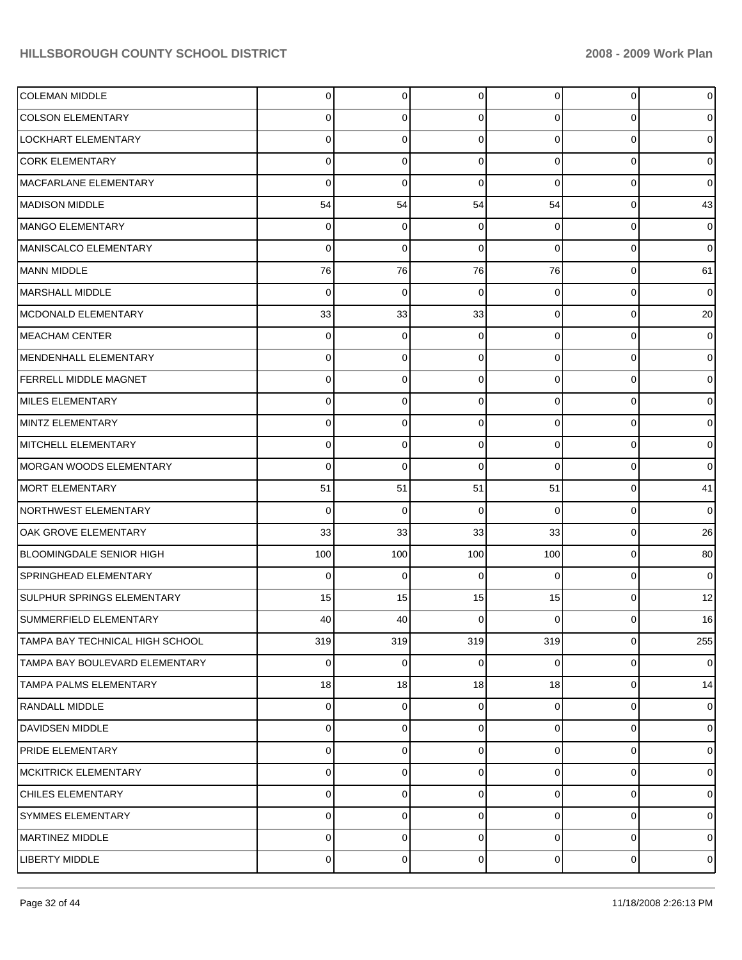| <b>COLEMAN MIDDLE</b>           | 0   | $\mathbf 0$ | $\Omega$ | $\Omega$       | $\mathbf 0$ | $\overline{0}$ |
|---------------------------------|-----|-------------|----------|----------------|-------------|----------------|
| <b>COLSON ELEMENTARY</b>        | O   | 0           | 0        | 0              | 0           | $\overline{0}$ |
| LOCKHART ELEMENTARY             | O   | 0           | 0        | 0              | 0           | $\overline{0}$ |
| <b>CORK ELEMENTARY</b>          | 0   | 0           | 0        | 0              | 0           | $\overline{0}$ |
| MACFARLANE ELEMENTARY           | 0   | 0           | 0        | 0              | $\Omega$    | $\overline{0}$ |
| MADISON MIDDLE                  | 54  | 54          | 54       | 54             | 0           | 43             |
| MANGO ELEMENTARY                | 0   | 0           | 0        | 0              | 0           | $\overline{0}$ |
| MANISCALCO ELEMENTARY           | 0   | $\mathbf 0$ | 0        | 0              | 0           | $\overline{0}$ |
| MANN MIDDLE                     | 76  | 76          | 76       | 76             | 0           | 61             |
| MARSHALL MIDDLE                 | 0   | 0           | 0        | $\Omega$       | 0           | $\overline{0}$ |
| MCDONALD ELEMENTARY             | 33  | 33          | 33       | 0              | 0           | 20             |
| IMEACHAM CENTER                 | 0   | 0           | 0        | 0              | 0           | $\overline{0}$ |
| MENDENHALL ELEMENTARY           | O   | 0           | 0        | 0              | $\Omega$    | $\overline{0}$ |
| <b>FERRELL MIDDLE MAGNET</b>    | 0   | 0           | 0        | 0              | 0           | $\overline{0}$ |
| MILES ELEMENTARY                | O   | 0           | 0        | 0              | $\Omega$    | $\overline{0}$ |
| MINTZ ELEMENTARY                | 0   | 0           | 0        | 0              | 0           | $\overline{0}$ |
| MITCHELL ELEMENTARY             | O   | 0           | 0        | 0              | $\Omega$    | $\overline{0}$ |
| MORGAN WOODS ELEMENTARY         | 0   | $\mathbf 0$ | 0        | 0              | 0           | $\overline{0}$ |
| MORT ELEMENTARY                 | 51  | 51          | 51       | 51             | 0           | 41             |
| NORTHWEST ELEMENTARY            | 0   | 0           | 0        | $\Omega$       | 0           | $\overline{0}$ |
| OAK GROVE ELEMENTARY            | 33  | 33          | 33       | 33             | $\Omega$    | 26             |
| BLOOMINGDALE SENIOR HIGH        | 100 | 100         | 100      | 100            | 0           | 80             |
| SPRINGHEAD ELEMENTARY           | 0   | 0           | 0        | $\Omega$       | $\Omega$    | $\overline{0}$ |
| SULPHUR SPRINGS ELEMENTARY      | 15  | 15          | 15       | 15             | $\Omega$    | 12             |
| SUMMERFIELD ELEMENTARY          | 40  | 40          | 0        | 0              | 0           | 16             |
| TAMPA BAY TECHNICAL HIGH SCHOOL | 319 | 319         | 319      | 319            | $\mathbf 0$ | 255            |
| TAMPA BAY BOULEVARD ELEMENTARY  | 0   | 0           | 0        | 0              | 0           | $\overline{0}$ |
| <b>TAMPA PALMS ELEMENTARY</b>   | 18  | 18          | 18       | 18             | 0           | 14             |
| <b>RANDALL MIDDLE</b>           | 0   | 0           | 0        | 0              | 0           | $\overline{0}$ |
| DAVIDSEN MIDDLE                 | 0   | 0           | 0        | 0              | 0           | $\overline{0}$ |
| <b>PRIDE ELEMENTARY</b>         | 0   | $\mathbf 0$ | 0        | 0              | 0           | $\overline{0}$ |
| <b>MCKITRICK ELEMENTARY</b>     | 0   | 0           | 0        | 0              | 0           | $\overline{0}$ |
| <b>CHILES ELEMENTARY</b>        | 0   | 0           | 0        | 0              | 0           | $\overline{0}$ |
| SYMMES ELEMENTARY               | 0   | 0           | 0        | 0              | 0           | $\overline{0}$ |
| <b>MARTINEZ MIDDLE</b>          | 0   | 0           | 0        | 0              | 0           | $\overline{0}$ |
| <b>LIBERTY MIDDLE</b>           | 0   | 0           | 0        | $\overline{0}$ | 0           | $\overline{0}$ |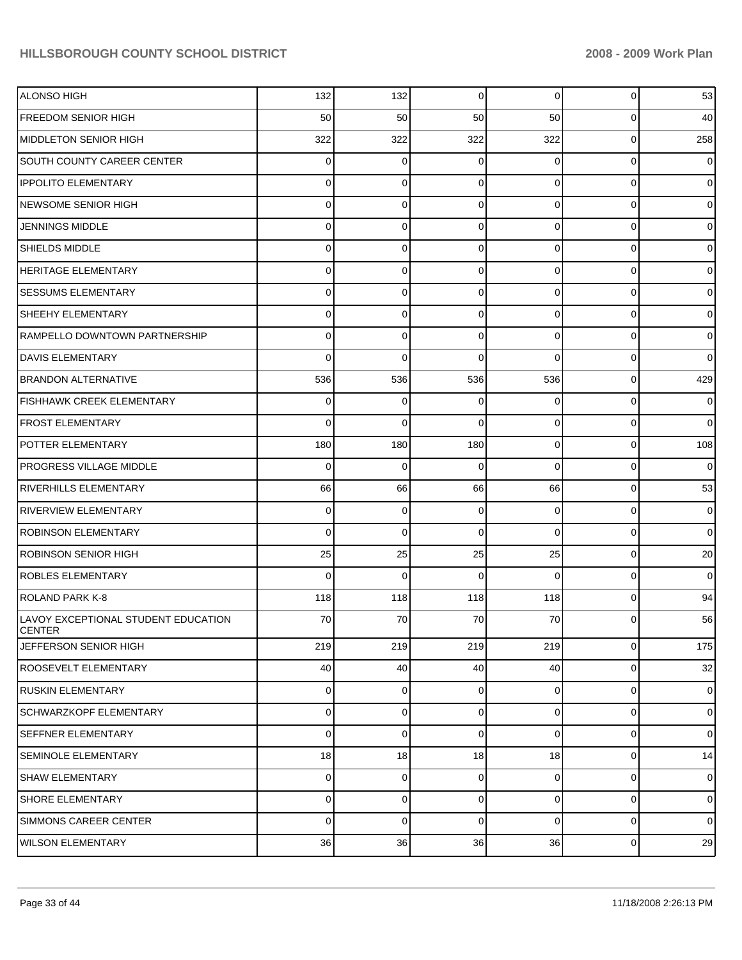| <b>ALONSO HIGH</b>                                   | 132         | 132         | 0              | 0              | $\overline{0}$ | 53             |
|------------------------------------------------------|-------------|-------------|----------------|----------------|----------------|----------------|
| <b>FREEDOM SENIOR HIGH</b>                           | 50          | 50          | 50             | 50             | $\overline{0}$ | 40             |
| <b>MIDDLETON SENIOR HIGH</b>                         | 322         | 322         | 322            | 322            | $\overline{0}$ | 258            |
| <b>SOUTH COUNTY CAREER CENTER</b>                    | 0           | 0           | $\Omega$       | 0              | $\overline{0}$ | $\mathbf 0$    |
| <b>IPPOLITO ELEMENTARY</b>                           | 0           | 0           | $\Omega$       | $\Omega$       | $\overline{0}$ | $\overline{0}$ |
| <b>NEWSOME SENIOR HIGH</b>                           | 0           | 0           | $\Omega$       | $\Omega$       | $\overline{0}$ | $\overline{0}$ |
| JENNINGS MIDDLE                                      | 0           | 0           | $\Omega$       | $\Omega$       | $\overline{0}$ | $\overline{0}$ |
| <b>SHIELDS MIDDLE</b>                                | 0           | 0           | $\Omega$       | $\Omega$       | $\overline{0}$ | $\overline{0}$ |
| <b>HERITAGE ELEMENTARY</b>                           | 0           | 0           | $\Omega$       | $\Omega$       | $\overline{0}$ | $\overline{0}$ |
| <b>SESSUMS ELEMENTARY</b>                            | 0           | 0           | $\Omega$       | $\Omega$       | $\overline{0}$ | $\overline{0}$ |
| <b>SHEEHY ELEMENTARY</b>                             | 0           | 0           | $\Omega$       | $\Omega$       | $\overline{0}$ | $\overline{0}$ |
| RAMPELLO DOWNTOWN PARTNERSHIP                        | 0           | 0           | $\Omega$       | $\Omega$       | $\overline{0}$ | $\overline{0}$ |
| <b>DAVIS ELEMENTARY</b>                              | 0           | $\Omega$    | $\Omega$       | $\Omega$       | $\overline{0}$ | $\overline{0}$ |
| <b>BRANDON ALTERNATIVE</b>                           | 536         | 536         | 536            | 536            | $\overline{0}$ | 429            |
| FISHHAWK CREEK ELEMENTARY                            | 0           | 0           | $\Omega$       | 0              | $\overline{0}$ | $\overline{0}$ |
| FROST ELEMENTARY                                     | 0           | $\Omega$    | $\Omega$       | $\Omega$       | $\overline{0}$ | $\overline{0}$ |
| <b>POTTER ELEMENTARY</b>                             | 180         | 180         | 180            | $\Omega$       | $\overline{0}$ | 108            |
| <b>PROGRESS VILLAGE MIDDLE</b>                       | $\Omega$    | 0           | $\Omega$       | $\Omega$       | $\overline{0}$ | $\overline{0}$ |
| <b>RIVERHILLS ELEMENTARY</b>                         | 66          | 66          | 66             | 66             | $\overline{0}$ | 53             |
| <b>RIVERVIEW ELEMENTARY</b>                          | 0           | 0           | 0              | $\Omega$       | $\overline{0}$ | $\overline{0}$ |
| <b>ROBINSON ELEMENTARY</b>                           | $\Omega$    | $\Omega$    | $\Omega$       | $\Omega$       | $\overline{0}$ | $\overline{0}$ |
| <b>ROBINSON SENIOR HIGH</b>                          | 25          | 25          | 25             | 25             | $\overline{0}$ | 20             |
| <b>ROBLES ELEMENTARY</b>                             | $\Omega$    | $\Omega$    | $\Omega$       | $\Omega$       | $\overline{0}$ | $\overline{0}$ |
| ROLAND PARK K-8                                      | 118         | 118         | 118            | 118            | $\overline{0}$ | 94             |
| LAVOY EXCEPTIONAL STUDENT EDUCATION<br><b>CENTER</b> | 70          | 70          | 70             | 70             | $\Omega$       | 56             |
| JEFFERSON SENIOR HIGH                                | 219         | 219         | 219            | 219            | $\overline{0}$ | 175            |
| <b>ROOSEVELT ELEMENTARY</b>                          | 40          | 40          | 40             | 40             | $\overline{0}$ | 32             |
| RUSKIN ELEMENTARY                                    | 0           | $\mathbf 0$ | $\mathbf 0$    | 0              | $\overline{0}$ | $\mathbf 0$    |
| SCHWARZKOPF ELEMENTARY                               | 0           | 0           | $\overline{0}$ | $\overline{0}$ | $\overline{0}$ | $\mathbf 0$    |
| <b>SEFFNER ELEMENTARY</b>                            | $\mathbf 0$ | 0           | $\mathbf 0$    | 0              | $\overline{0}$ | $\mathbf 0$    |
| <b>SEMINOLE ELEMENTARY</b>                           | 18          | 18          | 18             | 18             | $\overline{0}$ | 14             |
| <b>SHAW ELEMENTARY</b>                               | 0           | 0           | $\mathbf 0$    | 0              | $\overline{0}$ | $\mathbf 0$    |
| <b>SHORE ELEMENTARY</b>                              | 0           | 0           | $\mathbf 0$    | $\overline{0}$ | $\overline{0}$ | $\mathbf 0$    |
| SIMMONS CAREER CENTER                                | $\mathbf 0$ | 0           | $\mathbf 0$    | 0              | $\overline{0}$ | $\mathbf 0$    |
| <b>WILSON ELEMENTARY</b>                             | 36          | 36          | 36             | 36             | $\overline{0}$ | 29             |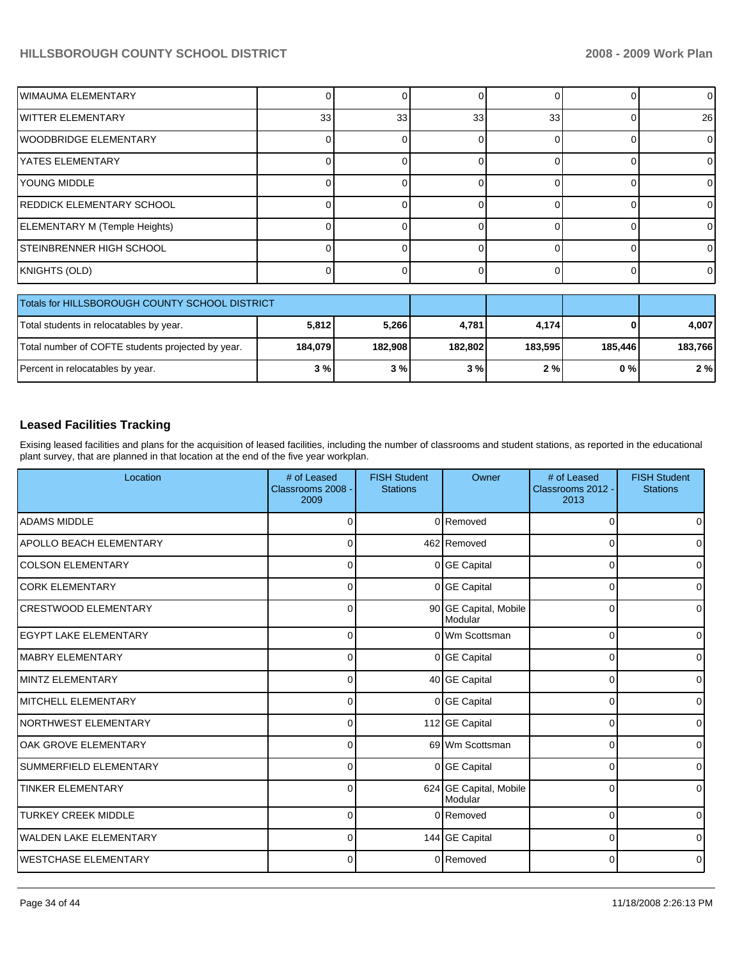| IWIMAUMA ELEMENTARY                               |          |         |         | 0        |         | $\Omega$ |
|---------------------------------------------------|----------|---------|---------|----------|---------|----------|
|                                                   |          |         |         |          |         |          |
| <b>IWITTER ELEMENTARY</b>                         | 33       | 33      | 33      | 33       |         | 26       |
| WOODBRIDGE ELEMENTARY                             |          |         | n       | $\Omega$ |         | 0        |
| <b>YATES ELEMENTARY</b>                           |          |         |         | $\Omega$ |         |          |
| <b>YOUNG MIDDLE</b>                               |          |         |         | $\Omega$ |         | 0        |
| <b>REDDICK ELEMENTARY SCHOOL</b>                  |          |         |         | $\Omega$ |         | 0        |
| ELEMENTARY M (Temple Heights)                     |          |         |         | $\Omega$ |         | 0        |
| STEINBRENNER HIGH SCHOOL                          |          |         |         | $\Omega$ |         | 0        |
| KNIGHTS (OLD)                                     | $\Omega$ |         |         | $\Omega$ |         | 0        |
|                                                   |          |         |         |          |         |          |
| Totals for HILLSBOROUGH COUNTY SCHOOL DISTRICT    |          |         |         |          |         |          |
| Total students in relocatables by year.           | 5,812    | 5,266   | 4,781   | 4,174    |         | 4,007    |
| Total number of COFTE students projected by year. | 184,079  | 182,908 | 182,802 | 183,595  | 185,446 | 183,766  |

### **Leased Facilities Tracking**

Exising leased facilities and plans for the acquisition of leased facilities, including the number of classrooms and student stations, as reported in the educational plant survey, that are planned in that location at the end of the five year workplan.

Percent in relocatables by year. **3 1 3** % **3** % **3** % **3** % **2** % **2** % **0** % **2** %

| Location                      | # of Leased<br>Classrooms 2008 -<br>2009 | <b>FISH Student</b><br><b>Stations</b> | Owner                             | # of Leased<br>Classrooms 2012 -<br>2013 | <b>FISH Student</b><br><b>Stations</b> |
|-------------------------------|------------------------------------------|----------------------------------------|-----------------------------------|------------------------------------------|----------------------------------------|
| <b>ADAMS MIDDLE</b>           | C                                        |                                        | 0 Removed                         | 0                                        | 0                                      |
| APOLLO BEACH ELEMENTARY       | C                                        |                                        | 462 Removed                       | 0                                        | 0                                      |
| <b>COLSON ELEMENTARY</b>      | 0                                        |                                        | 0 GE Capital                      | 0                                        | 0                                      |
| <b>CORK ELEMENTARY</b>        | 0                                        |                                        | 0 GE Capital                      | 0                                        | 0                                      |
| <b>CRESTWOOD ELEMENTARY</b>   | 0                                        |                                        | 90 GE Capital, Mobile<br>Modular  | 0                                        | $\mathbf 0$                            |
| <b>EGYPT LAKE ELEMENTARY</b>  | $\Omega$                                 |                                        | 0 Wm Scottsman                    | 0                                        | $\mathbf 0$                            |
| <b>MABRY ELEMENTARY</b>       | $\Omega$                                 |                                        | 0 GE Capital                      | 0                                        | $\mathbf 0$                            |
| MINTZ ELEMENTARY              | $\Omega$                                 |                                        | 40 GE Capital                     | 0                                        | $\Omega$                               |
| <b>MITCHELL ELEMENTARY</b>    | $\Omega$                                 |                                        | 0 GE Capital                      | 0                                        | $\mathbf 0$                            |
| NORTHWEST ELEMENTARY          | $\Omega$                                 |                                        | 112 GE Capital                    | 0                                        | $\mathbf 0$                            |
| OAK GROVE ELEMENTARY          | $\Omega$                                 |                                        | 69 Wm Scottsman                   | 0                                        | 0                                      |
| SUMMERFIELD ELEMENTARY        | $\Omega$                                 |                                        | 0 GE Capital                      | 0                                        | $\mathbf 0$                            |
| <b>TINKER ELEMENTARY</b>      | $\Omega$                                 |                                        | 624 GE Capital, Mobile<br>Modular | 0                                        | $\Omega$                               |
| <b>TURKEY CREEK MIDDLE</b>    | $\Omega$                                 |                                        | 0 Removed                         | 0                                        | $\Omega$                               |
| <b>WALDEN LAKE ELEMENTARY</b> | $\mathbf 0$                              |                                        | 144 GE Capital                    | 0                                        | $\mathbf 0$                            |
| lwestchase elementary         | $\mathbf 0$                              |                                        | 0 Removed                         | 0                                        | $\mathbf 0$                            |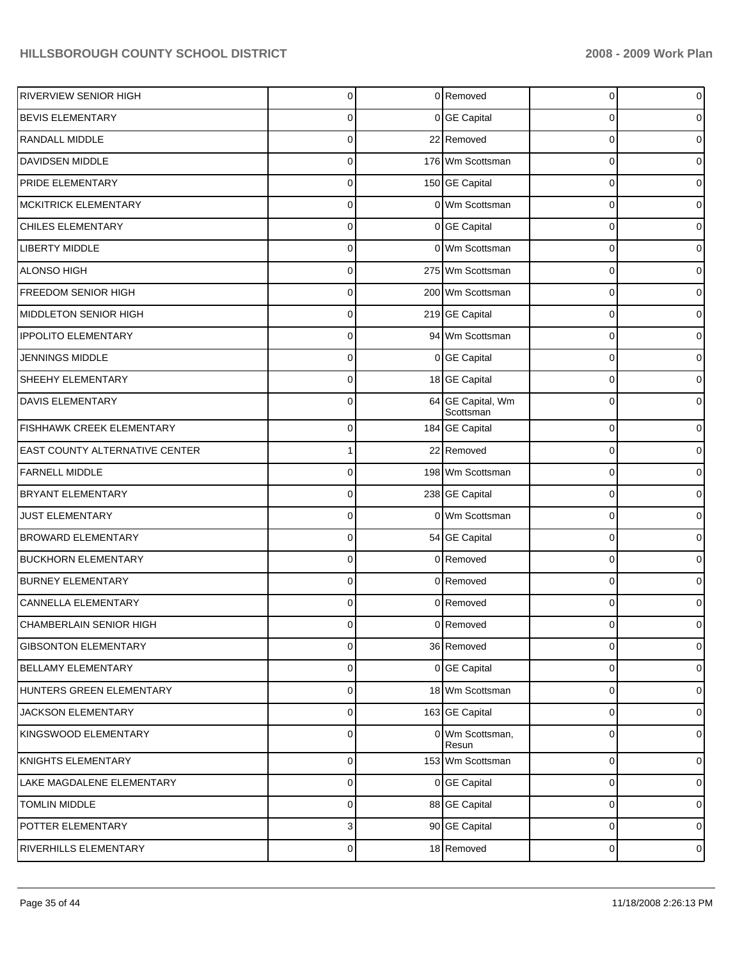| <b>RIVERVIEW SENIOR HIGH</b>   | 0           | 0 Removed                      | 0              | 0              |
|--------------------------------|-------------|--------------------------------|----------------|----------------|
| <b>BEVIS ELEMENTARY</b>        | 0           | 0 GE Capital                   | 0              | $\overline{0}$ |
| RANDALL MIDDLE                 | 0           | 22 Removed                     | $\Omega$       | $\overline{0}$ |
| DAVIDSEN MIDDLE                | 0           | 176 Wm Scottsman               | 0              | 0              |
| PRIDE ELEMENTARY               | 0           | 150 GE Capital                 | 0              | $\overline{0}$ |
| <b>MCKITRICK ELEMENTARY</b>    | 0           | 0 Wm Scottsman                 | 0              | $\overline{0}$ |
| <b>CHILES ELEMENTARY</b>       | 0           | 0 GE Capital                   | 0              | $\overline{0}$ |
| <b>LIBERTY MIDDLE</b>          | 0           | 0 Wm Scottsman                 | $\mathbf 0$    | $\overline{0}$ |
| ALONSO HIGH                    | 0           | 275 Wm Scottsman               | 0              | $\overline{0}$ |
| FREEDOM SENIOR HIGH            | 0           | 200 Wm Scottsman               | 0              | $\overline{0}$ |
| MIDDLETON SENIOR HIGH          | 0           | 219 GE Capital                 | 0              | $\overline{0}$ |
| <b>IPPOLITO ELEMENTARY</b>     | 0           | 94 Wm Scottsman                | $\mathbf 0$    | $\overline{0}$ |
| <b>JENNINGS MIDDLE</b>         | 0           | 0 GE Capital                   | 0              | $\overline{0}$ |
| SHEEHY ELEMENTARY              | 0           | 18 GE Capital                  | $\mathbf 0$    | $\overline{0}$ |
| <b>DAVIS ELEMENTARY</b>        | 0           | 64 GE Capital, Wm<br>Scottsman | 0              | $\overline{0}$ |
| FISHHAWK CREEK ELEMENTARY      | 0           | 184 GE Capital                 | $\mathbf 0$    | $\overline{0}$ |
| EAST COUNTY ALTERNATIVE CENTER | 1           | 22 Removed                     | $\mathbf 0$    | $\overline{0}$ |
| <b>FARNELL MIDDLE</b>          | 0           | 198 Wm Scottsman               | 0              | $\overline{0}$ |
| <b>BRYANT ELEMENTARY</b>       | 0           | 238 GE Capital                 | $\mathbf 0$    | $\overline{0}$ |
| <b>JUST ELEMENTARY</b>         | $\mathbf 0$ | 0 Wm Scottsman                 | 0              | $\overline{0}$ |
| <b>BROWARD ELEMENTARY</b>      | 0           | 54 GE Capital                  | $\mathbf 0$    | $\overline{0}$ |
| <b>BUCKHORN ELEMENTARY</b>     | 0           | 0 Removed                      | 0              | $\overline{0}$ |
| <b>BURNEY ELEMENTARY</b>       | $\mathbf 0$ | 0 Removed                      | $\mathbf 0$    | $\overline{0}$ |
| CANNELLA ELEMENTARY            | 0           | 0 Removed                      | 0              | $\overline{0}$ |
| CHAMBERLAIN SENIOR HIGH        | 0           | 0 Removed                      | $\overline{0}$ | $\overline{0}$ |
| <b>GIBSONTON ELEMENTARY</b>    | $\mathbf 0$ | 36 Removed                     | 0              | $\overline{0}$ |
| BELLAMY ELEMENTARY             | $\mathbf 0$ | 0 GE Capital                   | $\mathbf 0$    | $\overline{0}$ |
| HUNTERS GREEN ELEMENTARY       | 0           | 18 Wm Scottsman                | 0              | $\overline{0}$ |
| JACKSON ELEMENTARY             | $\mathbf 0$ | 163 GE Capital                 | $\mathbf 0$    | $\overline{0}$ |
| KINGSWOOD ELEMENTARY           | $\mathbf 0$ | 0 Wm Scottsman,<br>Resun       | $\mathbf 0$    | $\overline{0}$ |
| KNIGHTS ELEMENTARY             | 0           | 153 Wm Scottsman               | $\mathbf 0$    | $\overline{0}$ |
| LAKE MAGDALENE ELEMENTARY      | 0           | 0 GE Capital                   | $\mathbf 0$    | $\overline{0}$ |
| <b>TOMLIN MIDDLE</b>           | 0           | 88 GE Capital                  | 0              | $\overline{0}$ |
| POTTER ELEMENTARY              | 3           | 90 GE Capital                  | $\mathbf 0$    | $\overline{0}$ |
| RIVERHILLS ELEMENTARY          | 0           | 18 Removed                     | 0              | $\overline{0}$ |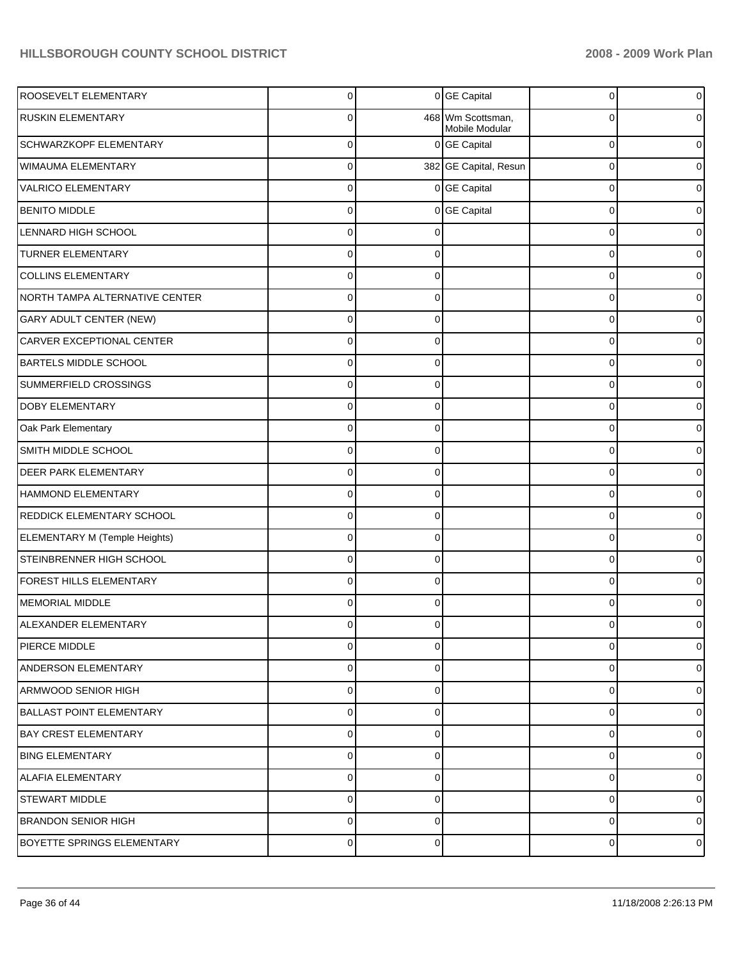| ROOSEVELT ELEMENTARY            | 0              |          | 0 GE Capital                    | 0           | $\boldsymbol{0}$ |
|---------------------------------|----------------|----------|---------------------------------|-------------|------------------|
| RUSKIN ELEMENTARY               | 0              | 468      | Wm Scottsman,<br>Mobile Modular | 0           | $\overline{0}$   |
| SCHWARZKOPF ELEMENTARY          | $\mathbf 0$    |          | 0 GE Capital                    | 0           | 0                |
| WIMAUMA ELEMENTARY              | $\Omega$       |          | 382 GE Capital, Resun           | $\mathbf 0$ | 0                |
| <b>VALRICO ELEMENTARY</b>       | $\mathbf 0$    |          | 0 GE Capital                    | $\mathbf 0$ | $\overline{0}$   |
| <b>BENITO MIDDLE</b>            | $\Omega$       |          | 0 GE Capital                    | $\mathbf 0$ | 0                |
| LENNARD HIGH SCHOOL             | $\Omega$       | C        |                                 | 0           | 0                |
| TURNER ELEMENTARY               | $\Omega$       | $\Omega$ |                                 | 0           | 0                |
| <b>COLLINS ELEMENTARY</b>       | $\mathbf 0$    | $\Omega$ |                                 | $\mathbf 0$ | 0                |
| NORTH TAMPA ALTERNATIVE CENTER  | $\Omega$       | $\Omega$ |                                 | $\Omega$    | 0                |
| <b>GARY ADULT CENTER (NEW)</b>  | $\Omega$       | $\Omega$ |                                 | $\mathbf 0$ | 0                |
| CARVER EXCEPTIONAL CENTER       | 0              | $\Omega$ |                                 | 0           | 0                |
| BARTELS MIDDLE SCHOOL           | $\mathbf 0$    | $\Omega$ |                                 | $\mathbf 0$ | 0                |
| SUMMERFIELD CROSSINGS           | $\Omega$       | $\Omega$ |                                 | $\Omega$    | $\overline{0}$   |
| DOBY ELEMENTARY                 | $\Omega$       | $\Omega$ |                                 | $\mathbf 0$ | 0                |
| Oak Park Elementary             | 0              | $\Omega$ |                                 | 0           | 0                |
| SMITH MIDDLE SCHOOL             | $\Omega$       | $\Omega$ |                                 | $\mathbf 0$ | 0                |
| DEER PARK ELEMENTARY            | $\Omega$       | $\Omega$ |                                 | $\Omega$    | $\overline{0}$   |
| HAMMOND ELEMENTARY              | $\Omega$       | $\Omega$ |                                 | $\mathbf 0$ | 0                |
| REDDICK ELEMENTARY SCHOOL       | 0              | $\Omega$ |                                 | 0           | 0                |
| ELEMENTARY M (Temple Heights)   | $\Omega$       | $\Omega$ |                                 | $\mathbf 0$ | 0                |
| STEINBRENNER HIGH SCHOOL        | $\Omega$       | $\Omega$ |                                 | $\Omega$    | $\overline{0}$   |
| FOREST HILLS ELEMENTARY         | $\Omega$       | $\Omega$ |                                 | $\mathbf 0$ | 0                |
| MEMORIAL MIDDLE                 | 0              | $\Omega$ |                                 | $\Omega$    | 0                |
| ALEXANDER ELEMENTARY            | 0              | 0        |                                 | 0           | 0                |
| PIERCE MIDDLE                   | 0              | $\Omega$ |                                 | 0           | $\overline{0}$   |
| ANDERSON ELEMENTARY             | $\Omega$       | $\Omega$ |                                 | $\Omega$    | $\overline{0}$   |
| ARMWOOD SENIOR HIGH             | $\Omega$       | $\Omega$ |                                 | $\mathbf 0$ | $\overline{0}$   |
| <b>BALLAST POINT ELEMENTARY</b> | $\Omega$       | $\Omega$ |                                 | $\Omega$    | $\overline{0}$   |
| BAY CREST ELEMENTARY            | $\mathbf 0$    | $\Omega$ |                                 | 0           | $\overline{0}$   |
| <b>BING ELEMENTARY</b>          | $\Omega$       | $\Omega$ |                                 | $\Omega$    | $\overline{0}$   |
| <b>ALAFIA ELEMENTARY</b>        | $\Omega$       | $\Omega$ |                                 | $\mathbf 0$ | $\overline{0}$   |
| <b>STEWART MIDDLE</b>           | $\Omega$       | $\Omega$ |                                 | $\Omega$    | $\overline{0}$   |
| <b>BRANDON SENIOR HIGH</b>      | $\Omega$       | $\Omega$ |                                 | $\mathbf 0$ | $\overline{0}$   |
| BOYETTE SPRINGS ELEMENTARY      | $\overline{0}$ | $\Omega$ |                                 | 0           | $\overline{0}$   |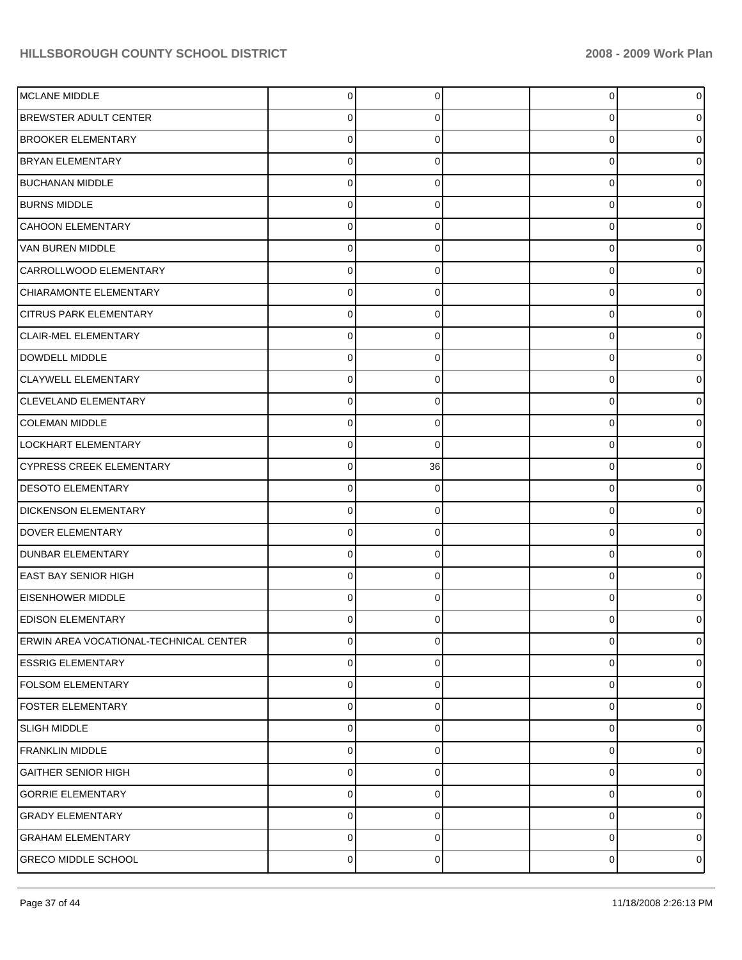| MCLANE MIDDLE                          | 0         | 0        | 0 | 0        |
|----------------------------------------|-----------|----------|---|----------|
| <b>BREWSTER ADULT CENTER</b>           | 0         | 0        | 0 |          |
| <b>BROOKER ELEMENTARY</b>              | 0         | $\Omega$ | 0 |          |
| <b>BRYAN ELEMENTARY</b>                | 0         | 0        | 0 |          |
| <b>BUCHANAN MIDDLE</b>                 | 0         | $\Omega$ | 0 |          |
| <b>BURNS MIDDLE</b>                    | 0         | 0        | 0 |          |
| CAHOON ELEMENTARY                      | 0         | $\Omega$ | 0 |          |
| VAN BUREN MIDDLE                       | 0         | 0        | 0 |          |
| CARROLLWOOD ELEMENTARY                 | 0         | $\Omega$ | 0 |          |
| CHIARAMONTE ELEMENTARY                 | 0         | 0        | 0 |          |
| <b>CITRUS PARK ELEMENTARY</b>          | 0         | $\Omega$ | 0 |          |
| CLAIR-MEL ELEMENTARY                   | 0         | 0        | 0 |          |
| DOWDELL MIDDLE                         | 0         | $\Omega$ | 0 |          |
| <b>CLAYWELL ELEMENTARY</b>             | 0         | 0        | 0 |          |
| CLEVELAND ELEMENTARY                   | 0         | $\Omega$ | 0 |          |
| <b>COLEMAN MIDDLE</b>                  | 0         | 0        | 0 |          |
| LOCKHART ELEMENTARY                    | 0         | $\Omega$ | 0 |          |
| <b>CYPRESS CREEK ELEMENTARY</b>        | 0         | 36       | 0 |          |
| <b>DESOTO ELEMENTARY</b>               | 0         | $\Omega$ | 0 |          |
| <b>DICKENSON ELEMENTARY</b>            | 0         | 0        | 0 |          |
| DOVER ELEMENTARY                       | 0         | $\Omega$ | 0 |          |
| <b>DUNBAR ELEMENTARY</b>               | 0         | 0        | 0 |          |
| <b>EAST BAY SENIOR HIGH</b>            | 0         | $\Omega$ | 0 |          |
| <b>EISENHOWER MIDDLE</b>               | 0         | 0        | 0 |          |
| <b>EDISON ELEMENTARY</b>               | 0         | 0        | 0 |          |
| ERWIN AREA VOCATIONAL-TECHNICAL CENTER | 0         | 0        | 0 | 0        |
| <b>ESSRIG ELEMENTARY</b>               | 0         | 0        | 0 | 0        |
| <b>FOLSOM ELEMENTARY</b>               | 0         | $\Omega$ | 0 | 0        |
| <b>FOSTER ELEMENTARY</b>               | 0         | 0        | 0 | 0        |
| <b>SLIGH MIDDLE</b>                    | 0         | 0        | 0 | o        |
| <b>FRANKLIN MIDDLE</b>                 | 0         | 0        | 0 | o        |
| <b>GAITHER SENIOR HIGH</b>             | 0         | $\Omega$ | 0 | o        |
| <b>GORRIE ELEMENTARY</b>               | 0         | 0        | 0 | 0        |
| <b>GRADY ELEMENTARY</b>                | 0         | 0        | 0 | 0        |
| <b>GRAHAM ELEMENTARY</b>               | 0         | 0        | 0 | 0        |
| <b>GRECO MIDDLE SCHOOL</b>             | $\pmb{0}$ | 0        | 0 | $\Omega$ |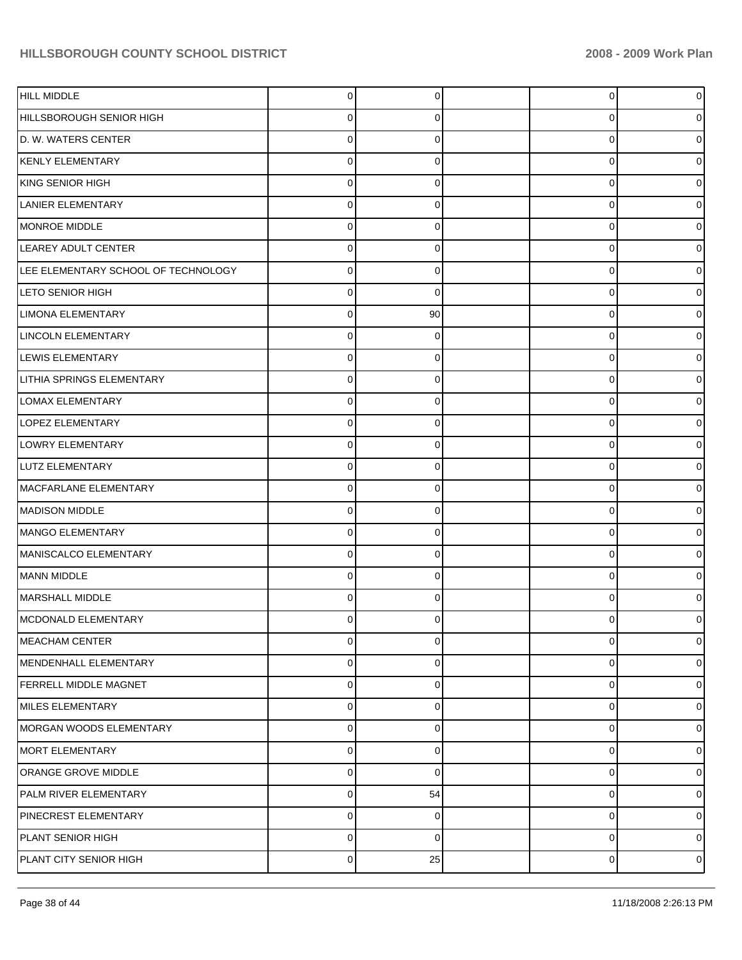| <b>HILL MIDDLE</b>                  | 0           | $\Omega$    | 0 | 0 |
|-------------------------------------|-------------|-------------|---|---|
| HILLSBOROUGH SENIOR HIGH            | 0           | O           | 0 |   |
| D. W. WATERS CENTER                 | $\Omega$    | ∩           | 0 |   |
| KENLY ELEMENTARY                    | $\Omega$    | $\Omega$    | 0 |   |
| KING SENIOR HIGH                    | $\Omega$    | ∩           | 0 |   |
| LANIER ELEMENTARY                   | $\Omega$    | 0           | 0 |   |
| MONROE MIDDLE                       | $\Omega$    | ∩           | 0 |   |
| LEAREY ADULT CENTER                 | $\Omega$    | $\Omega$    | 0 |   |
| LEE ELEMENTARY SCHOOL OF TECHNOLOGY | $\Omega$    | ∩           | 0 |   |
| <b>LETO SENIOR HIGH</b>             | 0           | 0           | 0 |   |
| LIMONA ELEMENTARY                   | $\Omega$    | 90          | 0 |   |
| <b>LINCOLN ELEMENTARY</b>           | $\Omega$    | 0           | 0 |   |
| LEWIS ELEMENTARY                    | $\Omega$    | ∩           | 0 |   |
| LITHIA SPRINGS ELEMENTARY           | 0           | 0           | 0 |   |
| <b>LOMAX ELEMENTARY</b>             | $\Omega$    | ∩           | 0 |   |
| <b>LOPEZ ELEMENTARY</b>             | $\Omega$    | $\Omega$    | 0 |   |
| <b>LOWRY ELEMENTARY</b>             | $\Omega$    | ∩           | 0 |   |
| LUTZ ELEMENTARY                     | $\Omega$    | $\Omega$    | 0 |   |
| MACFARLANE ELEMENTARY               | $\Omega$    | ∩           | 0 |   |
| <b>MADISON MIDDLE</b>               | $\Omega$    | $\Omega$    | 0 |   |
| MANGO ELEMENTARY                    | $\Omega$    | U           | 0 |   |
| MANISCALCO ELEMENTARY               | 0           | $\Omega$    | 0 |   |
| MANN MIDDLE                         | $\Omega$    | ∩           | 0 |   |
| MARSHALL MIDDLE                     | $\Omega$    | ∩           | 0 |   |
| MCDONALD ELEMENTARY                 | ∩           |             |   |   |
| MEACHAM CENTER                      | 0           | $\mathbf 0$ | 0 | 0 |
| MENDENHALL ELEMENTARY               | $\mathbf 0$ | 0           | 0 | 0 |
| <b>FERRELL MIDDLE MAGNET</b>        | $\mathbf 0$ | $\Omega$    | 0 | 0 |
| MILES ELEMENTARY                    | $\mathbf 0$ | $\Omega$    | 0 | 0 |
| MORGAN WOODS ELEMENTARY             | $\mathbf 0$ | 0           | 0 | 0 |
| MORT ELEMENTARY                     | $\mathbf 0$ | $\Omega$    | 0 | 0 |
| ORANGE GROVE MIDDLE                 | $\mathbf 0$ | $\Omega$    | 0 | 0 |
| PALM RIVER ELEMENTARY               | $\mathbf 0$ | 54          | 0 | 0 |
| PINECREST ELEMENTARY                | $\mathbf 0$ | 0           | 0 | 0 |
| PLANT SENIOR HIGH                   | $\mathbf 0$ | 0           | 0 | 0 |
| PLANT CITY SENIOR HIGH              | $\mathbf 0$ | 25          | 0 | 0 |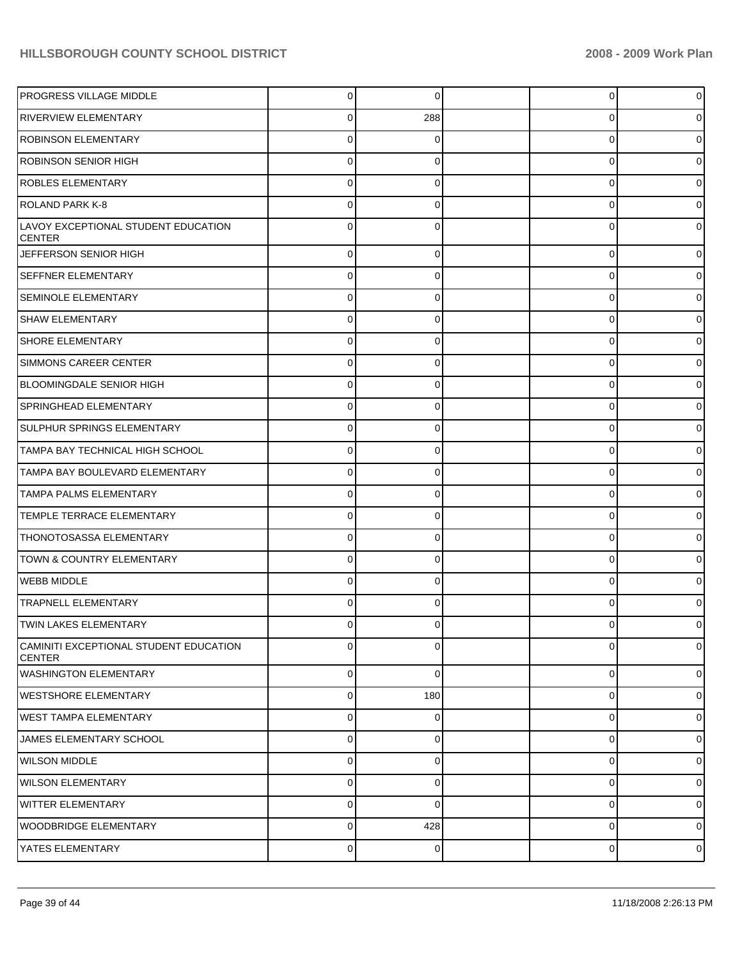| <b>PROGRESS VILLAGE MIDDLE</b>                          | 0              | 0           | 0        | 0           |
|---------------------------------------------------------|----------------|-------------|----------|-------------|
| <b>RIVERVIEW ELEMENTARY</b>                             | 0              | 288         | 0        |             |
| <b>ROBINSON ELEMENTARY</b>                              | 0              | 0           | 0        |             |
| ROBINSON SENIOR HIGH                                    | 0              | 0           | 0        |             |
| <b>ROBLES ELEMENTARY</b>                                | $\mathbf 0$    | $\Omega$    | 0        |             |
| <b>ROLAND PARK K-8</b>                                  | 0              | 0           | 0        |             |
| LAVOY EXCEPTIONAL STUDENT EDUCATION<br><b>CENTER</b>    | $\mathbf 0$    | $\Omega$    | 0        |             |
| JEFFERSON SENIOR HIGH                                   | $\mathbf 0$    | 0           | 0        | 0           |
| <b>SEFFNER ELEMENTARY</b>                               | $\mathbf 0$    | 0           | 0        | 0           |
| <b>SEMINOLE ELEMENTARY</b>                              | $\overline{0}$ | 0           | 0        | 0           |
| <b>SHAW ELEMENTARY</b>                                  | $\mathbf 0$    | 0           | 0        | 0           |
| <b>SHORE ELEMENTARY</b>                                 | $\mathbf 0$    | 0           | 0        | 0           |
| SIMMONS CAREER CENTER                                   | $\pmb{0}$      | 0           | 0        | 0           |
| <b>BLOOMINGDALE SENIOR HIGH</b>                         | $\overline{0}$ | 0           | 0        | 0           |
| <b>SPRINGHEAD ELEMENTARY</b>                            | $\mathbf 0$    | 0           | 0        | 0           |
| <b>SULPHUR SPRINGS ELEMENTARY</b>                       | $\mathbf 0$    | 0           | 0        | 0           |
| TAMPA BAY TECHNICAL HIGH SCHOOL                         | $\mathbf 0$    | 0           | 0        | 0           |
| TAMPA BAY BOULEVARD ELEMENTARY                          | $\overline{0}$ | 0           | 0        | 0           |
| TAMPA PALMS ELEMENTARY                                  | $\mathbf 0$    | 0           | 0        | 0           |
| TEMPLE TERRACE ELEMENTARY                               | $\pmb{0}$      | 0           | 0        | 0           |
| THONOTOSASSA ELEMENTARY                                 | $\mathbf 0$    | 0           | 0        | 0           |
| TOWN & COUNTRY ELEMENTARY                               | $\mathbf 0$    | 0           | 0        | 0           |
| <b>WEBB MIDDLE</b>                                      | $\mathbf 0$    | 0           | 0        | 0           |
| <b>TRAPNELL ELEMENTARY</b>                              | $\mathbf 0$    | 0           | $\Omega$ |             |
| <b>TWIN LAKES ELEMENTARY</b>                            | $\Omega$       | $\Omega$    | 0        | 0           |
| CAMINITI EXCEPTIONAL STUDENT EDUCATION<br><b>CENTER</b> | $\mathbf 0$    | 0           | $\Omega$ | 0           |
| WASHINGTON ELEMENTARY                                   | $\mathbf 0$    | $\Omega$    | 0        | 0           |
| WESTSHORE ELEMENTARY                                    | $\overline{0}$ | 180         | 0        | 0           |
| WEST TAMPA ELEMENTARY                                   | $\mathbf 0$    | 0           | 0        | 0           |
| JAMES ELEMENTARY SCHOOL                                 | $\mathbf 0$    | $\mathbf 0$ | 0        | 0           |
| WILSON MIDDLE                                           | $\mathbf 0$    | 0           | 0        | 0           |
| WILSON ELEMENTARY                                       | $\mathbf 0$    | $\mathbf 0$ | 0        | 0           |
| WITTER ELEMENTARY                                       | $\mathbf 0$    | $\Omega$    | 0        | 0           |
| WOODBRIDGE ELEMENTARY                                   | $\overline{0}$ | 428         | 0        | 0           |
| YATES ELEMENTARY                                        | $\pmb{0}$      | 0           | 0        | $\mathbf 0$ |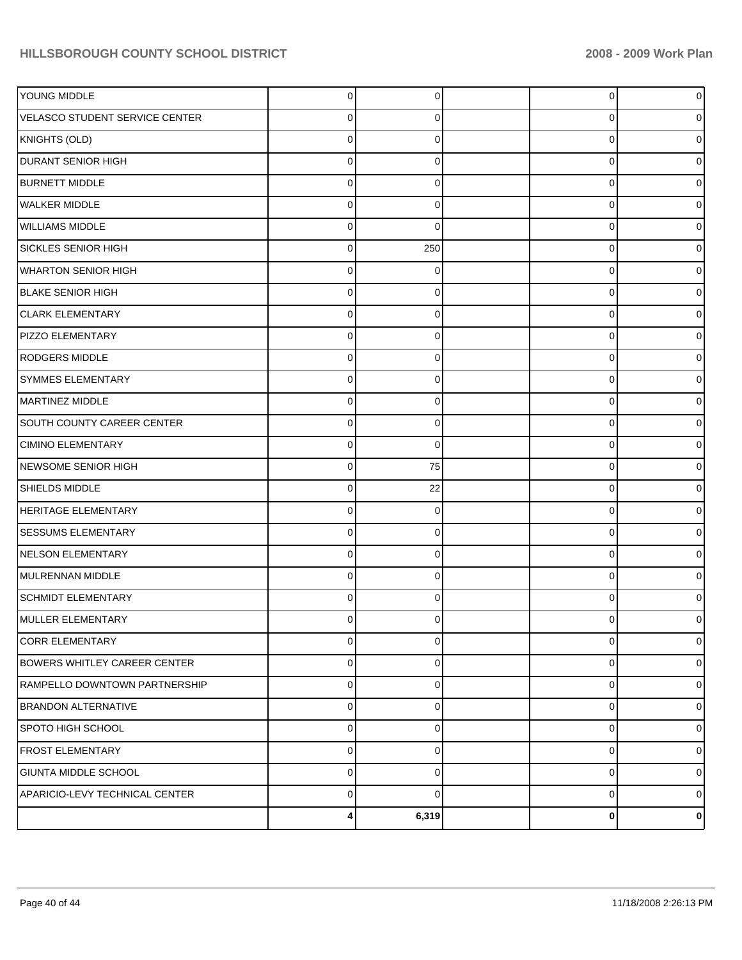|                                | 4           | 6,319    | 0        | 0           |
|--------------------------------|-------------|----------|----------|-------------|
| APARICIO-LEVY TECHNICAL CENTER | $\Omega$    | $\Omega$ | 0        | $\Omega$    |
| GIUNTA MIDDLE SCHOOL           | $\Omega$    | $\Omega$ | 0        | $\Omega$    |
| <b>FROST ELEMENTARY</b>        | $\mathbf 0$ | $\Omega$ | 0        | $\Omega$    |
| SPOTO HIGH SCHOOL              | $\mathbf 0$ | $\Omega$ | 0        | $\Omega$    |
| <b>BRANDON ALTERNATIVE</b>     | $\mathbf 0$ | $\Omega$ | 0        | $\Omega$    |
| RAMPELLO DOWNTOWN PARTNERSHIP  | $\mathbf 0$ | $\Omega$ | 0        | $\Omega$    |
| BOWERS WHITLEY CAREER CENTER   | $\mathbf 0$ | $\Omega$ | 0        | $\mathbf 0$ |
| <b>CORR ELEMENTARY</b>         | $\mathbf 0$ | 0        | 0        | $\mathbf 0$ |
| MULLER ELEMENTARY              | n           |          |          |             |
| <b>SCHMIDT ELEMENTARY</b>      | $\Omega$    | $\Omega$ | 0        |             |
| MULRENNAN MIDDLE               | $\Omega$    | $\Omega$ | $\Omega$ |             |
| NELSON ELEMENTARY              | $\Omega$    | $\Omega$ | $\Omega$ |             |
| <b>SESSUMS ELEMENTARY</b>      | $\Omega$    | $\Omega$ | 0        |             |
| <b>HERITAGE ELEMENTARY</b>     | $\Omega$    | $\Omega$ | 0        |             |
| SHIELDS MIDDLE                 | $\Omega$    | 22       | $\Omega$ |             |
| NEWSOME SENIOR HIGH            | $\Omega$    | 75       | 0        |             |
| <b>CIMINO ELEMENTARY</b>       | $\Omega$    | $\Omega$ | $\Omega$ |             |
| SOUTH COUNTY CAREER CENTER     | $\Omega$    | $\Omega$ | 0        |             |
| MARTINEZ MIDDLE                | $\Omega$    | $\Omega$ | $\Omega$ |             |
| <b>SYMMES ELEMENTARY</b>       | $\Omega$    | $\Omega$ | 0        |             |
| RODGERS MIDDLE                 | $\Omega$    | $\Omega$ | $\Omega$ |             |
| PIZZO ELEMENTARY               | $\Omega$    | $\Omega$ | 0        |             |
| <b>CLARK ELEMENTARY</b>        | $\Omega$    | $\Omega$ | $\Omega$ |             |
| <b>BLAKE SENIOR HIGH</b>       | $\Omega$    | 0        | 0        |             |
| WHARTON SENIOR HIGH            | $\Omega$    | $\Omega$ | $\Omega$ |             |
| <b>SICKLES SENIOR HIGH</b>     | $\Omega$    | 250      | 0        |             |
| <b>WILLIAMS MIDDLE</b>         | $\Omega$    | $\Omega$ | $\Omega$ |             |
| <b>WALKER MIDDLE</b>           | $\Omega$    | $\Omega$ | 0        |             |
| <b>BURNETT MIDDLE</b>          | $\Omega$    | $\Omega$ | $\Omega$ |             |
| <b>DURANT SENIOR HIGH</b>      | $\Omega$    | $\Omega$ | 0        |             |
| KNIGHTS (OLD)                  | $\Omega$    | $\Omega$ | $\Omega$ |             |
| VELASCO STUDENT SERVICE CENTER | $\Omega$    | 0        | 0        |             |
| YOUNG MIDDLE                   | $\Omega$    | $\Omega$ | 0        | o           |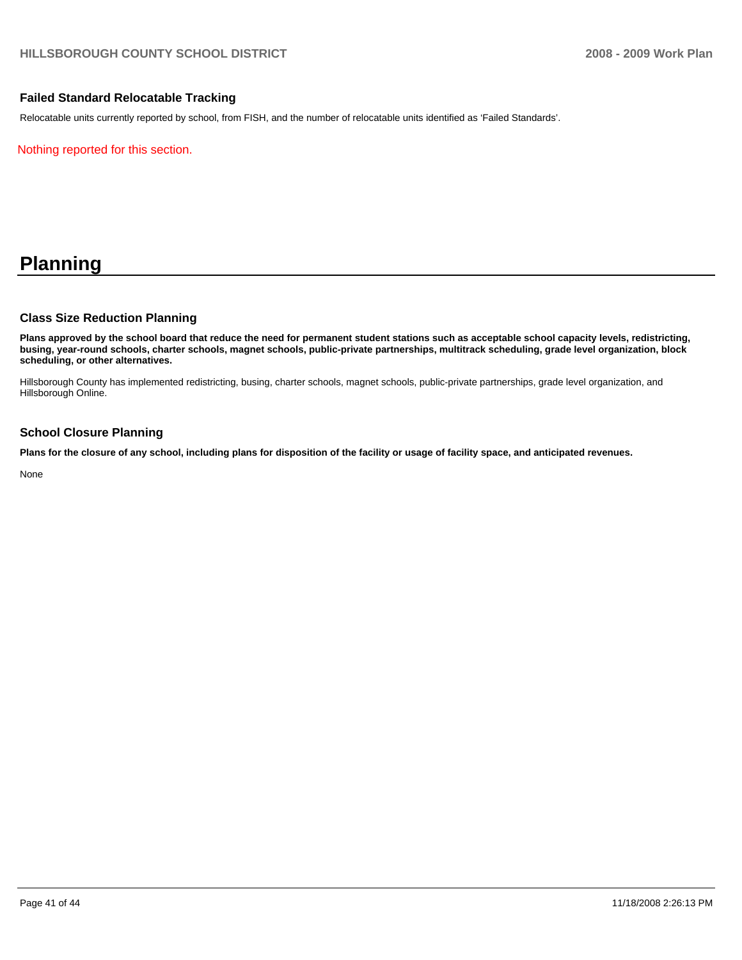#### **Failed Standard Relocatable Tracking**

Relocatable units currently reported by school, from FISH, and the number of relocatable units identified as 'Failed Standards'.

Nothing reported for this section.

## **Planning**

#### **Class Size Reduction Planning**

**Plans approved by the school board that reduce the need for permanent student stations such as acceptable school capacity levels, redistricting, busing, year-round schools, charter schools, magnet schools, public-private partnerships, multitrack scheduling, grade level organization, block scheduling, or other alternatives.** 

Hillsborough County has implemented redistricting, busing, charter schools, magnet schools, public-private partnerships, grade level organization, and Hillsborough Online.

#### **School Closure Planning**

**Plans for the closure of any school, including plans for disposition of the facility or usage of facility space, and anticipated revenues.** 

None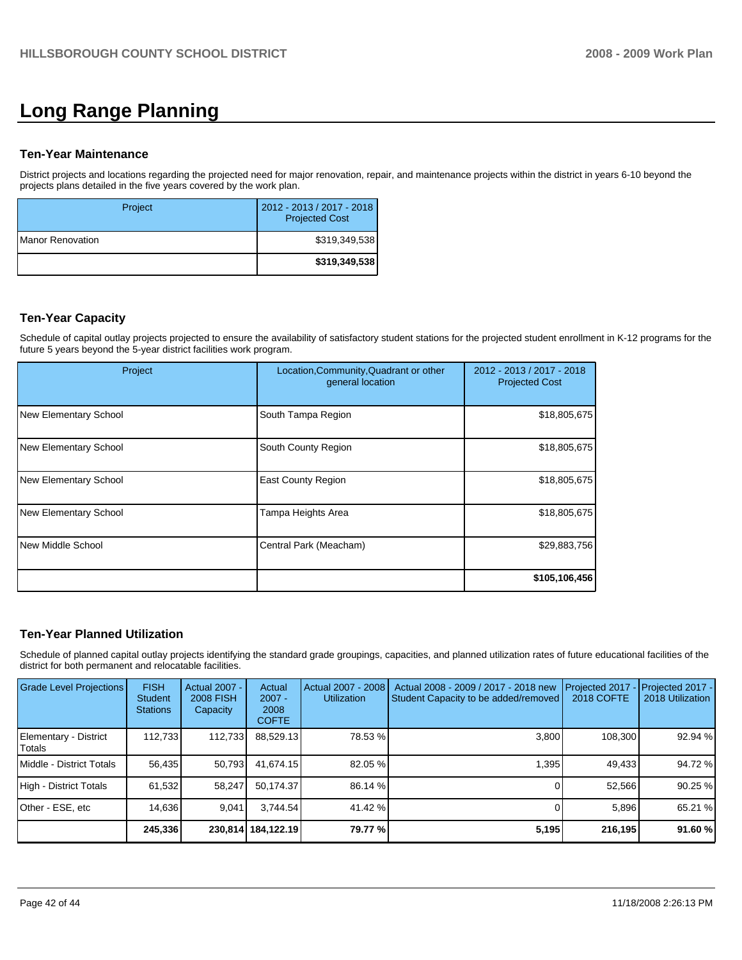# **Long Range Planning**

#### **Ten-Year Maintenance**

District projects and locations regarding the projected need for major renovation, repair, and maintenance projects within the district in years 6-10 beyond the projects plans detailed in the five years covered by the work plan.

| Project                  | 2012 - 2013 / 2017 - 2018<br><b>Projected Cost</b> |
|--------------------------|----------------------------------------------------|
| <b>IManor Renovation</b> | \$319,349,538                                      |
|                          | \$319,349,538                                      |

#### **Ten-Year Capacity**

Schedule of capital outlay projects projected to ensure the availability of satisfactory student stations for the projected student enrollment in K-12 programs for the future 5 years beyond the 5-year district facilities work program.

| Project               | Location, Community, Quadrant or other<br>general location | 2012 - 2013 / 2017 - 2018<br><b>Projected Cost</b> |
|-----------------------|------------------------------------------------------------|----------------------------------------------------|
| New Elementary School | South Tampa Region                                         | \$18,805,675                                       |
| New Elementary School | South County Region                                        | \$18,805,675                                       |
| New Elementary School | <b>East County Region</b>                                  | \$18,805,675                                       |
| New Elementary School | Tampa Heights Area                                         | \$18,805,675                                       |
| New Middle School     | Central Park (Meacham)                                     | \$29,883,756                                       |
|                       |                                                            | \$105,106,456                                      |

#### **Ten-Year Planned Utilization**

Schedule of planned capital outlay projects identifying the standard grade groupings, capacities, and planned utilization rates of future educational facilities of the district for both permanent and relocatable facilities.

| Grade Level Projections         | <b>FISH</b><br>Student<br><b>Stations</b> | <b>Actual 2007 -</b><br><b>2008 FISH</b><br>Capacity | Actual<br>$2007 -$<br>2008<br><b>COFTE</b> | Actual 2007 - 2008<br><b>Utilization</b> | Actual 2008 - 2009 / 2017 - 2018 new<br>Student Capacity to be added/removed | Projected 2017<br>2018 COFTE | Projected 2017 -<br>2018 Utilization |
|---------------------------------|-------------------------------------------|------------------------------------------------------|--------------------------------------------|------------------------------------------|------------------------------------------------------------------------------|------------------------------|--------------------------------------|
| Elementary - District<br>Totals | 112.733                                   | 112,733                                              | 88,529.13                                  | 78.53 %                                  | 3,800                                                                        | 108.300                      | 92.94 %                              |
| Middle - District Totals        | 56,435                                    | 50.793                                               | 41.674.15                                  | 82.05 %                                  | 1.395                                                                        | 49,433                       | 94.72 %                              |
| High - District Totals          | 61,532                                    | 58,247                                               | 50.174.37                                  | 86.14 %                                  |                                                                              | 52,566                       | 90.25 %                              |
| Other - ESE, etc                | 14.636                                    | 9.041                                                | 3.744.54                                   | 41.42 %                                  |                                                                              | 5,896                        | 65.21 %                              |
|                                 | 245,336                                   |                                                      | 230,814   184,122.19                       | 79.77 %                                  | 5,195                                                                        | 216,195                      | 91.60 %                              |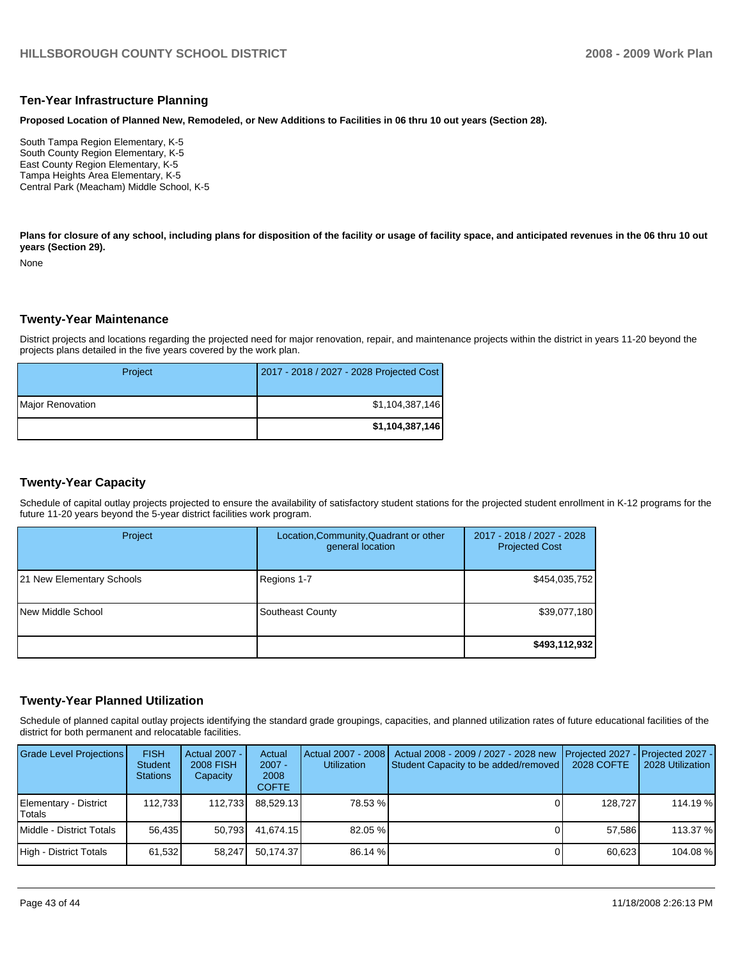#### **Ten-Year Infrastructure Planning**

**Proposed Location of Planned New, Remodeled, or New Additions to Facilities in 06 thru 10 out years (Section 28).** 

South Tampa Region Elementary, K-5 South County Region Elementary, K-5 East County Region Elementary, K-5�� Tampa Heights Area Elementary, K-5�� Central Park (Meacham) Middle School, K-5

Plans for closure of any school, including plans for disposition of the facility or usage of facility space, and anticipated revenues in the 06 thru 10 out **years (Section 29).** 

None

#### **Twenty-Year Maintenance**

District projects and locations regarding the projected need for major renovation, repair, and maintenance projects within the district in years 11-20 beyond the projects plans detailed in the five years covered by the work plan.

| Project                 | 2017 - 2018 / 2027 - 2028 Projected Cost |
|-------------------------|------------------------------------------|
| <b>Major Renovation</b> | \$1,104,387,146                          |
|                         | \$1,104,387,146                          |

#### **Twenty-Year Capacity**

Schedule of capital outlay projects projected to ensure the availability of satisfactory student stations for the projected student enrollment in K-12 programs for the future 11-20 years beyond the 5-year district facilities work program.

| Project                   | Location, Community, Quadrant or other<br>general location | 2017 - 2018 / 2027 - 2028<br><b>Projected Cost</b> |
|---------------------------|------------------------------------------------------------|----------------------------------------------------|
| 21 New Elementary Schools | Regions 1-7                                                | \$454,035,752                                      |
| New Middle School         | Southeast County                                           | \$39,077,180                                       |
|                           |                                                            | \$493,112,932                                      |

#### **Twenty-Year Planned Utilization**

Schedule of planned capital outlay projects identifying the standard grade groupings, capacities, and planned utilization rates of future educational facilities of the district for both permanent and relocatable facilities.

| <b>Grade Level Projections</b>         | <b>FISH</b><br><b>Student</b><br><b>Stations</b> | <b>Actual 2007 -</b><br><b>2008 FISH</b><br>Capacity | Actual<br>$2007 -$<br>2008<br><b>COFTE</b> | Actual 2007 - 2008<br><b>Utilization</b> | Actual 2008 - 2009 / 2027 - 2028 new<br>Student Capacity to be added/removed | Proiected 2027 - Proiected 2027 -<br>2028 COFTE | 2028 Utilization |
|----------------------------------------|--------------------------------------------------|------------------------------------------------------|--------------------------------------------|------------------------------------------|------------------------------------------------------------------------------|-------------------------------------------------|------------------|
| Elementary - District<br><b>Totals</b> | 112.733 <b>1</b>                                 | 112.733                                              | 88.529.13                                  | 78.53 %                                  |                                                                              | 128.727                                         | 114.19 %         |
| Middle - District Totals               | 56.435                                           | 50.793                                               | 41.674.15                                  | 82.05 %                                  |                                                                              | 57.586                                          | 113.37 %         |
| High - District Totals                 | 61,532                                           | 58.247                                               | 50.174.37                                  | 86.14 %                                  |                                                                              | 60,623                                          | 104.08 %         |